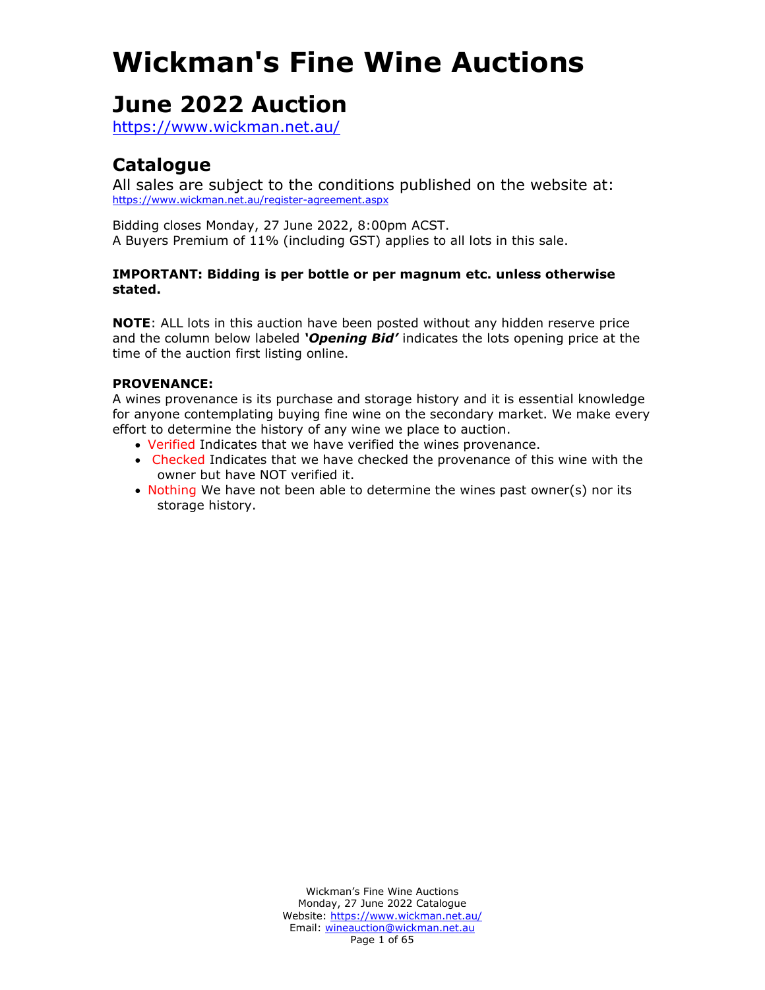#### **June 2022 Auction**

<https://www.wickman.net.au/>

#### **Catalogue**

All sales are subject to the conditions published on the website at: <https://www.wickman.net.au/register-agreement.aspx>

Bidding closes Monday, 27 June 2022, 8:00pm ACST. A Buyers Premium of 11% (including GST) applies to all lots in this sale.

#### **IMPORTANT: Bidding is per bottle or per magnum etc. unless otherwise stated.**

**NOTE**: ALL lots in this auction have been posted without any hidden reserve price and the column below labeled *'Opening Bid'* indicates the lots opening price at the time of the auction first listing online.

#### **PROVENANCE:**

A wines provenance is its purchase and storage history and it is essential knowledge for anyone contemplating buying fine wine on the secondary market. We make every effort to determine the history of any wine we place to auction.

- Verified Indicates that we have verified the wines provenance.
- Checked Indicates that we have checked the provenance of this wine with the owner but have NOT verified it.
- Nothing We have not been able to determine the wines past owner(s) nor its storage history.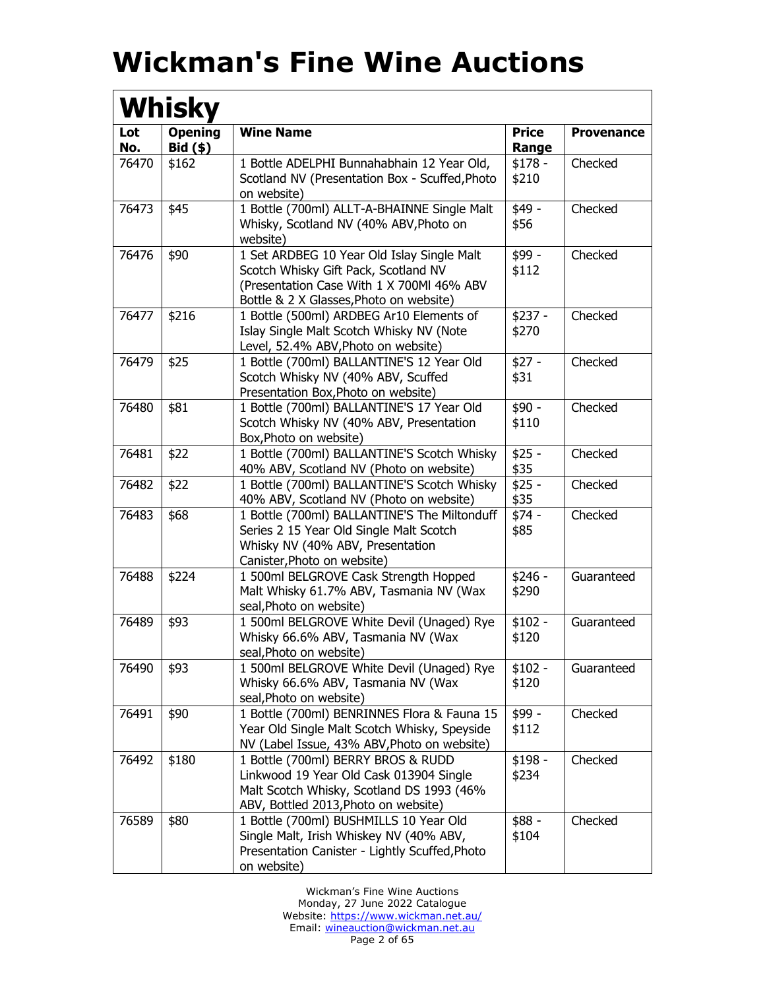|            | <b>Whisky</b>                |                                                                                                                                                                            |                       |                   |  |
|------------|------------------------------|----------------------------------------------------------------------------------------------------------------------------------------------------------------------------|-----------------------|-------------------|--|
| Lot<br>No. | <b>Opening</b><br>$Bid($ \$) | <b>Wine Name</b>                                                                                                                                                           | <b>Price</b><br>Range | <b>Provenance</b> |  |
| 76470      | \$162                        | 1 Bottle ADELPHI Bunnahabhain 12 Year Old,<br>Scotland NV (Presentation Box - Scuffed, Photo<br>on website)                                                                | $$178 -$<br>\$210     | Checked           |  |
| 76473      | \$45                         | 1 Bottle (700ml) ALLT-A-BHAINNE Single Malt<br>Whisky, Scotland NV (40% ABV, Photo on<br>website)                                                                          | $$49 -$<br>\$56       | Checked           |  |
| 76476      | \$90                         | 1 Set ARDBEG 10 Year Old Islay Single Malt<br>Scotch Whisky Gift Pack, Scotland NV<br>(Presentation Case With 1 X 700Ml 46% ABV<br>Bottle & 2 X Glasses, Photo on website) | \$99 -<br>\$112       | Checked           |  |
| 76477      | \$216                        | 1 Bottle (500ml) ARDBEG Ar10 Elements of<br>Islay Single Malt Scotch Whisky NV (Note<br>Level, 52.4% ABV, Photo on website)                                                | $$237 -$<br>\$270     | Checked           |  |
| 76479      | \$25                         | 1 Bottle (700ml) BALLANTINE'S 12 Year Old<br>Scotch Whisky NV (40% ABV, Scuffed<br>Presentation Box, Photo on website)                                                     | $$27 -$<br>\$31       | Checked           |  |
| 76480      | \$81                         | 1 Bottle (700ml) BALLANTINE'S 17 Year Old<br>Scotch Whisky NV (40% ABV, Presentation<br>Box, Photo on website)                                                             | \$90 -<br>\$110       | Checked           |  |
| 76481      | \$22                         | 1 Bottle (700ml) BALLANTINE'S Scotch Whisky<br>40% ABV, Scotland NV (Photo on website)                                                                                     | $$25 -$<br>\$35       | Checked           |  |
| 76482      | \$22                         | 1 Bottle (700ml) BALLANTINE'S Scotch Whisky<br>40% ABV, Scotland NV (Photo on website)                                                                                     | $$25 -$<br>\$35       | Checked           |  |
| 76483      | \$68                         | 1 Bottle (700ml) BALLANTINE'S The Miltonduff<br>Series 2 15 Year Old Single Malt Scotch<br>Whisky NV (40% ABV, Presentation<br>Canister, Photo on website)                 | $$74 -$<br>\$85       | Checked           |  |
| 76488      | \$224                        | 1 500ml BELGROVE Cask Strength Hopped<br>Malt Whisky 61.7% ABV, Tasmania NV (Wax<br>seal, Photo on website)                                                                | $$246 -$<br>\$290     | Guaranteed        |  |
| 76489      | \$93                         | 1 500ml BELGROVE White Devil (Unaged) Rye<br>Whisky 66.6% ABV, Tasmania NV (Wax<br>seal, Photo on website)                                                                 | $$102 -$<br>\$120     | Guaranteed        |  |
| 76490      | \$93                         | 1 500ml BELGROVE White Devil (Unaged) Rye<br>Whisky 66.6% ABV, Tasmania NV (Wax<br>seal, Photo on website)                                                                 | $$102 -$<br>\$120     | Guaranteed        |  |
| 76491      | \$90                         | 1 Bottle (700ml) BENRINNES Flora & Fauna 15<br>Year Old Single Malt Scotch Whisky, Speyside<br>NV (Label Issue, 43% ABV, Photo on website)                                 | \$99 -<br>\$112       | Checked           |  |
| 76492      | \$180                        | 1 Bottle (700ml) BERRY BROS & RUDD<br>Linkwood 19 Year Old Cask 013904 Single<br>Malt Scotch Whisky, Scotland DS 1993 (46%<br>ABV, Bottled 2013, Photo on website)         | $$198 -$<br>\$234     | Checked           |  |
| 76589      | \$80                         | 1 Bottle (700ml) BUSHMILLS 10 Year Old<br>Single Malt, Irish Whiskey NV (40% ABV,<br>Presentation Canister - Lightly Scuffed, Photo<br>on website)                         | $$88 -$<br>\$104      | Checked           |  |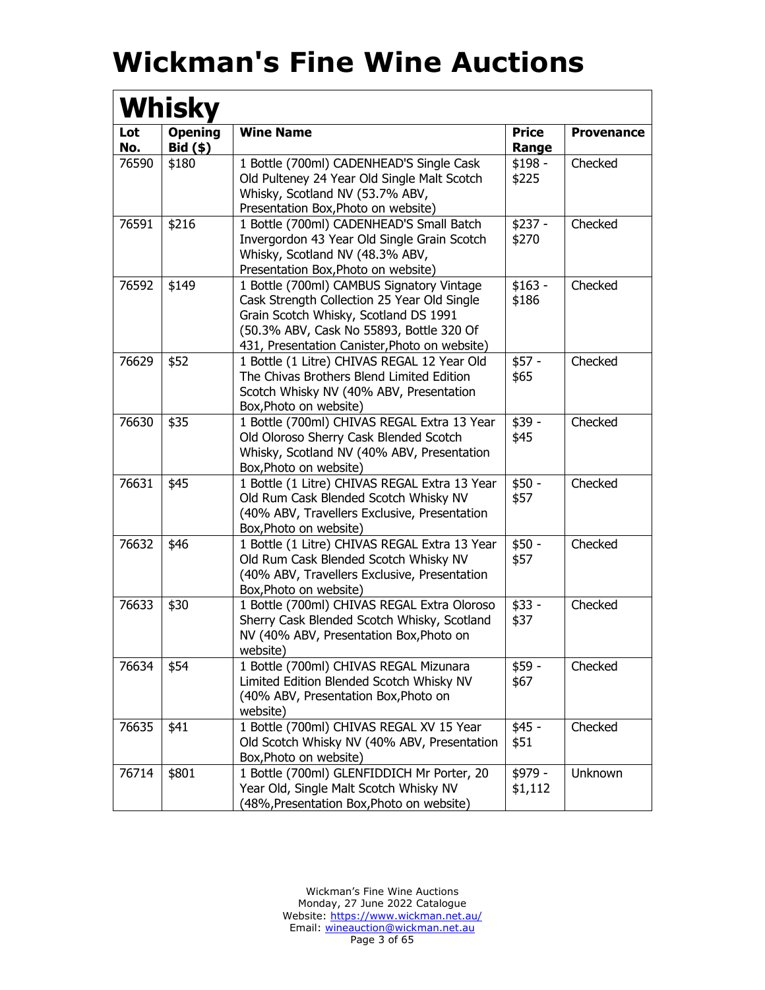|            | <b>Whisky</b>                |                                                                                                                                                                                                                                |                       |                   |  |
|------------|------------------------------|--------------------------------------------------------------------------------------------------------------------------------------------------------------------------------------------------------------------------------|-----------------------|-------------------|--|
| Lot<br>No. | <b>Opening</b><br>$Bid($ \$) | <b>Wine Name</b>                                                                                                                                                                                                               | <b>Price</b><br>Range | <b>Provenance</b> |  |
| 76590      | \$180                        | 1 Bottle (700ml) CADENHEAD'S Single Cask<br>Old Pulteney 24 Year Old Single Malt Scotch<br>Whisky, Scotland NV (53.7% ABV,<br>Presentation Box, Photo on website)                                                              | $$198 -$<br>\$225     | Checked           |  |
| 76591      | \$216                        | 1 Bottle (700ml) CADENHEAD'S Small Batch<br>Invergordon 43 Year Old Single Grain Scotch<br>Whisky, Scotland NV (48.3% ABV,<br>Presentation Box, Photo on website)                                                              | $$237 -$<br>\$270     | Checked           |  |
| 76592      | \$149                        | 1 Bottle (700ml) CAMBUS Signatory Vintage<br>Cask Strength Collection 25 Year Old Single<br>Grain Scotch Whisky, Scotland DS 1991<br>(50.3% ABV, Cask No 55893, Bottle 320 Of<br>431, Presentation Canister, Photo on website) | $$163 -$<br>\$186     | Checked           |  |
| 76629      | \$52                         | 1 Bottle (1 Litre) CHIVAS REGAL 12 Year Old<br>The Chivas Brothers Blend Limited Edition<br>Scotch Whisky NV (40% ABV, Presentation<br>Box, Photo on website)                                                                  | $$57 -$<br>\$65       | Checked           |  |
| 76630      | \$35                         | 1 Bottle (700ml) CHIVAS REGAL Extra 13 Year<br>Old Oloroso Sherry Cask Blended Scotch<br>Whisky, Scotland NV (40% ABV, Presentation<br>Box, Photo on website)                                                                  | $$39 -$<br>\$45       | Checked           |  |
| 76631      | \$45                         | 1 Bottle (1 Litre) CHIVAS REGAL Extra 13 Year<br>Old Rum Cask Blended Scotch Whisky NV<br>(40% ABV, Travellers Exclusive, Presentation<br>Box, Photo on website)                                                               | $$50 -$<br>\$57       | Checked           |  |
| 76632      | \$46                         | 1 Bottle (1 Litre) CHIVAS REGAL Extra 13 Year<br>Old Rum Cask Blended Scotch Whisky NV<br>(40% ABV, Travellers Exclusive, Presentation<br>Box, Photo on website)                                                               | $$50 -$<br>\$57       | Checked           |  |
| 76633      | \$30                         | 1 Bottle (700ml) CHIVAS REGAL Extra Oloroso<br>Sherry Cask Blended Scotch Whisky, Scotland<br>NV (40% ABV, Presentation Box, Photo on<br>website)                                                                              | $$33 -$<br>\$37       | Checked           |  |
| 76634      | \$54                         | 1 Bottle (700ml) CHIVAS REGAL Mizunara<br>Limited Edition Blended Scotch Whisky NV<br>(40% ABV, Presentation Box, Photo on<br>website)                                                                                         | $$59 -$<br>\$67       | Checked           |  |
| 76635      | \$41                         | 1 Bottle (700ml) CHIVAS REGAL XV 15 Year<br>Old Scotch Whisky NV (40% ABV, Presentation<br>Box, Photo on website)                                                                                                              | $$45 -$<br>\$51       | Checked           |  |
| 76714      | \$801                        | 1 Bottle (700ml) GLENFIDDICH Mr Porter, 20<br>Year Old, Single Malt Scotch Whisky NV<br>(48%, Presentation Box, Photo on website)                                                                                              | \$979 -<br>\$1,112    | Unknown           |  |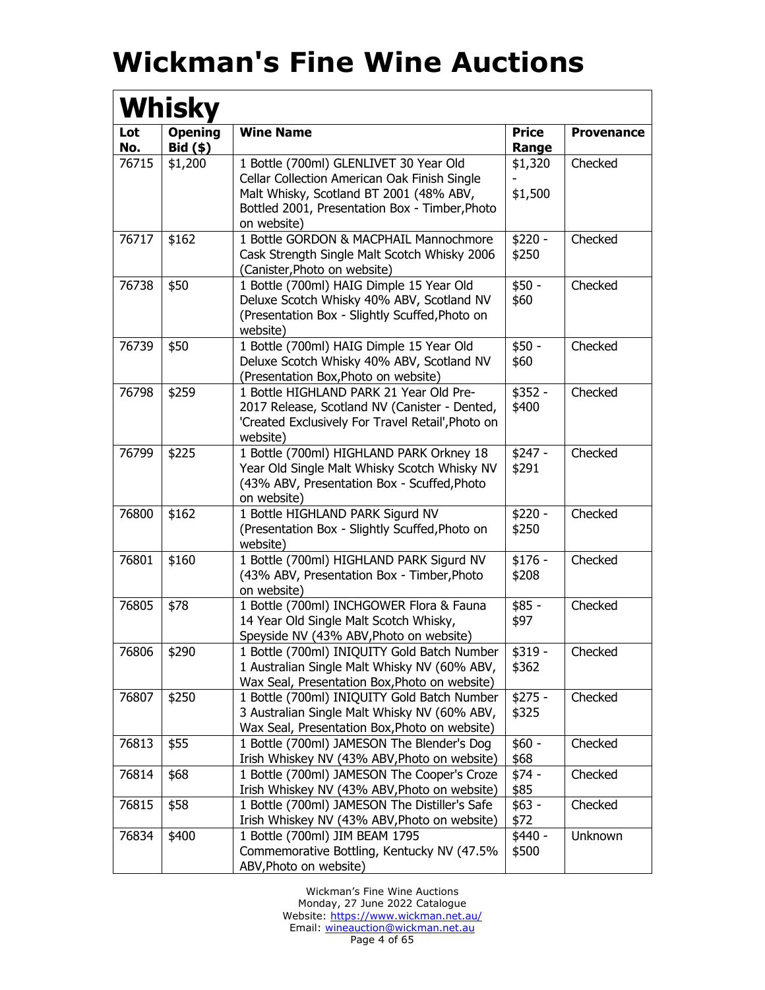|            | <b>Whisky</b>                |                                                                                                                                                                                                    |                       |                   |  |
|------------|------------------------------|----------------------------------------------------------------------------------------------------------------------------------------------------------------------------------------------------|-----------------------|-------------------|--|
| Lot<br>No. | <b>Opening</b><br>$Bid($ \$) | <b>Wine Name</b>                                                                                                                                                                                   | <b>Price</b><br>Range | <b>Provenance</b> |  |
| 76715      | \$1,200                      | 1 Bottle (700ml) GLENLIVET 30 Year Old<br>Cellar Collection American Oak Finish Single<br>Malt Whisky, Scotland BT 2001 (48% ABV,<br>Bottled 2001, Presentation Box - Timber, Photo<br>on website) | \$1,320<br>\$1,500    | Checked           |  |
| 76717      | \$162                        | 1 Bottle GORDON & MACPHAIL Mannochmore<br>Cask Strength Single Malt Scotch Whisky 2006<br>(Canister, Photo on website)                                                                             | $$220 -$<br>\$250     | Checked           |  |
| 76738      | \$50                         | 1 Bottle (700ml) HAIG Dimple 15 Year Old<br>Deluxe Scotch Whisky 40% ABV, Scotland NV<br>(Presentation Box - Slightly Scuffed, Photo on<br>website)                                                | $$50 -$<br>\$60       | Checked           |  |
| 76739      | \$50                         | 1 Bottle (700ml) HAIG Dimple 15 Year Old<br>Deluxe Scotch Whisky 40% ABV, Scotland NV<br>(Presentation Box, Photo on website)                                                                      | $$50 -$<br>\$60       | Checked           |  |
| 76798      | \$259                        | 1 Bottle HIGHLAND PARK 21 Year Old Pre-<br>2017 Release, Scotland NV (Canister - Dented,<br>'Created Exclusively For Travel Retail', Photo on<br>website)                                          | $$352 -$<br>\$400     | Checked           |  |
| 76799      | \$225                        | 1 Bottle (700ml) HIGHLAND PARK Orkney 18<br>Year Old Single Malt Whisky Scotch Whisky NV<br>(43% ABV, Presentation Box - Scuffed, Photo<br>on website)                                             | $$247 -$<br>\$291     | Checked           |  |
| 76800      | \$162                        | 1 Bottle HIGHLAND PARK Sigurd NV<br>(Presentation Box - Slightly Scuffed, Photo on<br>website)                                                                                                     | $$220 -$<br>\$250     | Checked           |  |
| 76801      | \$160                        | 1 Bottle (700ml) HIGHLAND PARK Sigurd NV<br>(43% ABV, Presentation Box - Timber, Photo<br>on website)                                                                                              | $$176 -$<br>\$208     | Checked           |  |
| 76805      | \$78                         | 1 Bottle (700ml) INCHGOWER Flora & Fauna<br>14 Year Old Single Malt Scotch Whisky,<br>Speyside NV (43% ABV, Photo on website)                                                                      | $$85 -$<br>\$97       | Checked           |  |
| 76806      | \$290                        | 1 Bottle (700ml) INIQUITY Gold Batch Number<br>1 Australian Single Malt Whisky NV (60% ABV,<br>Wax Seal, Presentation Box, Photo on website)                                                       | \$319<br>\$362        | Checked           |  |
| 76807      | \$250                        | 1 Bottle (700ml) INIQUITY Gold Batch Number<br>3 Australian Single Malt Whisky NV (60% ABV,<br>Wax Seal, Presentation Box, Photo on website)                                                       | $$275 -$<br>\$325     | Checked           |  |
| 76813      | \$55                         | 1 Bottle (700ml) JAMESON The Blender's Dog<br>Irish Whiskey NV (43% ABV, Photo on website)                                                                                                         | $$60 -$<br>\$68       | Checked           |  |
| 76814      | \$68                         | 1 Bottle (700ml) JAMESON The Cooper's Croze<br>Irish Whiskey NV (43% ABV, Photo on website)                                                                                                        | $$74 -$<br>\$85       | Checked           |  |
| 76815      | \$58                         | 1 Bottle (700ml) JAMESON The Distiller's Safe<br>Irish Whiskey NV (43% ABV, Photo on website)                                                                                                      | $$63 -$<br>\$72       | Checked           |  |
| 76834      | \$400                        | 1 Bottle (700ml) JIM BEAM 1795<br>Commemorative Bottling, Kentucky NV (47.5%<br>ABV, Photo on website)                                                                                             | \$440 -<br>\$500      | Unknown           |  |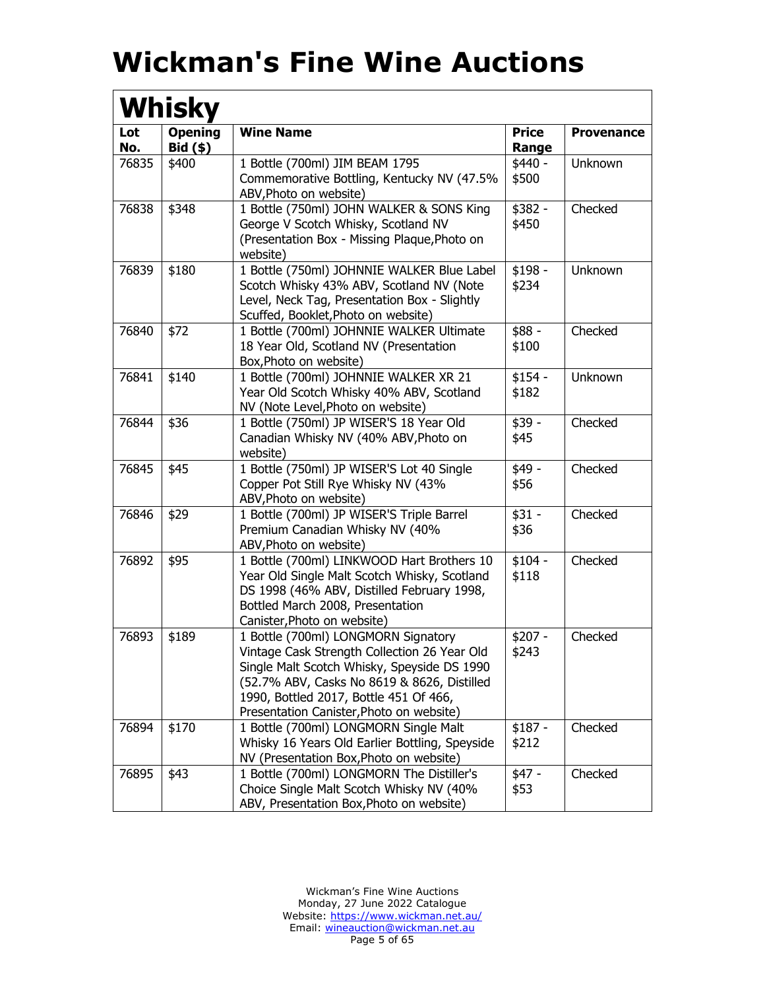| Lot   | <b>Opening</b> | <b>Wine Name</b>                                                | <b>Price</b> | <b>Provenance</b> |
|-------|----------------|-----------------------------------------------------------------|--------------|-------------------|
| No.   | $Bid($ \$)     |                                                                 | Range        |                   |
| 76835 | \$400          | 1 Bottle (700ml) JIM BEAM 1795                                  | \$440 -      | Unknown           |
|       |                | Commemorative Bottling, Kentucky NV (47.5%                      | \$500        |                   |
|       |                | ABV, Photo on website)                                          |              |                   |
| 76838 | \$348          | 1 Bottle (750ml) JOHN WALKER & SONS King                        | \$382 -      | Checked           |
|       |                | George V Scotch Whisky, Scotland NV                             | \$450        |                   |
|       |                | (Presentation Box - Missing Plaque, Photo on                    |              |                   |
|       |                | website)                                                        |              |                   |
| 76839 | \$180          | 1 Bottle (750ml) JOHNNIE WALKER Blue Label                      | $$198 -$     | Unknown           |
|       |                | Scotch Whisky 43% ABV, Scotland NV (Note                        | \$234        |                   |
|       |                | Level, Neck Tag, Presentation Box - Slightly                    |              |                   |
|       |                | Scuffed, Booklet, Photo on website)                             |              |                   |
| 76840 | \$72           | 1 Bottle (700ml) JOHNNIE WALKER Ultimate                        | \$88 -       | Checked           |
|       |                | 18 Year Old, Scotland NV (Presentation                          | \$100        |                   |
| 76841 |                | Box, Photo on website)<br>1 Bottle (700ml) JOHNNIE WALKER XR 21 | $$154 -$     | <b>Unknown</b>    |
|       | \$140          | Year Old Scotch Whisky 40% ABV, Scotland                        | \$182        |                   |
|       |                | NV (Note Level, Photo on website)                               |              |                   |
| 76844 | \$36           | 1 Bottle (750ml) JP WISER'S 18 Year Old                         | $$39 -$      | Checked           |
|       |                | Canadian Whisky NV (40% ABV, Photo on                           | \$45         |                   |
|       |                | website)                                                        |              |                   |
| 76845 | \$45           | 1 Bottle (750ml) JP WISER'S Lot 40 Single                       | \$49 -       | Checked           |
|       |                | Copper Pot Still Rye Whisky NV (43%                             | \$56         |                   |
|       |                | ABV, Photo on website)                                          |              |                   |
| 76846 | \$29           | 1 Bottle (700ml) JP WISER'S Triple Barrel                       | $$31 -$      | Checked           |
|       |                | Premium Canadian Whisky NV (40%                                 | \$36         |                   |
|       |                | ABV, Photo on website)                                          |              |                   |
| 76892 | \$95           | 1 Bottle (700ml) LINKWOOD Hart Brothers 10                      | $$104 -$     | Checked           |
|       |                | Year Old Single Malt Scotch Whisky, Scotland                    | \$118        |                   |
|       |                | DS 1998 (46% ABV, Distilled February 1998,                      |              |                   |
|       |                | Bottled March 2008, Presentation<br>Canister, Photo on website) |              |                   |
| 76893 | \$189          | 1 Bottle (700ml) LONGMORN Signatory                             | $$207 -$     | Checked           |
|       |                | Vintage Cask Strength Collection 26 Year Old                    | \$243        |                   |
|       |                | Single Malt Scotch Whisky, Speyside DS 1990                     |              |                   |
|       |                | (52.7% ABV, Casks No 8619 & 8626, Distilled                     |              |                   |
|       |                | 1990, Bottled 2017, Bottle 451 Of 466,                          |              |                   |
|       |                | Presentation Canister, Photo on website)                        |              |                   |
| 76894 | \$170          | 1 Bottle (700ml) LONGMORN Single Malt                           | $$187 -$     | Checked           |
|       |                | Whisky 16 Years Old Earlier Bottling, Speyside                  | \$212        |                   |
|       |                | NV (Presentation Box, Photo on website)                         |              |                   |
| 76895 | \$43           | 1 Bottle (700ml) LONGMORN The Distiller's                       | $$47 -$      | Checked           |
|       |                | Choice Single Malt Scotch Whisky NV (40%                        | \$53         |                   |
|       |                | ABV, Presentation Box, Photo on website)                        |              |                   |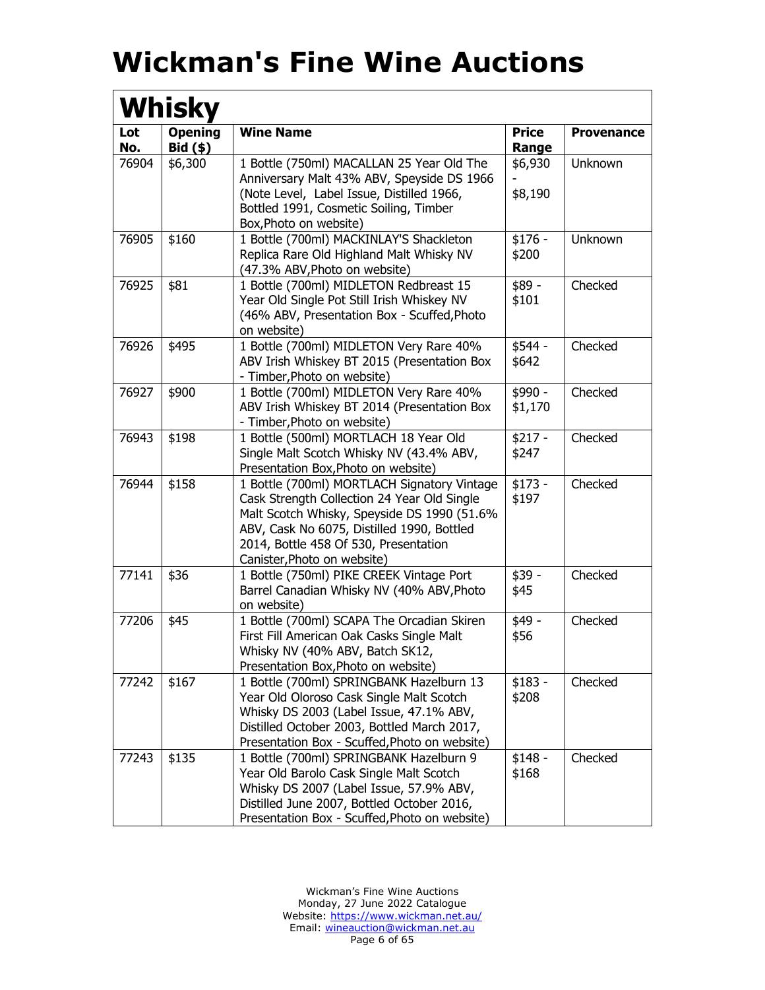|            | <b>Whisky</b>                |                                                                                                                                                                                                                                                                 |                       |                   |  |
|------------|------------------------------|-----------------------------------------------------------------------------------------------------------------------------------------------------------------------------------------------------------------------------------------------------------------|-----------------------|-------------------|--|
| Lot<br>No. | <b>Opening</b><br>$Bid($ \$) | <b>Wine Name</b>                                                                                                                                                                                                                                                | <b>Price</b><br>Range | <b>Provenance</b> |  |
| 76904      | \$6,300                      | 1 Bottle (750ml) MACALLAN 25 Year Old The<br>Anniversary Malt 43% ABV, Speyside DS 1966<br>(Note Level, Label Issue, Distilled 1966,<br>Bottled 1991, Cosmetic Soiling, Timber<br>Box, Photo on website)                                                        | \$6,930<br>\$8,190    | Unknown           |  |
| 76905      | \$160                        | 1 Bottle (700ml) MACKINLAY'S Shackleton<br>Replica Rare Old Highland Malt Whisky NV<br>(47.3% ABV, Photo on website)                                                                                                                                            | $$176 -$<br>\$200     | Unknown           |  |
| 76925      | \$81                         | 1 Bottle (700ml) MIDLETON Redbreast 15<br>Year Old Single Pot Still Irish Whiskey NV<br>(46% ABV, Presentation Box - Scuffed, Photo<br>on website)                                                                                                              | \$89 -<br>\$101       | Checked           |  |
| 76926      | \$495                        | 1 Bottle (700ml) MIDLETON Very Rare 40%<br>ABV Irish Whiskey BT 2015 (Presentation Box<br>- Timber, Photo on website)                                                                                                                                           | $$544 -$<br>\$642     | Checked           |  |
| 76927      | \$900                        | 1 Bottle (700ml) MIDLETON Very Rare 40%<br>ABV Irish Whiskey BT 2014 (Presentation Box<br>- Timber, Photo on website)                                                                                                                                           | \$990 -<br>\$1,170    | Checked           |  |
| 76943      | \$198                        | 1 Bottle (500ml) MORTLACH 18 Year Old<br>Single Malt Scotch Whisky NV (43.4% ABV,<br>Presentation Box, Photo on website)                                                                                                                                        | $$217 -$<br>\$247     | Checked           |  |
| 76944      | \$158                        | 1 Bottle (700ml) MORTLACH Signatory Vintage<br>Cask Strength Collection 24 Year Old Single<br>Malt Scotch Whisky, Speyside DS 1990 (51.6%<br>ABV, Cask No 6075, Distilled 1990, Bottled<br>2014, Bottle 458 Of 530, Presentation<br>Canister, Photo on website) | $$173 -$<br>\$197     | Checked           |  |
| 77141      | \$36                         | 1 Bottle (750ml) PIKE CREEK Vintage Port<br>Barrel Canadian Whisky NV (40% ABV, Photo<br>on website)                                                                                                                                                            | $$39 -$<br>\$45       | Checked           |  |
| 77206      | \$45                         | 1 Bottle (700ml) SCAPA The Orcadian Skiren<br>First Fill American Oak Casks Single Malt<br>Whisky NV (40% ABV, Batch SK12,<br>Presentation Box, Photo on website)                                                                                               | $$49 -$<br>\$56       | Checked           |  |
| 77242      | \$167                        | 1 Bottle (700ml) SPRINGBANK Hazelburn 13<br>Year Old Oloroso Cask Single Malt Scotch<br>Whisky DS 2003 (Label Issue, 47.1% ABV,<br>Distilled October 2003, Bottled March 2017,<br>Presentation Box - Scuffed, Photo on website)                                 | $$183 -$<br>\$208     | Checked           |  |
| 77243      | \$135                        | 1 Bottle (700ml) SPRINGBANK Hazelburn 9<br>Year Old Barolo Cask Single Malt Scotch<br>Whisky DS 2007 (Label Issue, 57.9% ABV,<br>Distilled June 2007, Bottled October 2016,<br>Presentation Box - Scuffed, Photo on website)                                    | $$148 -$<br>\$168     | Checked           |  |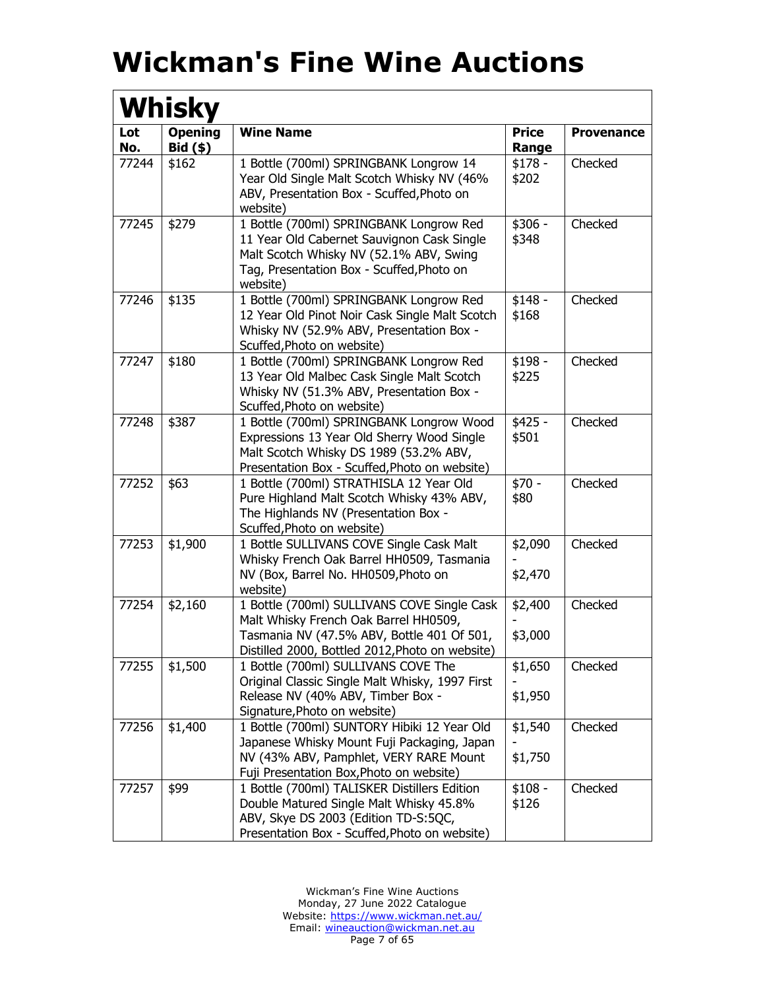|            | <b>Whisky</b>                |                                                                                                                                                                                           |                       |                   |  |
|------------|------------------------------|-------------------------------------------------------------------------------------------------------------------------------------------------------------------------------------------|-----------------------|-------------------|--|
| Lot<br>No. | <b>Opening</b><br>$Bid($ \$) | <b>Wine Name</b>                                                                                                                                                                          | <b>Price</b><br>Range | <b>Provenance</b> |  |
| 77244      | \$162                        | 1 Bottle (700ml) SPRINGBANK Longrow 14<br>Year Old Single Malt Scotch Whisky NV (46%<br>ABV, Presentation Box - Scuffed, Photo on<br>website)                                             | $$178 -$<br>\$202     | Checked           |  |
| 77245      | \$279                        | 1 Bottle (700ml) SPRINGBANK Longrow Red<br>11 Year Old Cabernet Sauvignon Cask Single<br>Malt Scotch Whisky NV (52.1% ABV, Swing<br>Tag, Presentation Box - Scuffed, Photo on<br>website) | $$306 -$<br>\$348     | Checked           |  |
| 77246      | \$135                        | 1 Bottle (700ml) SPRINGBANK Longrow Red<br>12 Year Old Pinot Noir Cask Single Malt Scotch<br>Whisky NV (52.9% ABV, Presentation Box -<br>Scuffed, Photo on website)                       | $$148 -$<br>\$168     | Checked           |  |
| 77247      | \$180                        | 1 Bottle (700ml) SPRINGBANK Longrow Red<br>13 Year Old Malbec Cask Single Malt Scotch<br>Whisky NV (51.3% ABV, Presentation Box -<br>Scuffed, Photo on website)                           | $$198 -$<br>\$225     | Checked           |  |
| 77248      | \$387                        | 1 Bottle (700ml) SPRINGBANK Longrow Wood<br>Expressions 13 Year Old Sherry Wood Single<br>Malt Scotch Whisky DS 1989 (53.2% ABV,<br>Presentation Box - Scuffed, Photo on website)         | $$425 -$<br>\$501     | Checked           |  |
| 77252      | \$63                         | 1 Bottle (700ml) STRATHISLA 12 Year Old<br>Pure Highland Malt Scotch Whisky 43% ABV,<br>The Highlands NV (Presentation Box -<br>Scuffed, Photo on website)                                | $$70 -$<br>\$80       | Checked           |  |
| 77253      | \$1,900                      | 1 Bottle SULLIVANS COVE Single Cask Malt<br>Whisky French Oak Barrel HH0509, Tasmania<br>NV (Box, Barrel No. HH0509, Photo on<br>website)                                                 | \$2,090<br>\$2,470    | Checked           |  |
| 77254      | \$2,160                      | 1 Bottle (700ml) SULLIVANS COVE Single Cask<br>Malt Whisky French Oak Barrel HH0509,<br>Tasmania NV (47.5% ABV, Bottle 401 Of 501,<br>Distilled 2000, Bottled 2012, Photo on website)     | \$2,400<br>\$3,000    | Checked           |  |
| 77255      | \$1,500                      | 1 Bottle (700ml) SULLIVANS COVE The<br>Original Classic Single Malt Whisky, 1997 First<br>Release NV (40% ABV, Timber Box -<br>Signature, Photo on website)                               | \$1,650<br>\$1,950    | Checked           |  |
| 77256      | \$1,400                      | 1 Bottle (700ml) SUNTORY Hibiki 12 Year Old<br>Japanese Whisky Mount Fuji Packaging, Japan<br>NV (43% ABV, Pamphlet, VERY RARE Mount<br>Fuji Presentation Box, Photo on website)          | \$1,540<br>\$1,750    | Checked           |  |
| 77257      | \$99                         | 1 Bottle (700ml) TALISKER Distillers Edition<br>Double Matured Single Malt Whisky 45.8%<br>ABV, Skye DS 2003 (Edition TD-S:5QC,<br>Presentation Box - Scuffed, Photo on website)          | $$108 -$<br>\$126     | Checked           |  |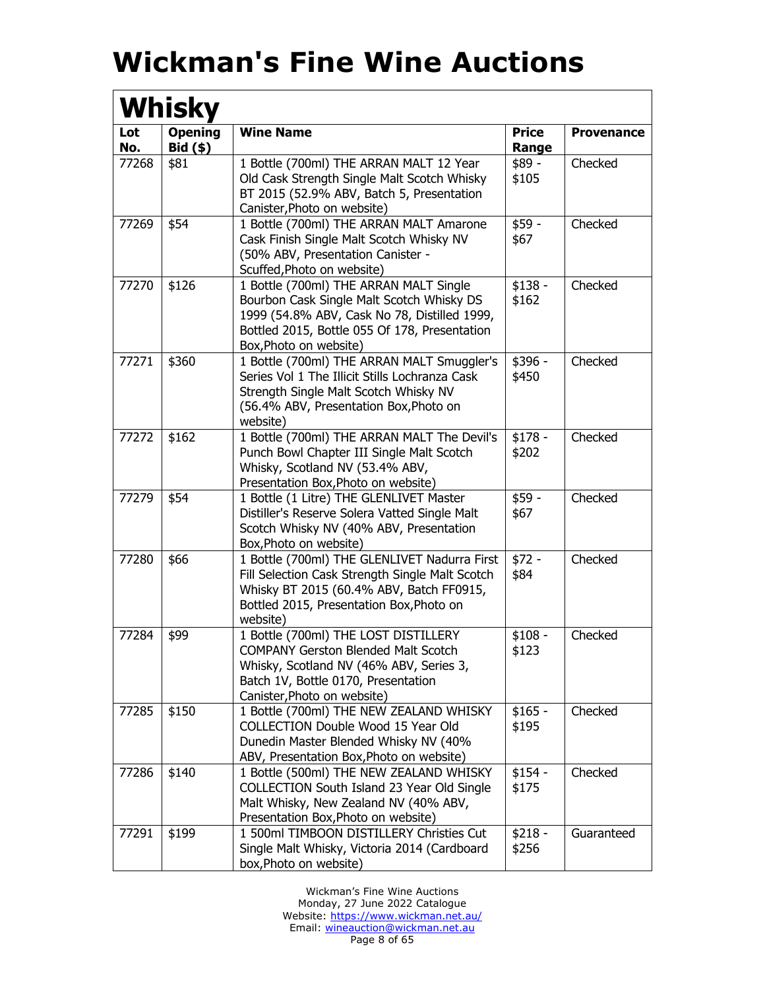|            | Whisky                       |                                                                                                                                                                                                                |                       |                   |
|------------|------------------------------|----------------------------------------------------------------------------------------------------------------------------------------------------------------------------------------------------------------|-----------------------|-------------------|
| Lot<br>No. | <b>Opening</b><br>$Bid($ \$) | <b>Wine Name</b>                                                                                                                                                                                               | <b>Price</b><br>Range | <b>Provenance</b> |
| 77268      | \$81                         | 1 Bottle (700ml) THE ARRAN MALT 12 Year<br>Old Cask Strength Single Malt Scotch Whisky<br>BT 2015 (52.9% ABV, Batch 5, Presentation<br>Canister, Photo on website)                                             | \$89 -<br>\$105       | Checked           |
| 77269      | \$54                         | 1 Bottle (700ml) THE ARRAN MALT Amarone<br>Cask Finish Single Malt Scotch Whisky NV<br>(50% ABV, Presentation Canister -<br>Scuffed, Photo on website)                                                         | \$59 -<br>\$67        | Checked           |
| 77270      | \$126                        | 1 Bottle (700ml) THE ARRAN MALT Single<br>Bourbon Cask Single Malt Scotch Whisky DS<br>1999 (54.8% ABV, Cask No 78, Distilled 1999,<br>Bottled 2015, Bottle 055 Of 178, Presentation<br>Box, Photo on website) | $$138 -$<br>\$162     | Checked           |
| 77271      | \$360                        | 1 Bottle (700ml) THE ARRAN MALT Smuggler's<br>Series Vol 1 The Illicit Stills Lochranza Cask<br>Strength Single Malt Scotch Whisky NV<br>(56.4% ABV, Presentation Box, Photo on<br>website)                    | \$396 -<br>\$450      | Checked           |
| 77272      | \$162                        | 1 Bottle (700ml) THE ARRAN MALT The Devil's<br>Punch Bowl Chapter III Single Malt Scotch<br>Whisky, Scotland NV (53.4% ABV,<br>Presentation Box, Photo on website)                                             | $$178 -$<br>\$202     | Checked           |
| 77279      | \$54                         | 1 Bottle (1 Litre) THE GLENLIVET Master<br>Distiller's Reserve Solera Vatted Single Malt<br>Scotch Whisky NV (40% ABV, Presentation<br>Box, Photo on website)                                                  | $$59 -$<br>\$67       | Checked           |
| 77280      | \$66                         | 1 Bottle (700ml) THE GLENLIVET Nadurra First<br>Fill Selection Cask Strength Single Malt Scotch<br>Whisky BT 2015 (60.4% ABV, Batch FF0915,<br>Bottled 2015, Presentation Box, Photo on<br>website)            | $$72 -$<br>\$84       | Checked           |
| 77284      | \$99                         | 1 Bottle (700ml) THE LOST DISTILLERY<br><b>COMPANY Gerston Blended Malt Scotch</b><br>Whisky, Scotland NV (46% ABV, Series 3,<br>Batch 1V, Bottle 0170, Presentation<br>Canister, Photo on website)            | $$108 -$<br>\$123     | Checked           |
| 77285      | \$150                        | 1 Bottle (700ml) THE NEW ZEALAND WHISKY<br>COLLECTION Double Wood 15 Year Old<br>Dunedin Master Blended Whisky NV (40%<br>ABV, Presentation Box, Photo on website)                                             | $$165 -$<br>\$195     | Checked           |
| 77286      | \$140                        | 1 Bottle (500ml) THE NEW ZEALAND WHISKY<br>COLLECTION South Island 23 Year Old Single<br>Malt Whisky, New Zealand NV (40% ABV,<br>Presentation Box, Photo on website)                                          | $$154 -$<br>\$175     | Checked           |
| 77291      | \$199                        | 1 500ml TIMBOON DISTILLERY Christies Cut<br>Single Malt Whisky, Victoria 2014 (Cardboard<br>box, Photo on website)                                                                                             | $$218 -$<br>\$256     | Guaranteed        |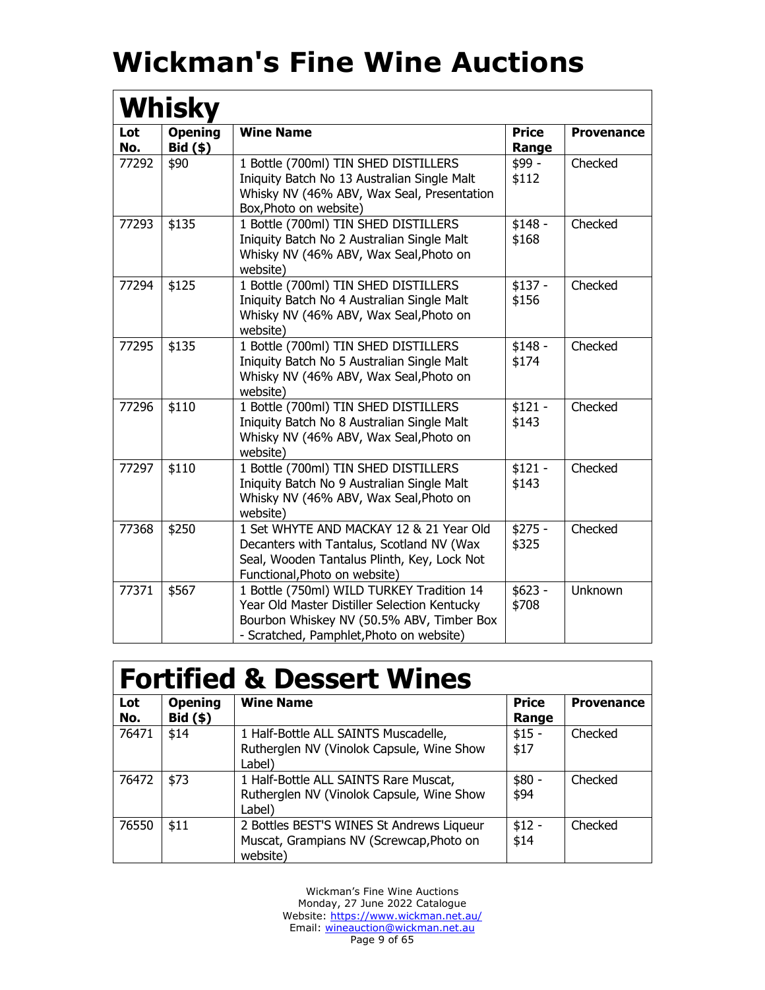|            | Whisky                       |                                                                                                                                                                                    |                       |                   |  |
|------------|------------------------------|------------------------------------------------------------------------------------------------------------------------------------------------------------------------------------|-----------------------|-------------------|--|
| Lot<br>No. | <b>Opening</b><br>$Bid($ \$) | <b>Wine Name</b>                                                                                                                                                                   | <b>Price</b><br>Range | <b>Provenance</b> |  |
| 77292      | \$90                         | 1 Bottle (700ml) TIN SHED DISTILLERS<br>Iniquity Batch No 13 Australian Single Malt<br>Whisky NV (46% ABV, Wax Seal, Presentation<br>Box, Photo on website)                        | \$99 -<br>\$112       | Checked           |  |
| 77293      | \$135                        | 1 Bottle (700ml) TIN SHED DISTILLERS<br>Iniquity Batch No 2 Australian Single Malt<br>Whisky NV (46% ABV, Wax Seal, Photo on<br>website)                                           | $$148 -$<br>\$168     | Checked           |  |
| 77294      | \$125                        | 1 Bottle (700ml) TIN SHED DISTILLERS<br>Iniquity Batch No 4 Australian Single Malt<br>Whisky NV (46% ABV, Wax Seal, Photo on<br>website)                                           | $$137 -$<br>\$156     | Checked           |  |
| 77295      | \$135                        | 1 Bottle (700ml) TIN SHED DISTILLERS<br>Iniquity Batch No 5 Australian Single Malt<br>Whisky NV (46% ABV, Wax Seal, Photo on<br>website)                                           | $$148 -$<br>\$174     | Checked           |  |
| 77296      | \$110                        | 1 Bottle (700ml) TIN SHED DISTILLERS<br>Iniquity Batch No 8 Australian Single Malt<br>Whisky NV (46% ABV, Wax Seal, Photo on<br>website)                                           | $$121 -$<br>\$143     | Checked           |  |
| 77297      | \$110                        | 1 Bottle (700ml) TIN SHED DISTILLERS<br>Iniquity Batch No 9 Australian Single Malt<br>Whisky NV (46% ABV, Wax Seal, Photo on<br>website)                                           | $$121 -$<br>\$143     | Checked           |  |
| 77368      | \$250                        | 1 Set WHYTE AND MACKAY 12 & 21 Year Old<br>Decanters with Tantalus, Scotland NV (Wax<br>Seal, Wooden Tantalus Plinth, Key, Lock Not<br>Functional, Photo on website)               | $$275 -$<br>\$325     | Checked           |  |
| 77371      | \$567                        | 1 Bottle (750ml) WILD TURKEY Tradition 14<br>Year Old Master Distiller Selection Kentucky<br>Bourbon Whiskey NV (50.5% ABV, Timber Box<br>- Scratched, Pamphlet, Photo on website) | $$623 -$<br>\$708     | Unknown           |  |

#### **Fortified & Dessert Wines**

| Lot<br>No. | <b>Opening</b><br>$Bid($ \$) | <b>Wine Name</b>                                                                                  | <b>Price</b><br>Range | <b>Provenance</b> |  |
|------------|------------------------------|---------------------------------------------------------------------------------------------------|-----------------------|-------------------|--|
| 76471      | \$14                         | 1 Half-Bottle ALL SAINTS Muscadelle,<br>Rutherglen NV (Vinolok Capsule, Wine Show<br>Label)       | $$15 -$<br>\$17       | Checked           |  |
| 76472      | \$73                         | 1 Half-Bottle ALL SAINTS Rare Muscat,<br>Rutherglen NV (Vinolok Capsule, Wine Show<br>Label)      | $$80 -$<br>\$94       | Checked           |  |
| 76550      | \$11                         | 2 Bottles BEST'S WINES St Andrews Liqueur<br>Muscat, Grampians NV (Screwcap, Photo on<br>website) | $$12 -$<br>\$14       | Checked           |  |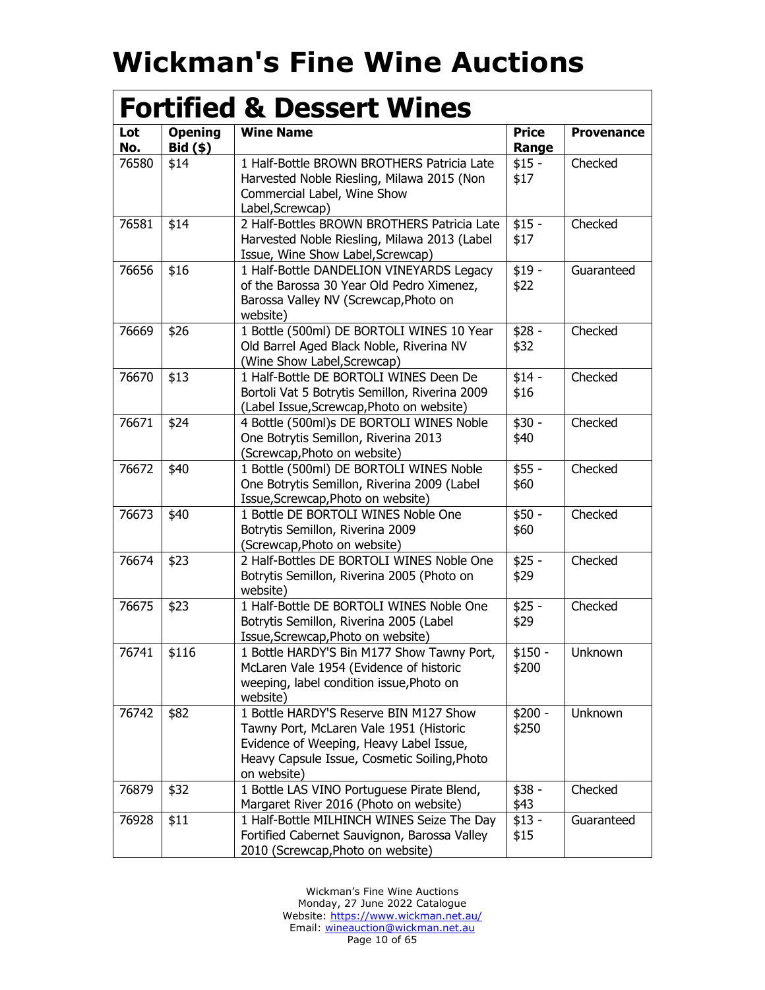#### **Fortified & Dessert Wines**

| Lot<br>No. | <b>Opening</b><br><b>Bid (\$)</b> | <b>Wine Name</b>                                                                                                                                                                            | <b>Price</b><br>Range | <b>Provenance</b> |
|------------|-----------------------------------|---------------------------------------------------------------------------------------------------------------------------------------------------------------------------------------------|-----------------------|-------------------|
| 76580      | \$14                              | 1 Half-Bottle BROWN BROTHERS Patricia Late<br>Harvested Noble Riesling, Milawa 2015 (Non<br>Commercial Label, Wine Show<br>Label, Screwcap)                                                 | $$15 -$<br>\$17       | Checked           |
| 76581      | \$14                              | 2 Half-Bottles BROWN BROTHERS Patricia Late<br>Harvested Noble Riesling, Milawa 2013 (Label<br>Issue, Wine Show Label, Screwcap)                                                            | $$15 -$<br>\$17       | Checked           |
| 76656      | \$16                              | 1 Half-Bottle DANDELION VINEYARDS Legacy<br>of the Barossa 30 Year Old Pedro Ximenez,<br>Barossa Valley NV (Screwcap, Photo on<br>website)                                                  | $$19 -$<br>\$22       | Guaranteed        |
| 76669      | \$26                              | 1 Bottle (500ml) DE BORTOLI WINES 10 Year<br>Old Barrel Aged Black Noble, Riverina NV<br>(Wine Show Label, Screwcap)                                                                        | $$28 -$<br>\$32       | Checked           |
| 76670      | \$13                              | 1 Half-Bottle DE BORTOLI WINES Deen De<br>Bortoli Vat 5 Botrytis Semillon, Riverina 2009<br>(Label Issue, Screwcap, Photo on website)                                                       | $$14 -$<br>\$16       | Checked           |
| 76671      | \$24                              | 4 Bottle (500ml)s DE BORTOLI WINES Noble<br>One Botrytis Semillon, Riverina 2013<br>(Screwcap, Photo on website)                                                                            | $$30 -$<br>\$40       | Checked           |
| 76672      | \$40                              | 1 Bottle (500ml) DE BORTOLI WINES Noble<br>One Botrytis Semillon, Riverina 2009 (Label<br>Issue, Screwcap, Photo on website)                                                                | \$55 -<br>\$60        | Checked           |
| 76673      | \$40                              | 1 Bottle DE BORTOLI WINES Noble One<br>Botrytis Semillon, Riverina 2009<br>(Screwcap, Photo on website)                                                                                     | $$50 -$<br>\$60       | Checked           |
| 76674      | \$23                              | 2 Half-Bottles DE BORTOLI WINES Noble One<br>Botrytis Semillon, Riverina 2005 (Photo on<br>website)                                                                                         | $$25 -$<br>\$29       | Checked           |
| 76675      | \$23                              | 1 Half-Bottle DE BORTOLI WINES Noble One<br>Botrytis Semillon, Riverina 2005 (Label<br>Issue, Screwcap, Photo on website)                                                                   | $$25 -$<br>\$29       | Checked           |
| 76741      | \$116                             | 1 Bottle HARDY'S Bin M177 Show Tawny Port,<br>McLaren Vale 1954 (Evidence of historic<br>weeping, label condition issue, Photo on<br>website)                                               | $$150 -$<br>\$200     | Unknown           |
| 76742      | \$82                              | 1 Bottle HARDY'S Reserve BIN M127 Show<br>Tawny Port, McLaren Vale 1951 (Historic<br>Evidence of Weeping, Heavy Label Issue,<br>Heavy Capsule Issue, Cosmetic Soiling, Photo<br>on website) | $$200 -$<br>\$250     | Unknown           |
| 76879      | \$32                              | 1 Bottle LAS VINO Portuguese Pirate Blend,<br>Margaret River 2016 (Photo on website)                                                                                                        | $$38 -$<br>\$43       | Checked           |
| 76928      | \$11                              | 1 Half-Bottle MILHINCH WINES Seize The Day<br>Fortified Cabernet Sauvignon, Barossa Valley<br>2010 (Screwcap, Photo on website)                                                             | $$13 -$<br>\$15       | Guaranteed        |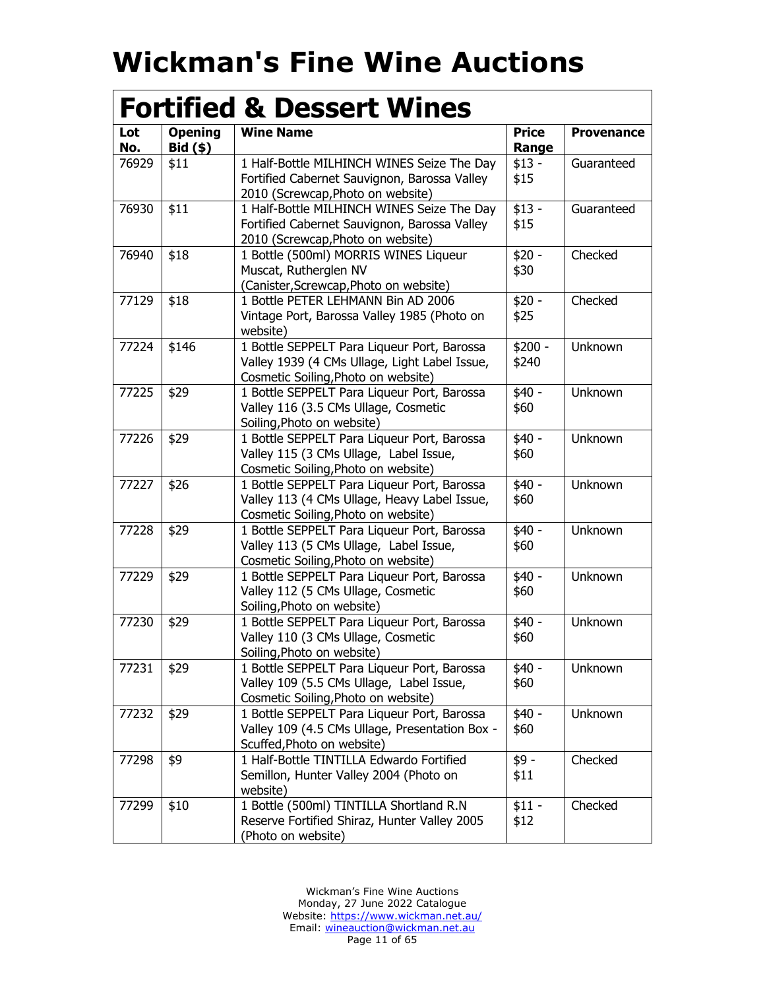#### **Fortified & Dessert Wines**

| Lot<br>No. | <b>Opening</b><br>$Bid($ \$) | <b>Wine Name</b>                                                                                                                    | <b>Price</b><br>Range | <b>Provenance</b> |
|------------|------------------------------|-------------------------------------------------------------------------------------------------------------------------------------|-----------------------|-------------------|
| 76929      | \$11                         | 1 Half-Bottle MILHINCH WINES Seize The Day<br>Fortified Cabernet Sauvignon, Barossa Valley<br>2010 (Screwcap, Photo on website)     | $$13 -$<br>\$15       | Guaranteed        |
| 76930      | \$11                         | 1 Half-Bottle MILHINCH WINES Seize The Day<br>Fortified Cabernet Sauvignon, Barossa Valley<br>2010 (Screwcap, Photo on website)     | $$13 -$<br>\$15       | Guaranteed        |
| 76940      | \$18                         | 1 Bottle (500ml) MORRIS WINES Liqueur<br>Muscat, Rutherglen NV<br>(Canister, Screwcap, Photo on website)                            | $$20 -$<br>\$30       | Checked           |
| 77129      | \$18                         | 1 Bottle PETER LEHMANN Bin AD 2006<br>Vintage Port, Barossa Valley 1985 (Photo on<br>website)                                       | $$20 -$<br>\$25       | Checked           |
| 77224      | \$146                        | 1 Bottle SEPPELT Para Liqueur Port, Barossa<br>Valley 1939 (4 CMs Ullage, Light Label Issue,<br>Cosmetic Soiling, Photo on website) | $$200 -$<br>\$240     | Unknown           |
| 77225      | \$29                         | 1 Bottle SEPPELT Para Liqueur Port, Barossa<br>Valley 116 (3.5 CMs Ullage, Cosmetic<br>Soiling, Photo on website)                   | $$40 -$<br>\$60       | Unknown           |
| 77226      | \$29                         | 1 Bottle SEPPELT Para Liqueur Port, Barossa<br>Valley 115 (3 CMs Ullage, Label Issue,<br>Cosmetic Soiling, Photo on website)        | $$40 -$<br>\$60       | Unknown           |
| 77227      | \$26                         | 1 Bottle SEPPELT Para Liqueur Port, Barossa<br>Valley 113 (4 CMs Ullage, Heavy Label Issue,<br>Cosmetic Soiling, Photo on website)  | $$40 -$<br>\$60       | Unknown           |
| 77228      | \$29                         | 1 Bottle SEPPELT Para Liqueur Port, Barossa<br>Valley 113 (5 CMs Ullage, Label Issue,<br>Cosmetic Soiling, Photo on website)        | $$40 -$<br>\$60       | Unknown           |
| 77229      | \$29                         | 1 Bottle SEPPELT Para Liqueur Port, Barossa<br>Valley 112 (5 CMs Ullage, Cosmetic<br>Soiling, Photo on website)                     | $$40 -$<br>\$60       | Unknown           |
| 77230      | \$29                         | 1 Bottle SEPPELT Para Liqueur Port, Barossa<br>Valley 110 (3 CMs Ullage, Cosmetic<br>Soiling, Photo on website)                     | $$40 -$<br>\$60       | Unknown           |
| 77231      | \$29                         | 1 Bottle SEPPELT Para Liqueur Port, Barossa<br>Valley 109 (5.5 CMs Ullage, Label Issue,<br>Cosmetic Soiling, Photo on website)      | $$40 -$<br>\$60       | Unknown           |
| 77232      | \$29                         | 1 Bottle SEPPELT Para Liqueur Port, Barossa<br>Valley 109 (4.5 CMs Ullage, Presentation Box -<br>Scuffed, Photo on website)         | $$40 -$<br>\$60       | Unknown           |
| 77298      | \$9                          | 1 Half-Bottle TINTILLA Edwardo Fortified<br>Semillon, Hunter Valley 2004 (Photo on<br>website)                                      | $$9 -$<br>\$11        | Checked           |
| 77299      | \$10                         | 1 Bottle (500ml) TINTILLA Shortland R.N<br>Reserve Fortified Shiraz, Hunter Valley 2005<br>(Photo on website)                       | $$11 -$<br>\$12       | Checked           |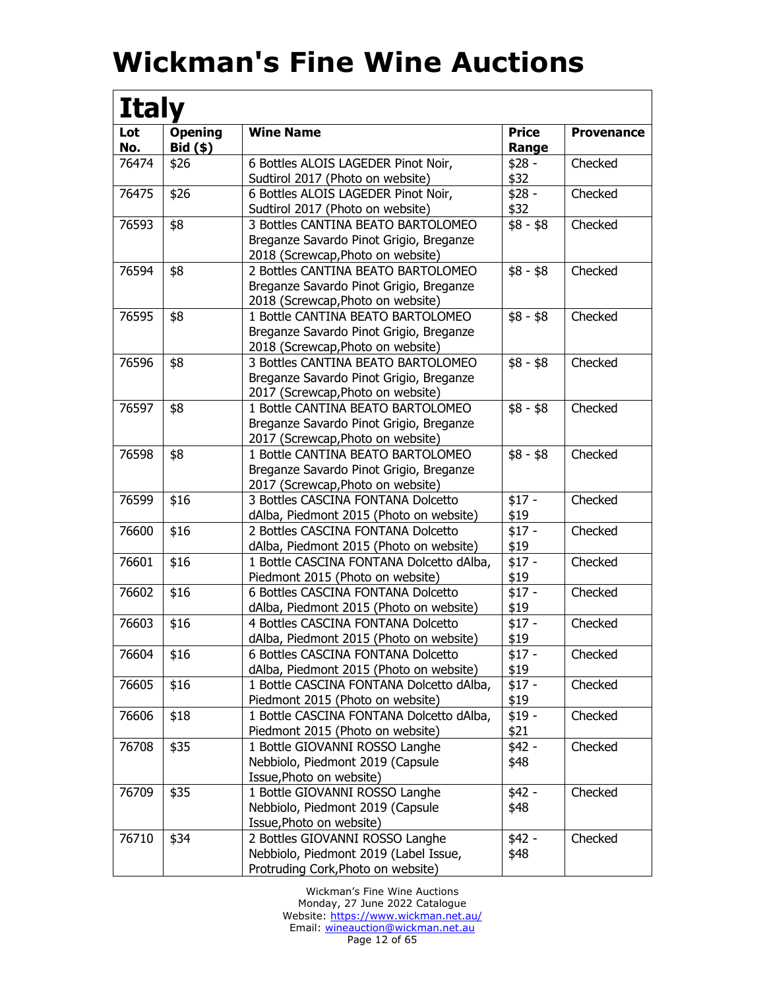|            | <b>Italy</b>                 |                                                                              |                       |                   |  |  |
|------------|------------------------------|------------------------------------------------------------------------------|-----------------------|-------------------|--|--|
| Lot<br>No. | <b>Opening</b><br>$Bid($ \$) | <b>Wine Name</b>                                                             | <b>Price</b><br>Range | <b>Provenance</b> |  |  |
| 76474      | \$26                         | 6 Bottles ALOIS LAGEDER Pinot Noir,                                          | $$28 -$               | Checked           |  |  |
|            |                              | Sudtirol 2017 (Photo on website)                                             | \$32                  |                   |  |  |
| 76475      | \$26                         | 6 Bottles ALOIS LAGEDER Pinot Noir,                                          | $$28 -$               | Checked           |  |  |
|            |                              | Sudtirol 2017 (Photo on website)                                             | \$32                  |                   |  |  |
| 76593      | \$8                          | 3 Bottles CANTINA BEATO BARTOLOMEO                                           | $$8 - $8$             | Checked           |  |  |
|            |                              | Breganze Savardo Pinot Grigio, Breganze                                      |                       |                   |  |  |
|            |                              | 2018 (Screwcap, Photo on website)                                            |                       |                   |  |  |
| 76594      | \$8                          | 2 Bottles CANTINA BEATO BARTOLOMEO                                           | $$8 - $8$             | Checked           |  |  |
|            |                              | Breganze Savardo Pinot Grigio, Breganze                                      |                       |                   |  |  |
|            |                              | 2018 (Screwcap, Photo on website)                                            |                       |                   |  |  |
| 76595      | \$8                          | 1 Bottle CANTINA BEATO BARTOLOMEO                                            | $$8 - $8$             | Checked           |  |  |
|            |                              | Breganze Savardo Pinot Grigio, Breganze                                      |                       |                   |  |  |
|            |                              | 2018 (Screwcap, Photo on website)                                            |                       |                   |  |  |
| 76596      | \$8                          | 3 Bottles CANTINA BEATO BARTOLOMEO                                           | $$8 - $8$             | Checked           |  |  |
|            |                              | Breganze Savardo Pinot Grigio, Breganze                                      |                       |                   |  |  |
|            |                              | 2017 (Screwcap, Photo on website)                                            |                       |                   |  |  |
| 76597      | \$8                          | 1 Bottle CANTINA BEATO BARTOLOMEO                                            | $$8 - $8$             | Checked           |  |  |
|            |                              | Breganze Savardo Pinot Grigio, Breganze                                      |                       |                   |  |  |
|            |                              | 2017 (Screwcap, Photo on website)                                            |                       |                   |  |  |
| 76598      | \$8                          | 1 Bottle CANTINA BEATO BARTOLOMEO                                            | $$8 - $8$             | Checked           |  |  |
|            |                              | Breganze Savardo Pinot Grigio, Breganze                                      |                       |                   |  |  |
|            |                              | 2017 (Screwcap, Photo on website)                                            |                       |                   |  |  |
| 76599      | \$16                         | 3 Bottles CASCINA FONTANA Dolcetto                                           | $$17 -$               | Checked           |  |  |
|            |                              | dAlba, Piedmont 2015 (Photo on website)                                      | \$19                  |                   |  |  |
| 76600      | \$16                         | 2 Bottles CASCINA FONTANA Dolcetto                                           | $$17 -$               | Checked           |  |  |
|            |                              | dAlba, Piedmont 2015 (Photo on website)                                      | \$19                  |                   |  |  |
| 76601      | \$16                         | 1 Bottle CASCINA FONTANA Dolcetto dAlba,                                     | $$17 -$               | Checked           |  |  |
|            |                              | Piedmont 2015 (Photo on website)                                             | \$19                  |                   |  |  |
| 76602      | \$16                         | 6 Bottles CASCINA FONTANA Dolcetto                                           | $$17 -$               | Checked           |  |  |
|            |                              | dAlba, Piedmont 2015 (Photo on website)                                      | \$19                  |                   |  |  |
| 76603      | \$16                         | 4 Bottles CASCINA FONTANA Dolcetto                                           | $$17 -$               | Checked           |  |  |
|            |                              | dAlba, Piedmont 2015 (Photo on website)                                      | \$19                  |                   |  |  |
| 76604      | \$16                         | 6 Bottles CASCINA FONTANA Dolcetto                                           | $$17 -$               | Checked           |  |  |
|            |                              | dAlba, Piedmont 2015 (Photo on website)                                      | \$19                  | Checked           |  |  |
| 76605      | \$16                         | 1 Bottle CASCINA FONTANA Dolcetto dAlba,                                     | $$17 -$               |                   |  |  |
|            |                              | Piedmont 2015 (Photo on website)<br>1 Bottle CASCINA FONTANA Dolcetto dAlba, | \$19                  | Checked           |  |  |
| 76606      | \$18                         | Piedmont 2015 (Photo on website)                                             | \$19 -<br>\$21        |                   |  |  |
|            |                              | 1 Bottle GIOVANNI ROSSO Langhe                                               |                       |                   |  |  |
| 76708      | \$35                         | Nebbiolo, Piedmont 2019 (Capsule                                             | \$42 -<br>\$48        | Checked           |  |  |
|            |                              | Issue, Photo on website)                                                     |                       |                   |  |  |
| 76709      | \$35                         | 1 Bottle GIOVANNI ROSSO Langhe                                               | $$42 -$               | Checked           |  |  |
|            |                              | Nebbiolo, Piedmont 2019 (Capsule                                             | \$48                  |                   |  |  |
|            |                              | Issue, Photo on website)                                                     |                       |                   |  |  |
| 76710      | \$34                         | 2 Bottles GIOVANNI ROSSO Langhe                                              | \$42 -                | Checked           |  |  |
|            |                              | Nebbiolo, Piedmont 2019 (Label Issue,                                        | \$48                  |                   |  |  |
|            |                              | Protruding Cork, Photo on website)                                           |                       |                   |  |  |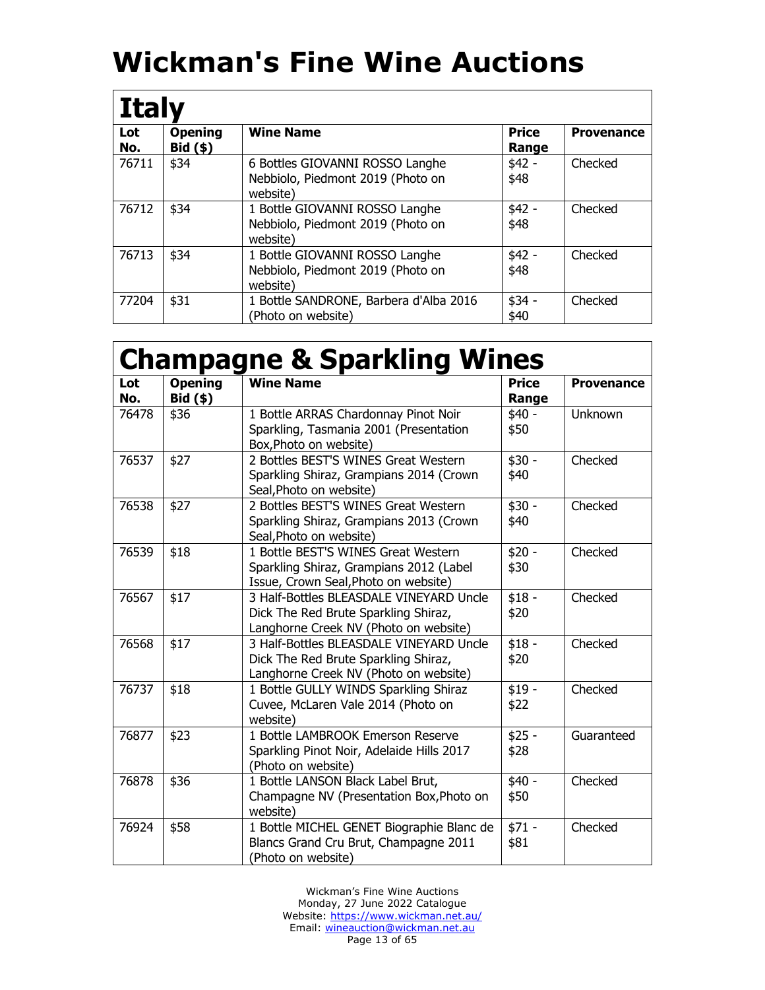| <b>Italy</b> |                              |                                                                                  |                       |                   |  |
|--------------|------------------------------|----------------------------------------------------------------------------------|-----------------------|-------------------|--|
| Lot<br>No.   | <b>Opening</b><br>$Bid($ \$) | <b>Wine Name</b>                                                                 | <b>Price</b><br>Range | <b>Provenance</b> |  |
| 76711        | \$34                         | 6 Bottles GIOVANNI ROSSO Langhe<br>Nebbiolo, Piedmont 2019 (Photo on<br>website) | $$42 -$<br>\$48       | Checked           |  |
| 76712        | \$34                         | 1 Bottle GIOVANNI ROSSO Langhe<br>Nebbiolo, Piedmont 2019 (Photo on<br>website)  | $$42 -$<br>\$48       | Checked           |  |
| 76713        | \$34                         | 1 Bottle GIOVANNI ROSSO Langhe<br>Nebbiolo, Piedmont 2019 (Photo on<br>website)  | $$42 -$<br>\$48       | Checked           |  |
| 77204        | \$31                         | 1 Bottle SANDRONE, Barbera d'Alba 2016<br>'Photo on website)                     | $$34 -$<br>\$40       | Checked           |  |

#### **Champagne & Sparkling Wines**

| Lot<br>No. | <b>Opening</b><br>Bid (\$) | <b>Wine Name</b>                                                                                                         | <b>Price</b><br>Range | <b>Provenance</b> |
|------------|----------------------------|--------------------------------------------------------------------------------------------------------------------------|-----------------------|-------------------|
| 76478      | \$36                       | 1 Bottle ARRAS Chardonnay Pinot Noir<br>Sparkling, Tasmania 2001 (Presentation<br>Box, Photo on website)                 | $$40 -$<br>\$50       | <b>Unknown</b>    |
| 76537      | \$27                       | 2 Bottles BEST'S WINES Great Western<br>Sparkling Shiraz, Grampians 2014 (Crown<br>Seal, Photo on website)               | $$30 -$<br>\$40       | Checked           |
| 76538      | \$27                       | 2 Bottles BEST'S WINES Great Western<br>Sparkling Shiraz, Grampians 2013 (Crown<br>Seal, Photo on website)               | $$30 -$<br>\$40       | Checked           |
| 76539      | \$18                       | 1 Bottle BEST'S WINES Great Western<br>Sparkling Shiraz, Grampians 2012 (Label<br>Issue, Crown Seal, Photo on website)   | $$20 -$<br>\$30       | Checked           |
| 76567      | \$17                       | 3 Half-Bottles BLEASDALE VINEYARD Uncle<br>Dick The Red Brute Sparkling Shiraz,<br>Langhorne Creek NV (Photo on website) | $$18 -$<br>\$20       | Checked           |
| 76568      | \$17                       | 3 Half-Bottles BLEASDALE VINEYARD Uncle<br>Dick The Red Brute Sparkling Shiraz,<br>Langhorne Creek NV (Photo on website) | $$18 -$<br>\$20       | Checked           |
| 76737      | \$18                       | 1 Bottle GULLY WINDS Sparkling Shiraz<br>Cuvee, McLaren Vale 2014 (Photo on<br>website)                                  | $$19 -$<br>\$22       | Checked           |
| 76877      | \$23                       | 1 Bottle LAMBROOK Emerson Reserve<br>Sparkling Pinot Noir, Adelaide Hills 2017<br>(Photo on website)                     | $$25 -$<br>\$28       | Guaranteed        |
| 76878      | \$36                       | 1 Bottle LANSON Black Label Brut,<br>Champagne NV (Presentation Box, Photo on<br>website)                                | $$40 -$<br>\$50       | Checked           |
| 76924      | \$58                       | 1 Bottle MICHEL GENET Biographie Blanc de<br>Blancs Grand Cru Brut, Champagne 2011<br>(Photo on website)                 | $$71 -$<br>\$81       | Checked           |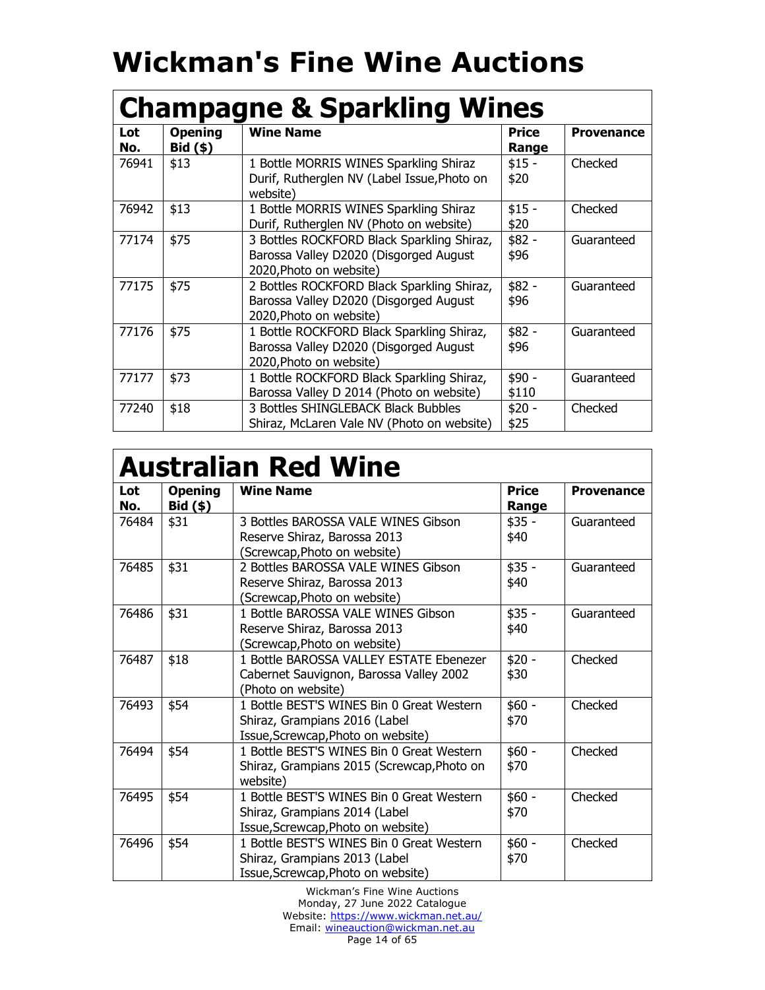| <b>Champagne &amp; Sparkling Wines</b> |                            |                                                                                                                 |                       |                   |  |
|----------------------------------------|----------------------------|-----------------------------------------------------------------------------------------------------------------|-----------------------|-------------------|--|
| Lot<br>No.                             | <b>Opening</b><br>Bid (\$) | <b>Wine Name</b>                                                                                                | <b>Price</b><br>Range | <b>Provenance</b> |  |
| 76941                                  | \$13                       | 1 Bottle MORRIS WINES Sparkling Shiraz<br>Durif, Rutherglen NV (Label Issue, Photo on<br>website)               | $$15 -$<br>\$20       | Checked           |  |
| 76942                                  | \$13                       | 1 Bottle MORRIS WINES Sparkling Shiraz<br>Durif, Rutherglen NV (Photo on website)                               | $$15 -$<br>\$20       | Checked           |  |
| 77174                                  | \$75                       | 3 Bottles ROCKFORD Black Sparkling Shiraz,<br>Barossa Valley D2020 (Disgorged August<br>2020, Photo on website) | $$82 -$<br>\$96       | Guaranteed        |  |
| 77175                                  | \$75                       | 2 Bottles ROCKFORD Black Sparkling Shiraz,<br>Barossa Valley D2020 (Disgorged August<br>2020, Photo on website) | $$82 -$<br>\$96       | Guaranteed        |  |
| 77176                                  | \$75                       | 1 Bottle ROCKFORD Black Sparkling Shiraz,<br>Barossa Valley D2020 (Disgorged August<br>2020, Photo on website)  | $$82 -$<br>\$96       | Guaranteed        |  |
| 77177                                  | \$73                       | 1 Bottle ROCKFORD Black Sparkling Shiraz,<br>Barossa Valley D 2014 (Photo on website)                           | \$90 -<br>\$110       | Guaranteed        |  |
| 77240                                  | \$18                       | 3 Bottles SHINGLEBACK Black Bubbles<br>Shiraz, McLaren Vale NV (Photo on website)                               | $$20 -$<br>\$25       | Checked           |  |

#### **Australian Red Wine**

| Lot<br>No. | <b>Opening</b><br>$Bid($ \$) | <b>Wine Name</b>                           | <b>Price</b><br>Range | <b>Provenance</b> |
|------------|------------------------------|--------------------------------------------|-----------------------|-------------------|
| 76484      | \$31                         | 3 Bottles BAROSSA VALE WINES Gibson        | $$35 -$               | Guaranteed        |
|            |                              | Reserve Shiraz, Barossa 2013               | \$40                  |                   |
|            |                              | (Screwcap, Photo on website)               |                       |                   |
| 76485      | \$31                         | 2 Bottles BAROSSA VALE WINES Gibson        | $$35 -$               | Guaranteed        |
|            |                              | Reserve Shiraz, Barossa 2013               | \$40                  |                   |
|            |                              | (Screwcap, Photo on website)               |                       |                   |
| 76486      | \$31                         | 1 Bottle BAROSSA VALE WINES Gibson         | $$35 -$               | Guaranteed        |
|            |                              | Reserve Shiraz, Barossa 2013               | \$40                  |                   |
|            |                              | (Screwcap, Photo on website)               |                       |                   |
| 76487      | \$18                         | 1 Bottle BAROSSA VALLEY ESTATE Ebenezer    | $$20 -$               | Checked           |
|            |                              | Cabernet Sauvignon, Barossa Valley 2002    | \$30                  |                   |
|            |                              | (Photo on website)                         |                       |                   |
| 76493      | \$54                         | 1 Bottle BEST'S WINES Bin 0 Great Western  | $$60 -$               | Checked           |
|            |                              | Shiraz, Grampians 2016 (Label              | \$70                  |                   |
|            |                              | Issue, Screwcap, Photo on website)         |                       |                   |
| 76494      | \$54                         | 1 Bottle BEST'S WINES Bin 0 Great Western  | $$60 -$               | Checked           |
|            |                              | Shiraz, Grampians 2015 (Screwcap, Photo on | \$70                  |                   |
|            |                              | website)                                   |                       |                   |
| 76495      | \$54                         | 1 Bottle BEST'S WINES Bin 0 Great Western  | $$60 -$               | Checked           |
|            |                              | Shiraz, Grampians 2014 (Label              | \$70                  |                   |
|            |                              | Issue, Screwcap, Photo on website)         |                       |                   |
| 76496      | \$54                         | 1 Bottle BEST'S WINES Bin 0 Great Western  | $$60 -$               | Checked           |
|            |                              | Shiraz, Grampians 2013 (Label              | \$70                  |                   |
|            |                              | Issue, Screwcap, Photo on website)         |                       |                   |

Wickman's Fine Wine Auctions Monday, 27 June 2022 Catalogue Website:<https://www.wickman.net.au/> Email: [wineauction@wickman.net.au](mailto:wineauction@wickman.net.au) Page 14 of 65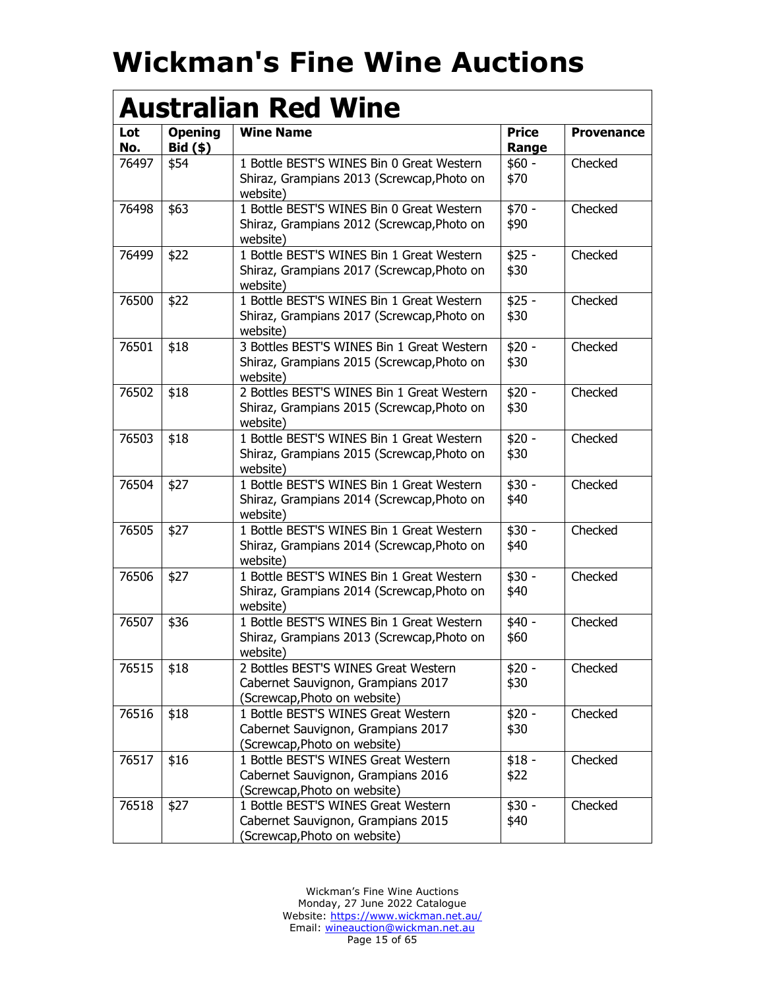|            | <b>Australian Red Wine</b>   |                                                                                                            |                       |                   |  |
|------------|------------------------------|------------------------------------------------------------------------------------------------------------|-----------------------|-------------------|--|
| Lot<br>No. | <b>Opening</b><br>$Bid($ \$) | <b>Wine Name</b>                                                                                           | <b>Price</b><br>Range | <b>Provenance</b> |  |
| 76497      | \$54                         | 1 Bottle BEST'S WINES Bin 0 Great Western<br>Shiraz, Grampians 2013 (Screwcap, Photo on<br>website)        | $$60 -$<br>\$70       | Checked           |  |
| 76498      | \$63                         | 1 Bottle BEST'S WINES Bin 0 Great Western<br>Shiraz, Grampians 2012 (Screwcap, Photo on<br>website)        | \$70 -<br>\$90        | Checked           |  |
| 76499      | \$22                         | 1 Bottle BEST'S WINES Bin 1 Great Western<br>Shiraz, Grampians 2017 (Screwcap, Photo on<br>website)        | $$25 -$<br>\$30       | Checked           |  |
| 76500      | \$22                         | 1 Bottle BEST'S WINES Bin 1 Great Western<br>Shiraz, Grampians 2017 (Screwcap, Photo on<br>website)        | $$25 -$<br>\$30       | Checked           |  |
| 76501      | \$18                         | 3 Bottles BEST'S WINES Bin 1 Great Western<br>Shiraz, Grampians 2015 (Screwcap, Photo on<br>website)       | $$20 -$<br>\$30       | Checked           |  |
| 76502      | \$18                         | 2 Bottles BEST'S WINES Bin 1 Great Western<br>Shiraz, Grampians 2015 (Screwcap, Photo on<br>website)       | $$20 -$<br>\$30       | Checked           |  |
| 76503      | \$18                         | 1 Bottle BEST'S WINES Bin 1 Great Western<br>Shiraz, Grampians 2015 (Screwcap, Photo on<br>website)        | $$20 -$<br>\$30       | Checked           |  |
| 76504      | \$27                         | 1 Bottle BEST'S WINES Bin 1 Great Western<br>Shiraz, Grampians 2014 (Screwcap, Photo on<br>website)        | $$30 -$<br>\$40       | Checked           |  |
| 76505      | \$27                         | 1 Bottle BEST'S WINES Bin 1 Great Western<br>Shiraz, Grampians 2014 (Screwcap, Photo on<br>website)        | $$30 -$<br>\$40       | Checked           |  |
| 76506      | \$27                         | 1 Bottle BEST'S WINES Bin 1 Great Western<br>Shiraz, Grampians 2014 (Screwcap, Photo on<br>website)        | $$30 -$<br>\$40       | Checked           |  |
| 76507      | \$36                         | 1 Bottle BEST'S WINES Bin 1 Great Western<br>Shiraz, Grampians 2013 (Screwcap, Photo on<br>website)        | $$40 -$<br>\$60       | Checked           |  |
| 76515      | \$18                         | 2 Bottles BEST'S WINES Great Western<br>Cabernet Sauvignon, Grampians 2017<br>(Screwcap, Photo on website) | $$20 -$<br>\$30       | Checked           |  |
| 76516      | \$18                         | 1 Bottle BEST'S WINES Great Western<br>Cabernet Sauvignon, Grampians 2017<br>(Screwcap, Photo on website)  | $$20 -$<br>\$30       | Checked           |  |
| 76517      | \$16                         | 1 Bottle BEST'S WINES Great Western<br>Cabernet Sauvignon, Grampians 2016<br>(Screwcap, Photo on website)  | $$18 -$<br>\$22       | Checked           |  |
| 76518      | \$27                         | 1 Bottle BEST'S WINES Great Western<br>Cabernet Sauvignon, Grampians 2015<br>(Screwcap, Photo on website)  | $$30 -$<br>\$40       | Checked           |  |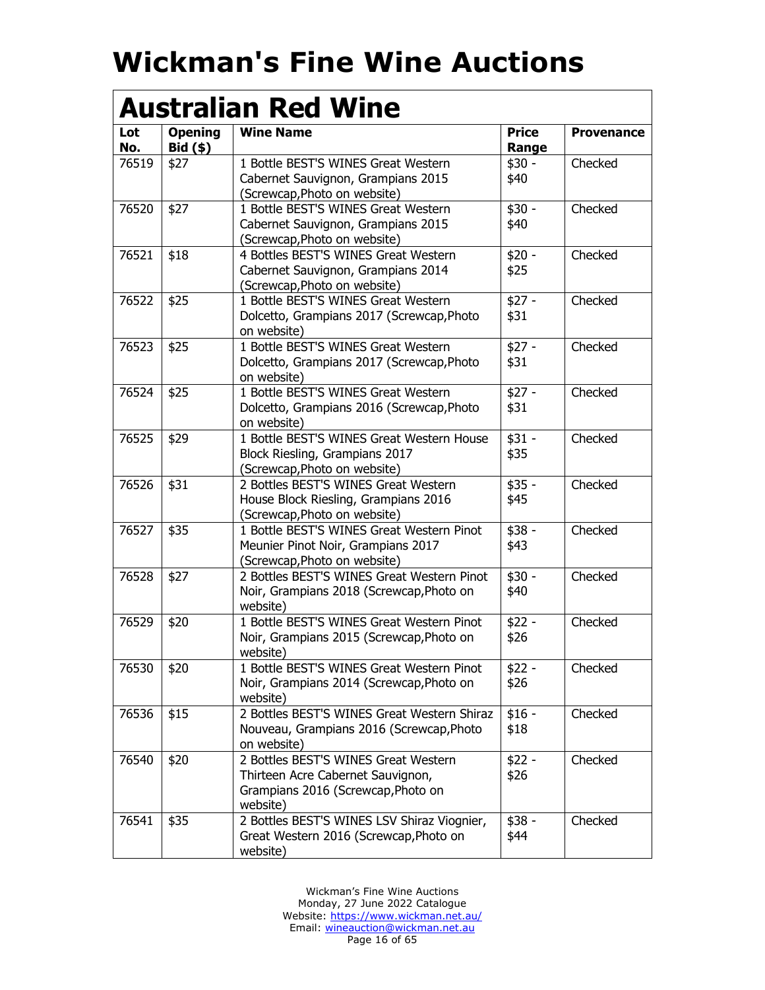| Lot          | <b>Opening</b> | <b>Wine Name</b>                                                           | <b>Price</b>    | <b>Provenance</b> |
|--------------|----------------|----------------------------------------------------------------------------|-----------------|-------------------|
| No.<br>76519 | $Bid($ \$)     | 1 Bottle BEST'S WINES Great Western                                        | Range           | Checked           |
|              | \$27           | Cabernet Sauvignon, Grampians 2015                                         | $$30 -$<br>\$40 |                   |
|              |                | (Screwcap, Photo on website)                                               |                 |                   |
|              |                | 1 Bottle BEST'S WINES Great Western                                        |                 | Checked           |
| 76520        | \$27           |                                                                            | $$30 -$         |                   |
|              |                | Cabernet Sauvignon, Grampians 2015<br>(Screwcap, Photo on website)         | \$40            |                   |
| 76521        |                | 4 Bottles BEST'S WINES Great Western                                       |                 | Checked           |
|              | \$18           |                                                                            | $$20 -$<br>\$25 |                   |
|              |                | Cabernet Sauvignon, Grampians 2014<br>(Screwcap, Photo on website)         |                 |                   |
| 76522        | \$25           | 1 Bottle BEST'S WINES Great Western                                        | $$27 -$         | Checked           |
|              |                |                                                                            |                 |                   |
|              |                | Dolcetto, Grampians 2017 (Screwcap, Photo<br>on website)                   | \$31            |                   |
| 76523        |                | 1 Bottle BEST'S WINES Great Western                                        | $$27 -$         | Checked           |
|              | \$25           |                                                                            |                 |                   |
|              |                | Dolcetto, Grampians 2017 (Screwcap, Photo                                  | \$31            |                   |
| 76524        | \$25           | on website)<br>1 Bottle BEST'S WINES Great Western                         | $$27 -$         | Checked           |
|              |                |                                                                            |                 |                   |
|              |                | Dolcetto, Grampians 2016 (Screwcap, Photo                                  | \$31            |                   |
| 76525        | \$29           | on website)<br>1 Bottle BEST'S WINES Great Western House                   | $$31 -$         | Checked           |
|              |                |                                                                            |                 |                   |
|              |                | Block Riesling, Grampians 2017<br>(Screwcap, Photo on website)             | \$35            |                   |
| 76526        |                | 2 Bottles BEST'S WINES Great Western                                       | $$35 -$         | Checked           |
|              | \$31           |                                                                            |                 |                   |
|              |                | House Block Riesling, Grampians 2016                                       | \$45            |                   |
| 76527        |                | (Screwcap, Photo on website)<br>1 Bottle BEST'S WINES Great Western Pinot  |                 | Checked           |
|              | \$35           |                                                                            | $$38 -$         |                   |
|              |                | Meunier Pinot Noir, Grampians 2017                                         | \$43            |                   |
| 76528        |                | (Screwcap, Photo on website)<br>2 Bottles BEST'S WINES Great Western Pinot | $$30 -$         | Checked           |
|              | \$27           |                                                                            | \$40            |                   |
|              |                | Noir, Grampians 2018 (Screwcap, Photo on<br>website)                       |                 |                   |
| 76529        | \$20           | 1 Bottle BEST'S WINES Great Western Pinot                                  | $$22 -$         | Checked           |
|              |                | Noir, Grampians 2015 (Screwcap, Photo on                                   | \$26            |                   |
|              |                | website)                                                                   |                 |                   |
| 76530        | \$20           | 1 Bottle BEST'S WINES Great Western Pinot                                  | $$22 -$         | Checked           |
|              |                | Noir, Grampians 2014 (Screwcap, Photo on                                   | \$26            |                   |
|              |                | website)                                                                   |                 |                   |
| 76536        | \$15           | 2 Bottles BEST'S WINES Great Western Shiraz                                | $$16 -$         | Checked           |
|              |                | Nouveau, Grampians 2016 (Screwcap, Photo                                   | \$18            |                   |
|              |                | on website)                                                                |                 |                   |
| 76540        | \$20           | 2 Bottles BEST'S WINES Great Western                                       | $$22 -$         | Checked           |
|              |                | Thirteen Acre Cabernet Sauvignon,                                          | \$26            |                   |
|              |                | Grampians 2016 (Screwcap, Photo on                                         |                 |                   |
|              |                | website)                                                                   |                 |                   |
| 76541        | \$35           | 2 Bottles BEST'S WINES LSV Shiraz Viognier,                                | $$38 -$         | Checked           |
|              |                | Great Western 2016 (Screwcap, Photo on                                     | \$44            |                   |
|              |                | website)                                                                   |                 |                   |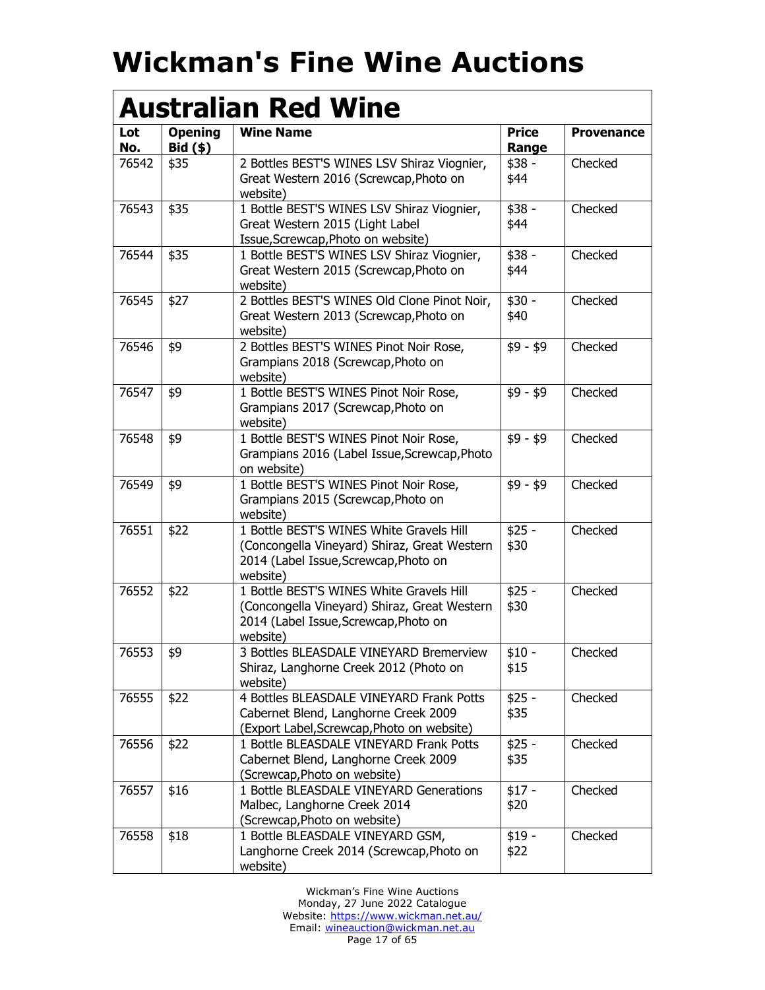| <b>Australian Red Wine</b> |                              |                                                                                                                                               |                       |                   |
|----------------------------|------------------------------|-----------------------------------------------------------------------------------------------------------------------------------------------|-----------------------|-------------------|
| Lot<br>No.                 | <b>Opening</b><br>$Bid($ \$) | <b>Wine Name</b>                                                                                                                              | <b>Price</b><br>Range | <b>Provenance</b> |
| 76542                      | \$35                         | 2 Bottles BEST'S WINES LSV Shiraz Viognier,<br>Great Western 2016 (Screwcap, Photo on<br>website)                                             | $$38 -$<br>\$44       | Checked           |
| 76543                      | \$35                         | 1 Bottle BEST'S WINES LSV Shiraz Viognier,<br>Great Western 2015 (Light Label<br>Issue, Screwcap, Photo on website)                           | $$38 -$<br>\$44       | Checked           |
| 76544                      | \$35                         | 1 Bottle BEST'S WINES LSV Shiraz Viognier,<br>Great Western 2015 (Screwcap, Photo on<br>website)                                              | $$38 -$<br>\$44       | Checked           |
| 76545                      | \$27                         | 2 Bottles BEST'S WINES Old Clone Pinot Noir,<br>Great Western 2013 (Screwcap, Photo on<br>website)                                            | $$30 -$<br>\$40       | Checked           |
| 76546                      | \$9                          | 2 Bottles BEST'S WINES Pinot Noir Rose,<br>Grampians 2018 (Screwcap, Photo on<br>website)                                                     | $$9 - $9$             | Checked           |
| 76547                      | \$9                          | 1 Bottle BEST'S WINES Pinot Noir Rose,<br>Grampians 2017 (Screwcap, Photo on<br>website)                                                      | $$9 - $9$             | Checked           |
| 76548                      | \$9                          | 1 Bottle BEST'S WINES Pinot Noir Rose,<br>Grampians 2016 (Label Issue, Screwcap, Photo<br>on website)                                         | $$9 - $9$             | Checked           |
| 76549                      | \$9                          | 1 Bottle BEST'S WINES Pinot Noir Rose,<br>Grampians 2015 (Screwcap, Photo on<br>website)                                                      | $$9 - $9$             | Checked           |
| 76551                      | \$22                         | 1 Bottle BEST'S WINES White Gravels Hill<br>(Concongella Vineyard) Shiraz, Great Western<br>2014 (Label Issue, Screwcap, Photo on<br>website) | $$25 -$<br>\$30       | Checked           |
| 76552                      | \$22                         | 1 Bottle BEST'S WINES White Gravels Hill<br>(Concongella Vineyard) Shiraz, Great Western<br>2014 (Label Issue, Screwcap, Photo on<br>website) | $$25 -$<br>\$30       | Checked           |
| 76553                      | \$9                          | 3 Bottles BLEASDALE VINEYARD Bremerview<br>Shiraz, Langhorne Creek 2012 (Photo on<br>website)                                                 | $$10 -$<br>\$15       | Checked           |
| 76555                      | \$22                         | 4 Bottles BLEASDALE VINEYARD Frank Potts<br>Cabernet Blend, Langhorne Creek 2009<br>(Export Label, Screwcap, Photo on website)                | $$25 -$<br>\$35       | Checked           |
| 76556                      | \$22                         | 1 Bottle BLEASDALE VINEYARD Frank Potts<br>Cabernet Blend, Langhorne Creek 2009<br>(Screwcap, Photo on website)                               | $$25 -$<br>\$35       | Checked           |
| 76557                      | \$16                         | 1 Bottle BLEASDALE VINEYARD Generations<br>Malbec, Langhorne Creek 2014<br>(Screwcap, Photo on website)                                       | $$17 -$<br>\$20       | Checked           |
| 76558                      | \$18                         | 1 Bottle BLEASDALE VINEYARD GSM,<br>Langhorne Creek 2014 (Screwcap, Photo on<br>website)                                                      | $$19 -$<br>\$22       | Checked           |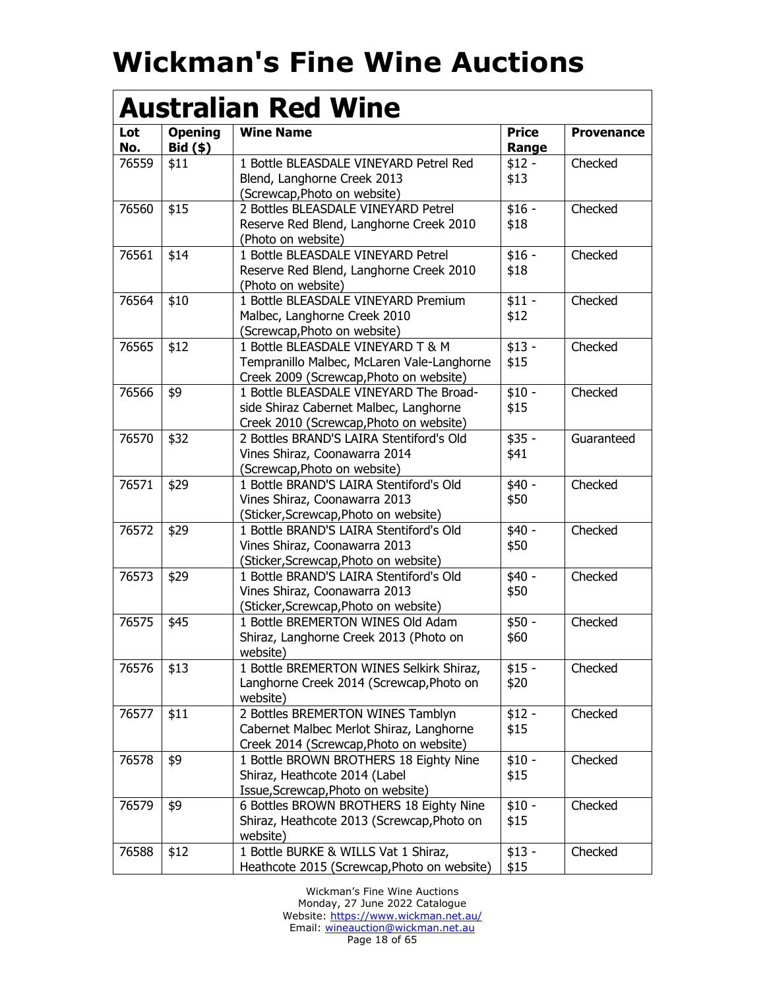| <b>Australian Red Wine</b> |                            |                                                                                                                             |                       |                   |
|----------------------------|----------------------------|-----------------------------------------------------------------------------------------------------------------------------|-----------------------|-------------------|
| Lot<br>No.                 | <b>Opening</b><br>Bid (\$) | <b>Wine Name</b>                                                                                                            | <b>Price</b><br>Range | <b>Provenance</b> |
| 76559                      | \$11                       | 1 Bottle BLEASDALE VINEYARD Petrel Red<br>Blend, Langhorne Creek 2013<br>(Screwcap, Photo on website)                       | $$12 -$<br>\$13       | Checked           |
| 76560                      | \$15                       | 2 Bottles BLEASDALE VINEYARD Petrel<br>Reserve Red Blend, Langhorne Creek 2010<br>(Photo on website)                        | $$16 -$<br>\$18       | Checked           |
| 76561                      | \$14                       | 1 Bottle BLEASDALE VINEYARD Petrel<br>Reserve Red Blend, Langhorne Creek 2010<br>(Photo on website)                         | $$16 -$<br>\$18       | Checked           |
| 76564                      | \$10                       | 1 Bottle BLEASDALE VINEYARD Premium<br>Malbec, Langhorne Creek 2010<br>(Screwcap, Photo on website)                         | $$11 -$<br>\$12       | Checked           |
| 76565                      | \$12                       | 1 Bottle BLEASDALE VINEYARD T & M<br>Tempranillo Malbec, McLaren Vale-Langhorne<br>Creek 2009 (Screwcap, Photo on website)  | $$13 -$<br>\$15       | Checked           |
| 76566                      | \$9                        | 1 Bottle BLEASDALE VINEYARD The Broad-<br>side Shiraz Cabernet Malbec, Langhorne<br>Creek 2010 (Screwcap, Photo on website) | $$10 -$<br>\$15       | Checked           |
| 76570                      | \$32                       | 2 Bottles BRAND'S LAIRA Stentiford's Old<br>Vines Shiraz, Coonawarra 2014<br>(Screwcap, Photo on website)                   | $$35 -$<br>\$41       | Guaranteed        |
| 76571                      | \$29                       | 1 Bottle BRAND'S LAIRA Stentiford's Old<br>Vines Shiraz, Coonawarra 2013<br>(Sticker, Screwcap, Photo on website)           | $$40 -$<br>\$50       | Checked           |
| 76572                      | \$29                       | 1 Bottle BRAND'S LAIRA Stentiford's Old<br>Vines Shiraz, Coonawarra 2013<br>(Sticker, Screwcap, Photo on website)           | $$40 -$<br>\$50       | Checked           |
| 76573                      | \$29                       | 1 Bottle BRAND'S LAIRA Stentiford's Old<br>Vines Shiraz, Coonawarra 2013<br>(Sticker, Screwcap, Photo on website)           | $$40 -$<br>\$50       | Checked           |
| 76575                      | \$45                       | 1 Bottle BREMERTON WINES Old Adam<br>Shiraz, Langhorne Creek 2013 (Photo on<br>website)                                     | $$50 -$<br>\$60       | Checked           |
| 76576                      | \$13                       | 1 Bottle BREMERTON WINES Selkirk Shiraz,<br>Langhorne Creek 2014 (Screwcap, Photo on<br>website)                            | $$15 -$<br>\$20       | Checked           |
| 76577                      | \$11                       | 2 Bottles BREMERTON WINES Tamblyn<br>Cabernet Malbec Merlot Shiraz, Langhorne<br>Creek 2014 (Screwcap, Photo on website)    | $$12 -$<br>\$15       | Checked           |
| 76578                      | \$9                        | 1 Bottle BROWN BROTHERS 18 Eighty Nine<br>Shiraz, Heathcote 2014 (Label<br>Issue, Screwcap, Photo on website)               | $$10 -$<br>\$15       | Checked           |
| 76579                      | \$9                        | 6 Bottles BROWN BROTHERS 18 Eighty Nine<br>Shiraz, Heathcote 2013 (Screwcap, Photo on<br>website)                           | $$10 -$<br>\$15       | Checked           |
| 76588                      | \$12                       | 1 Bottle BURKE & WILLS Vat 1 Shiraz,<br>Heathcote 2015 (Screwcap, Photo on website)                                         | $$13 -$<br>\$15       | Checked           |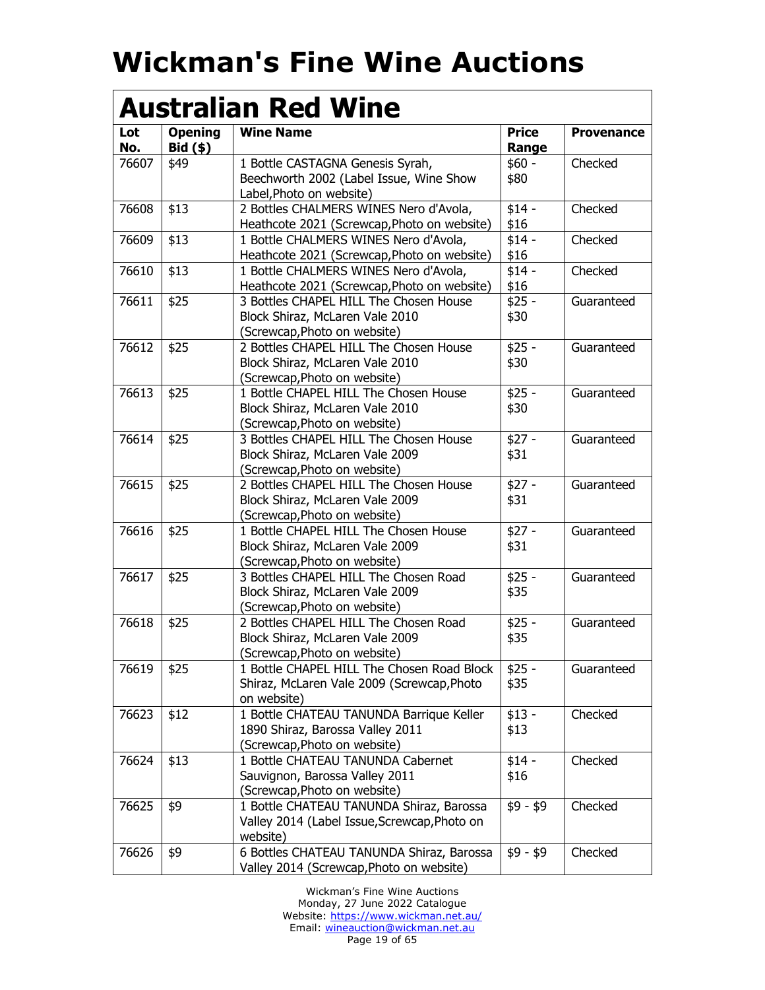|            |                              | <b>Australian Red Wine</b>                   |                       |                   |
|------------|------------------------------|----------------------------------------------|-----------------------|-------------------|
| Lot<br>No. | <b>Opening</b><br>$Bid($ \$) | <b>Wine Name</b>                             | <b>Price</b><br>Range | <b>Provenance</b> |
| 76607      | \$49                         | 1 Bottle CASTAGNA Genesis Syrah,             | $$60 -$               | Checked           |
|            |                              | Beechworth 2002 (Label Issue, Wine Show      | \$80                  |                   |
|            |                              | Label, Photo on website)                     |                       |                   |
| 76608      | \$13                         | 2 Bottles CHALMERS WINES Nero d'Avola,       | $$14 -$               | Checked           |
|            |                              | Heathcote 2021 (Screwcap, Photo on website)  | \$16                  |                   |
| 76609      | \$13                         | 1 Bottle CHALMERS WINES Nero d'Avola,        | $$14 -$               | Checked           |
|            |                              | Heathcote 2021 (Screwcap, Photo on website)  | \$16                  |                   |
| 76610      | \$13                         | 1 Bottle CHALMERS WINES Nero d'Avola,        | $$14 -$               | Checked           |
|            |                              | Heathcote 2021 (Screwcap, Photo on website)  | \$16                  |                   |
| 76611      | \$25                         | 3 Bottles CHAPEL HILL The Chosen House       | $$25 -$               | Guaranteed        |
|            |                              | Block Shiraz, McLaren Vale 2010              | \$30                  |                   |
|            |                              | (Screwcap, Photo on website)                 |                       |                   |
| 76612      | \$25                         | 2 Bottles CHAPEL HILL The Chosen House       | $$25 -$               | Guaranteed        |
|            |                              | Block Shiraz, McLaren Vale 2010              | \$30                  |                   |
|            |                              | (Screwcap, Photo on website)                 |                       |                   |
| 76613      | \$25                         | 1 Bottle CHAPEL HILL The Chosen House        | $$25 -$               | Guaranteed        |
|            |                              | Block Shiraz, McLaren Vale 2010              | \$30                  |                   |
|            |                              | (Screwcap, Photo on website)                 |                       |                   |
| 76614      | \$25                         | 3 Bottles CHAPEL HILL The Chosen House       | $$27 -$               | Guaranteed        |
|            |                              | Block Shiraz, McLaren Vale 2009              | \$31                  |                   |
|            |                              | (Screwcap, Photo on website)                 |                       |                   |
| 76615      | \$25                         | 2 Bottles CHAPEL HILL The Chosen House       | $$27 -$               | Guaranteed        |
|            |                              | Block Shiraz, McLaren Vale 2009              | \$31                  |                   |
|            |                              | (Screwcap, Photo on website)                 |                       |                   |
| 76616      | \$25                         | 1 Bottle CHAPEL HILL The Chosen House        | $$27 -$               | Guaranteed        |
|            |                              | Block Shiraz, McLaren Vale 2009              | \$31                  |                   |
|            |                              | (Screwcap, Photo on website)                 |                       |                   |
| 76617      | \$25                         | 3 Bottles CHAPEL HILL The Chosen Road        | $$25 -$               | Guaranteed        |
|            |                              | Block Shiraz, McLaren Vale 2009              | \$35                  |                   |
|            |                              | (Screwcap, Photo on website)                 |                       |                   |
| 76618      | \$25                         | 2 Bottles CHAPEL HILL The Chosen Road        | $$25 -$               | Guaranteed        |
|            |                              | Block Shiraz, McLaren Vale 2009              | \$35                  |                   |
|            |                              | (Screwcap, Photo on website)                 |                       |                   |
| 76619      | \$25                         | 1 Bottle CHAPEL HILL The Chosen Road Block   | $$25 -$               | Guaranteed        |
|            |                              | Shiraz, McLaren Vale 2009 (Screwcap, Photo   | \$35                  |                   |
|            |                              | on website)                                  |                       |                   |
| 76623      | \$12                         | 1 Bottle CHATEAU TANUNDA Barrique Keller     | $$13 -$               | Checked           |
|            |                              | 1890 Shiraz, Barossa Valley 2011             | \$13                  |                   |
|            |                              | (Screwcap, Photo on website)                 |                       |                   |
| 76624      | \$13                         | 1 Bottle CHATEAU TANUNDA Cabernet            | $$14 -$               | Checked           |
|            |                              | Sauvignon, Barossa Valley 2011               | \$16                  |                   |
|            |                              | (Screwcap, Photo on website)                 |                       |                   |
| 76625      | \$9                          | 1 Bottle CHATEAU TANUNDA Shiraz, Barossa     | $$9 - $9$             | Checked           |
|            |                              | Valley 2014 (Label Issue, Screwcap, Photo on |                       |                   |
|            |                              | website)                                     |                       |                   |
| 76626      | \$9                          | 6 Bottles CHATEAU TANUNDA Shiraz, Barossa    | $$9 - $9$             | Checked           |
|            |                              | Valley 2014 (Screwcap, Photo on website)     |                       |                   |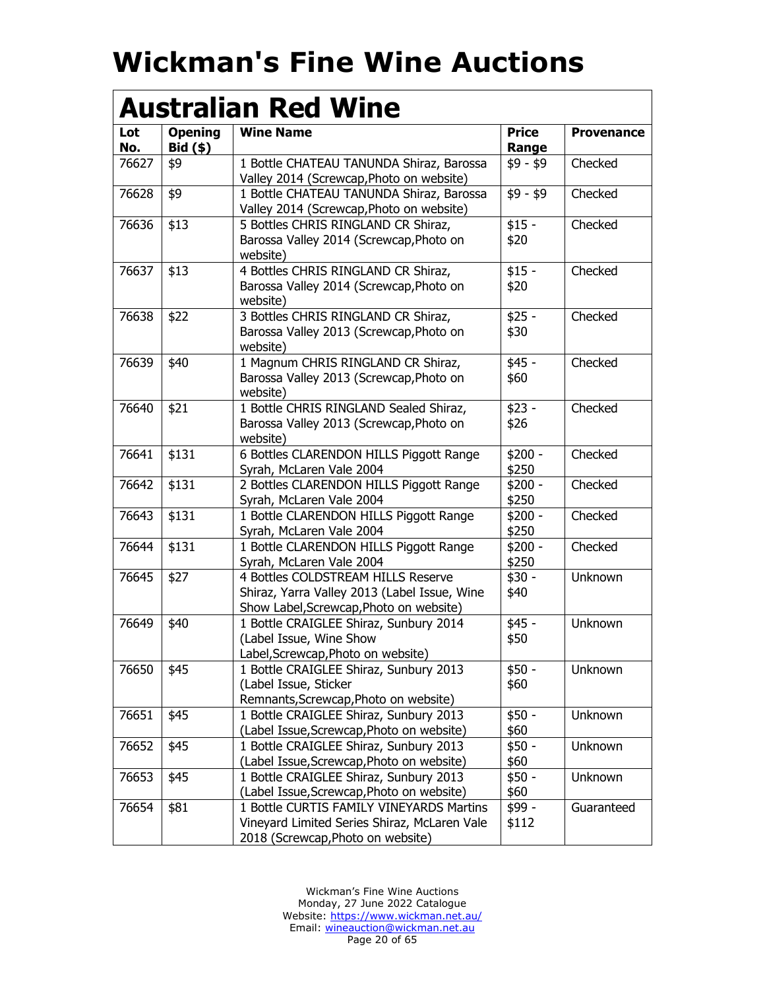| Lot<br>No. | <b>Opening</b><br>$Bid($ \$) | <b>Wine Name</b>                             | <b>Price</b><br>Range | <b>Provenance</b> |
|------------|------------------------------|----------------------------------------------|-----------------------|-------------------|
| 76627      | \$9                          | 1 Bottle CHATEAU TANUNDA Shiraz, Barossa     | \$9 - \$9             | Checked           |
|            |                              | Valley 2014 (Screwcap, Photo on website)     |                       |                   |
| 76628      | \$9                          | 1 Bottle CHATEAU TANUNDA Shiraz, Barossa     | $$9 - $9$             | Checked           |
|            |                              | Valley 2014 (Screwcap, Photo on website)     |                       |                   |
| 76636      | \$13                         | 5 Bottles CHRIS RINGLAND CR Shiraz,          | $$15 -$               | Checked           |
|            |                              | Barossa Valley 2014 (Screwcap, Photo on      | \$20                  |                   |
|            |                              | website)                                     |                       |                   |
| 76637      | \$13                         | 4 Bottles CHRIS RINGLAND CR Shiraz,          | $$15 -$               | Checked           |
|            |                              | Barossa Valley 2014 (Screwcap, Photo on      | \$20                  |                   |
|            |                              | website)                                     |                       |                   |
| 76638      | \$22                         | 3 Bottles CHRIS RINGLAND CR Shiraz,          | $$25 -$               | Checked           |
|            |                              | Barossa Valley 2013 (Screwcap, Photo on      | \$30                  |                   |
|            |                              | website)                                     |                       |                   |
| 76639      | \$40                         | 1 Magnum CHRIS RINGLAND CR Shiraz,           | $$45 -$               | Checked           |
|            |                              | Barossa Valley 2013 (Screwcap, Photo on      | \$60                  |                   |
|            |                              | website)                                     |                       |                   |
| 76640      | \$21                         | 1 Bottle CHRIS RINGLAND Sealed Shiraz,       | $$23 -$               | Checked           |
|            |                              | Barossa Valley 2013 (Screwcap, Photo on      | \$26                  |                   |
|            |                              | website)                                     |                       |                   |
| 76641      | \$131                        | 6 Bottles CLARENDON HILLS Piggott Range      | $$200 -$              | Checked           |
|            |                              | Syrah, McLaren Vale 2004                     | \$250                 |                   |
| 76642      | \$131                        | 2 Bottles CLARENDON HILLS Piggott Range      | $$200 -$              | Checked           |
|            |                              | Syrah, McLaren Vale 2004                     | \$250                 |                   |
| 76643      | \$131                        | 1 Bottle CLARENDON HILLS Piggott Range       | $$200 -$              | Checked           |
|            |                              | Syrah, McLaren Vale 2004                     | \$250                 |                   |
| 76644      | \$131                        | 1 Bottle CLARENDON HILLS Piggott Range       | \$200 -               | Checked           |
|            |                              | Syrah, McLaren Vale 2004                     | \$250                 |                   |
| 76645      | \$27                         | 4 Bottles COLDSTREAM HILLS Reserve           | $$30 -$               | Unknown           |
|            |                              | Shiraz, Yarra Valley 2013 (Label Issue, Wine | \$40                  |                   |
|            |                              | Show Label, Screwcap, Photo on website)      |                       |                   |
| 76649      | \$40                         | 1 Bottle CRAIGLEE Shiraz, Sunbury 2014       | $$45 -$               | Unknown           |
|            |                              | (Label Issue, Wine Show                      | \$50                  |                   |
|            |                              | Label, Screwcap, Photo on website)           |                       |                   |
| 76650      | \$45                         | 1 Bottle CRAIGLEE Shiraz, Sunbury 2013       | \$50 -                | Unknown           |
|            |                              | (Label Issue, Sticker                        | \$60                  |                   |
|            |                              | Remnants, Screwcap, Photo on website)        |                       |                   |
| 76651      | \$45                         | 1 Bottle CRAIGLEE Shiraz, Sunbury 2013       | \$50 -                | Unknown           |
|            |                              | (Label Issue, Screwcap, Photo on website)    | \$60                  |                   |
| 76652      | \$45                         | 1 Bottle CRAIGLEE Shiraz, Sunbury 2013       | \$50 -                | Unknown           |
|            |                              | (Label Issue, Screwcap, Photo on website)    | \$60                  |                   |
| 76653      | \$45                         | 1 Bottle CRAIGLEE Shiraz, Sunbury 2013       | \$50 -                | Unknown           |
|            |                              | (Label Issue, Screwcap, Photo on website)    | \$60                  |                   |
| 76654      | \$81                         | 1 Bottle CURTIS FAMILY VINEYARDS Martins     | \$99 -                | Guaranteed        |
|            |                              | Vineyard Limited Series Shiraz, McLaren Vale | \$112                 |                   |
|            |                              | 2018 (Screwcap, Photo on website)            |                       |                   |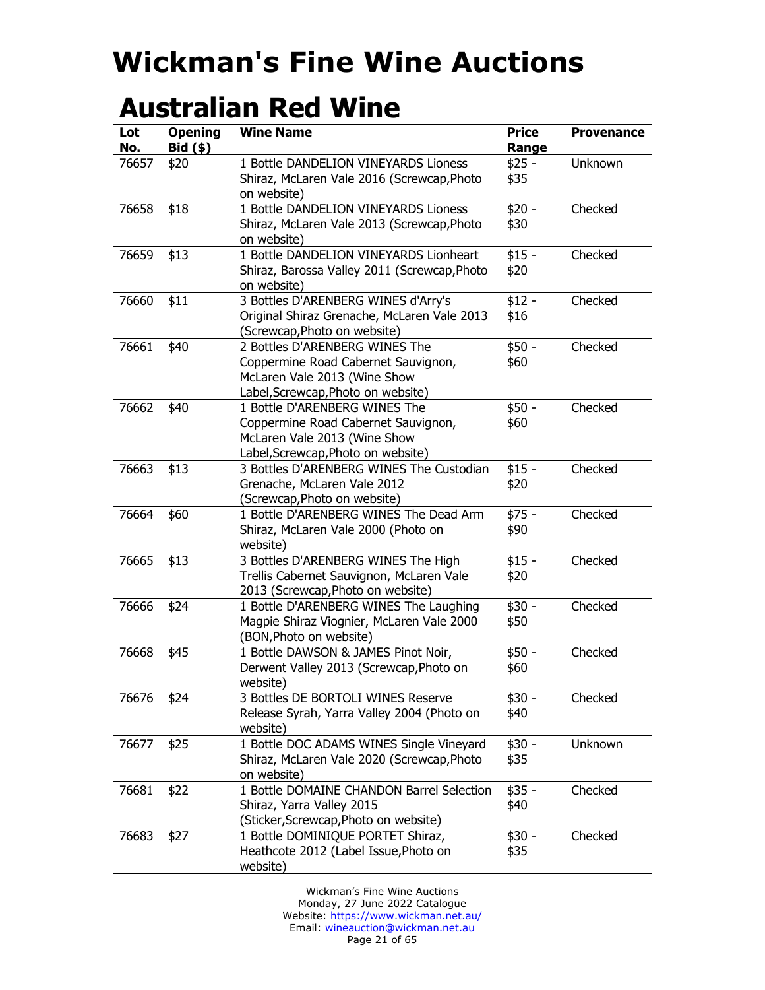| <b>Australian Red Wine</b> |                              |                                                                                                                                             |                       |                   |
|----------------------------|------------------------------|---------------------------------------------------------------------------------------------------------------------------------------------|-----------------------|-------------------|
| Lot<br>No.                 | <b>Opening</b><br>$Bid($ \$) | <b>Wine Name</b>                                                                                                                            | <b>Price</b><br>Range | <b>Provenance</b> |
| 76657                      | \$20                         | 1 Bottle DANDELION VINEYARDS Lioness<br>Shiraz, McLaren Vale 2016 (Screwcap, Photo<br>on website)                                           | \$25 -<br>\$35        | Unknown           |
| 76658                      | \$18                         | 1 Bottle DANDELION VINEYARDS Lioness<br>Shiraz, McLaren Vale 2013 (Screwcap, Photo<br>on website)                                           | $$20 -$<br>\$30       | Checked           |
| 76659                      | \$13                         | 1 Bottle DANDELION VINEYARDS Lionheart<br>Shiraz, Barossa Valley 2011 (Screwcap, Photo<br>on website)                                       | $$15 -$<br>\$20       | Checked           |
| 76660                      | \$11                         | 3 Bottles D'ARENBERG WINES d'Arry's<br>Original Shiraz Grenache, McLaren Vale 2013<br>(Screwcap, Photo on website)                          | $$12 -$<br>\$16       | Checked           |
| 76661                      | \$40                         | 2 Bottles D'ARENBERG WINES The<br>Coppermine Road Cabernet Sauvignon,<br>McLaren Vale 2013 (Wine Show<br>Label, Screwcap, Photo on website) | $$50 -$<br>\$60       | Checked           |
| 76662                      | \$40                         | 1 Bottle D'ARENBERG WINES The<br>Coppermine Road Cabernet Sauvignon,<br>McLaren Vale 2013 (Wine Show<br>Label, Screwcap, Photo on website)  | $$50 -$<br>\$60       | Checked           |
| 76663                      | \$13                         | 3 Bottles D'ARENBERG WINES The Custodian<br>Grenache, McLaren Vale 2012<br>(Screwcap, Photo on website)                                     | $$15 -$<br>\$20       | Checked           |
| 76664                      | \$60                         | 1 Bottle D'ARENBERG WINES The Dead Arm<br>Shiraz, McLaren Vale 2000 (Photo on<br>website)                                                   | $$75 -$<br>\$90       | Checked           |
| 76665                      | \$13                         | 3 Bottles D'ARENBERG WINES The High<br>Trellis Cabernet Sauvignon, McLaren Vale<br>2013 (Screwcap, Photo on website)                        | $$15 -$<br>\$20       | Checked           |
| 76666                      | \$24                         | 1 Bottle D'ARENBERG WINES The Laughing<br>Magpie Shiraz Viognier, McLaren Vale 2000<br>(BON, Photo on website)                              | $$30 -$<br>\$50       | Checked           |
| 76668 \$45                 |                              | 1 Bottle DAWSON & JAMES Pinot Noir,<br>Derwent Valley 2013 (Screwcap, Photo on<br>website)                                                  | $$50 -$<br>\$60       | Checked           |
| 76676                      | \$24                         | 3 Bottles DE BORTOLI WINES Reserve<br>Release Syrah, Yarra Valley 2004 (Photo on<br>website)                                                | $$30 -$<br>\$40       | Checked           |
| 76677                      | \$25                         | 1 Bottle DOC ADAMS WINES Single Vineyard<br>Shiraz, McLaren Vale 2020 (Screwcap, Photo<br>on website)                                       | $$30 -$<br>\$35       | Unknown           |
| 76681                      | \$22                         | 1 Bottle DOMAINE CHANDON Barrel Selection<br>Shiraz, Yarra Valley 2015<br>(Sticker, Screwcap, Photo on website)                             | $$35 -$<br>\$40       | Checked           |
| 76683                      | \$27                         | 1 Bottle DOMINIQUE PORTET Shiraz,<br>Heathcote 2012 (Label Issue, Photo on<br>website)                                                      | $$30 -$<br>\$35       | Checked           |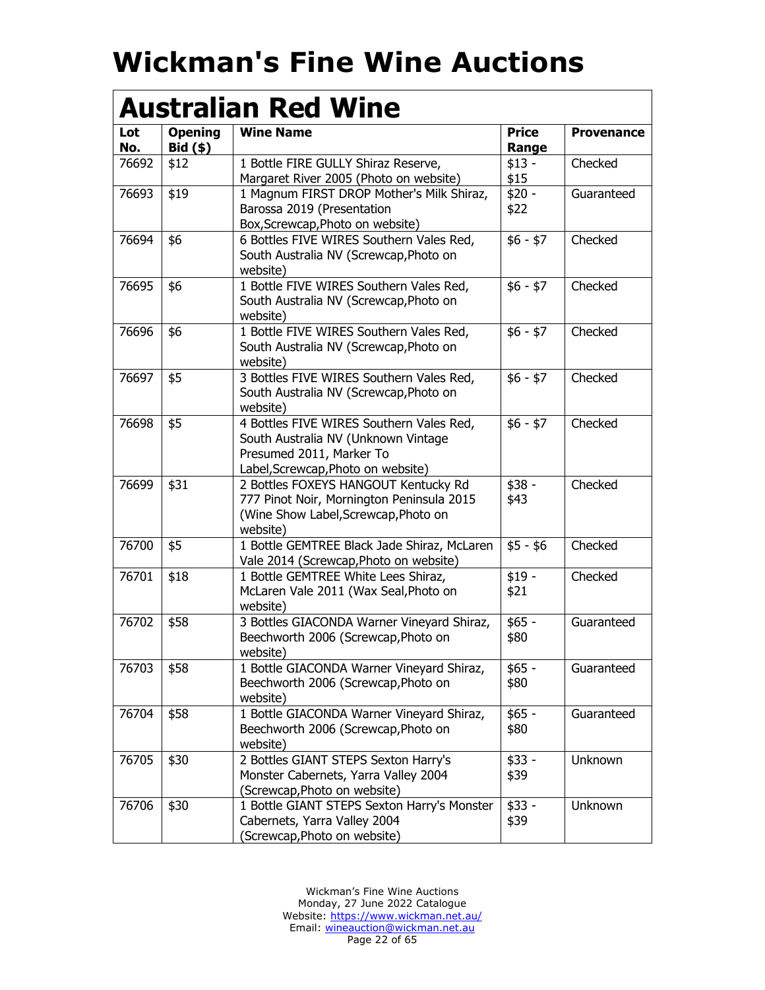|            | <b>Australian Red Wine</b>   |                                                                                                                                                   |                       |                   |  |
|------------|------------------------------|---------------------------------------------------------------------------------------------------------------------------------------------------|-----------------------|-------------------|--|
| Lot<br>No. | <b>Opening</b><br>$Bid($ \$) | <b>Wine Name</b>                                                                                                                                  | <b>Price</b><br>Range | <b>Provenance</b> |  |
| 76692      | \$12                         | 1 Bottle FIRE GULLY Shiraz Reserve,<br>Margaret River 2005 (Photo on website)                                                                     | $$13 -$<br>\$15       | Checked           |  |
| 76693      | \$19                         | 1 Magnum FIRST DROP Mother's Milk Shiraz,<br>Barossa 2019 (Presentation<br>Box, Screwcap, Photo on website)                                       | $$20 -$<br>\$22       | Guaranteed        |  |
| 76694      | \$6                          | 6 Bottles FIVE WIRES Southern Vales Red,<br>South Australia NV (Screwcap, Photo on<br>website)                                                    | $$6 - $7$             | Checked           |  |
| 76695      | \$6                          | 1 Bottle FIVE WIRES Southern Vales Red,<br>South Australia NV (Screwcap, Photo on<br>website)                                                     | $$6 - $7$             | Checked           |  |
| 76696      | \$6                          | 1 Bottle FIVE WIRES Southern Vales Red,<br>South Australia NV (Screwcap, Photo on<br>website)                                                     | $$6 - $7$             | Checked           |  |
| 76697      | \$5                          | 3 Bottles FIVE WIRES Southern Vales Red,<br>South Australia NV (Screwcap, Photo on<br>website)                                                    | $$6 - $7$             | Checked           |  |
| 76698      | \$5                          | 4 Bottles FIVE WIRES Southern Vales Red,<br>South Australia NV (Unknown Vintage<br>Presumed 2011, Marker To<br>Label, Screwcap, Photo on website) | $$6 - $7$             | Checked           |  |
| 76699      | \$31                         | 2 Bottles FOXEYS HANGOUT Kentucky Rd<br>777 Pinot Noir, Mornington Peninsula 2015<br>(Wine Show Label, Screwcap, Photo on<br>website)             | $$38 -$<br>\$43       | Checked           |  |
| 76700      | \$5                          | 1 Bottle GEMTREE Black Jade Shiraz, McLaren<br>Vale 2014 (Screwcap, Photo on website)                                                             | $$5 - $6$             | Checked           |  |
| 76701      | \$18                         | 1 Bottle GEMTREE White Lees Shiraz,<br>McLaren Vale 2011 (Wax Seal, Photo on<br>website)                                                          | $$19 -$<br>\$21       | Checked           |  |
| 76702      | \$58                         | 3 Bottles GIACONDA Warner Vineyard Shiraz,<br>Beechworth 2006 (Screwcap, Photo on<br>website)                                                     | $$65 -$<br>\$80       | Guaranteed        |  |
| 76703      | \$58                         | 1 Bottle GIACONDA Warner Vineyard Shiraz,<br>Beechworth 2006 (Screwcap, Photo on<br>website)                                                      | $$65 -$<br>\$80       | Guaranteed        |  |
| 76704      | \$58                         | 1 Bottle GIACONDA Warner Vineyard Shiraz,<br>Beechworth 2006 (Screwcap, Photo on<br>website)                                                      | $$65 -$<br>\$80       | Guaranteed        |  |
| 76705      | \$30                         | 2 Bottles GIANT STEPS Sexton Harry's<br>Monster Cabernets, Yarra Valley 2004<br>(Screwcap, Photo on website)                                      | $$33 -$<br>\$39       | Unknown           |  |
| 76706      | \$30                         | 1 Bottle GIANT STEPS Sexton Harry's Monster<br>Cabernets, Yarra Valley 2004<br>(Screwcap, Photo on website)                                       | $$33 -$<br>\$39       | Unknown           |  |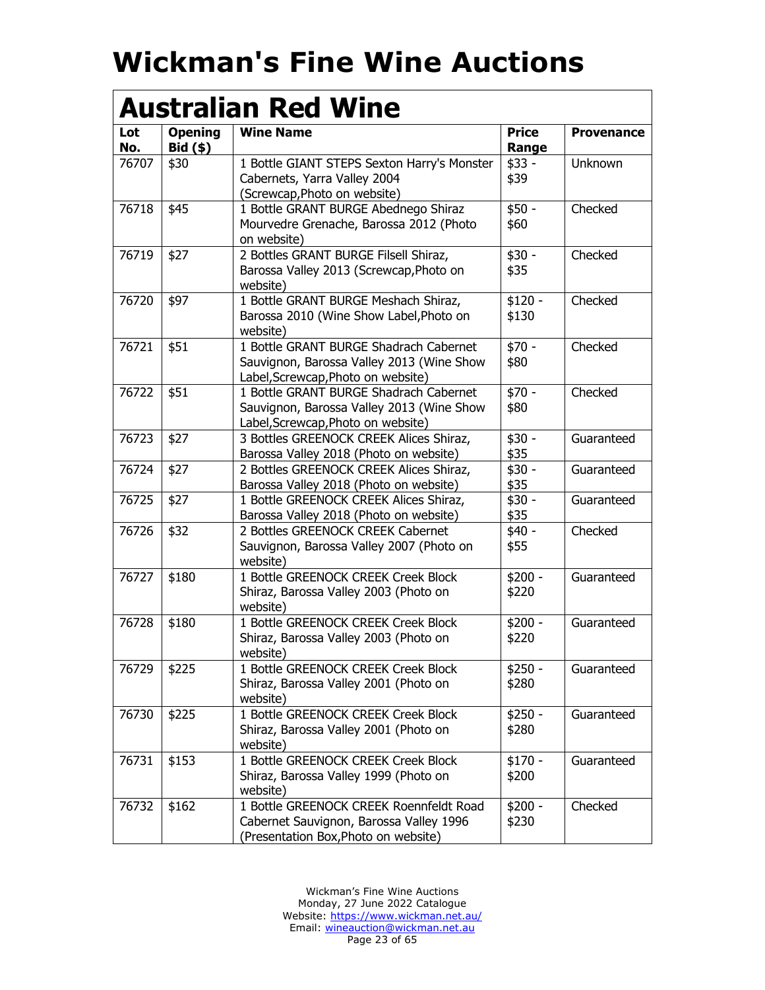|            | <b>Australian Red Wine</b> |                                                                                                                            |                       |                   |
|------------|----------------------------|----------------------------------------------------------------------------------------------------------------------------|-----------------------|-------------------|
| Lot<br>No. | <b>Opening</b><br>Bid (\$) | <b>Wine Name</b>                                                                                                           | <b>Price</b><br>Range | <b>Provenance</b> |
| 76707      | \$30                       | 1 Bottle GIANT STEPS Sexton Harry's Monster<br>Cabernets, Yarra Valley 2004<br>(Screwcap, Photo on website)                | $$33 -$<br>\$39       | Unknown           |
| 76718      | \$45                       | 1 Bottle GRANT BURGE Abednego Shiraz<br>Mourvedre Grenache, Barossa 2012 (Photo<br>on website)                             | $$50 -$<br>\$60       | Checked           |
| 76719      | \$27                       | 2 Bottles GRANT BURGE Filsell Shiraz,<br>Barossa Valley 2013 (Screwcap, Photo on<br>website)                               | $$30 -$<br>\$35       | Checked           |
| 76720      | \$97                       | 1 Bottle GRANT BURGE Meshach Shiraz,<br>Barossa 2010 (Wine Show Label, Photo on<br>website)                                | $$120 -$<br>\$130     | Checked           |
| 76721      | \$51                       | 1 Bottle GRANT BURGE Shadrach Cabernet<br>Sauvignon, Barossa Valley 2013 (Wine Show<br>Label, Screwcap, Photo on website)  | \$70 -<br>\$80        | Checked           |
| 76722      | \$51                       | 1 Bottle GRANT BURGE Shadrach Cabernet<br>Sauvignon, Barossa Valley 2013 (Wine Show<br>Label, Screwcap, Photo on website)  | \$70 -<br>\$80        | Checked           |
| 76723      | \$27                       | 3 Bottles GREENOCK CREEK Alices Shiraz,<br>Barossa Valley 2018 (Photo on website)                                          | $$30 -$<br>\$35       | Guaranteed        |
| 76724      | \$27                       | 2 Bottles GREENOCK CREEK Alices Shiraz,<br>Barossa Valley 2018 (Photo on website)                                          | $$30 -$<br>\$35       | Guaranteed        |
| 76725      | \$27                       | 1 Bottle GREENOCK CREEK Alices Shiraz,<br>Barossa Valley 2018 (Photo on website)                                           | $$30 -$<br>\$35       | Guaranteed        |
| 76726      | \$32                       | 2 Bottles GREENOCK CREEK Cabernet<br>Sauvignon, Barossa Valley 2007 (Photo on<br>website)                                  | \$40 -<br>\$55        | Checked           |
| 76727      | \$180                      | 1 Bottle GREENOCK CREEK Creek Block<br>Shiraz, Barossa Valley 2003 (Photo on<br>website)                                   | $$200 -$<br>\$220     | Guaranteed        |
| 76728      | \$180                      | 1 Bottle GREENOCK CREEK Creek Block<br>Shiraz, Barossa Valley 2003 (Photo on<br>website)                                   | $$200 -$<br>\$220     | Guaranteed        |
| 76729      | \$225                      | 1 Bottle GREENOCK CREEK Creek Block<br>Shiraz, Barossa Valley 2001 (Photo on<br>website)                                   | $$250 -$<br>\$280     | Guaranteed        |
| 76730      | \$225                      | 1 Bottle GREENOCK CREEK Creek Block<br>Shiraz, Barossa Valley 2001 (Photo on<br>website)                                   | \$250 -<br>\$280      | Guaranteed        |
| 76731      | \$153                      | 1 Bottle GREENOCK CREEK Creek Block<br>Shiraz, Barossa Valley 1999 (Photo on<br>website)                                   | $$170 -$<br>\$200     | Guaranteed        |
| 76732      | \$162                      | 1 Bottle GREENOCK CREEK Roennfeldt Road<br>Cabernet Sauvignon, Barossa Valley 1996<br>(Presentation Box, Photo on website) | $$200 -$<br>\$230     | Checked           |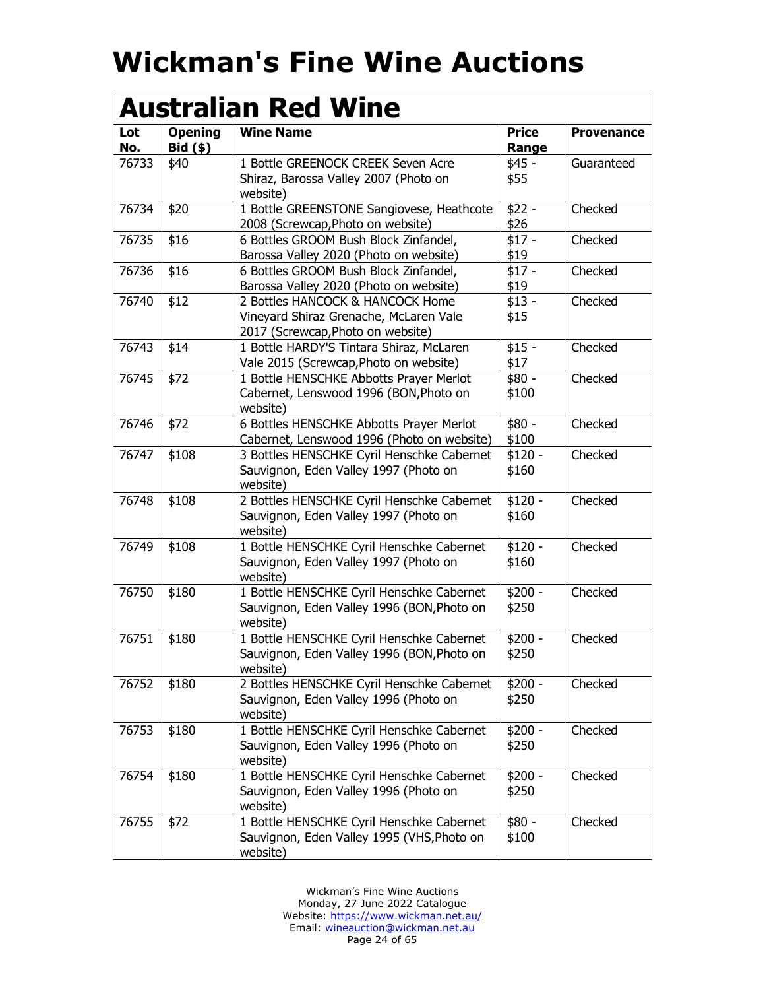| <b>Australian Red Wine</b> |                              |                                                                                                                 |                       |                   |
|----------------------------|------------------------------|-----------------------------------------------------------------------------------------------------------------|-----------------------|-------------------|
| Lot<br>No.                 | <b>Opening</b><br>$Bid($ \$) | <b>Wine Name</b>                                                                                                | <b>Price</b><br>Range | <b>Provenance</b> |
| 76733                      | \$40                         | 1 Bottle GREENOCK CREEK Seven Acre<br>Shiraz, Barossa Valley 2007 (Photo on<br>website)                         | $$45 -$<br>\$55       | Guaranteed        |
| 76734                      | \$20                         | 1 Bottle GREENSTONE Sangiovese, Heathcote<br>2008 (Screwcap, Photo on website)                                  | $$22 -$<br>\$26       | Checked           |
| 76735                      | \$16                         | 6 Bottles GROOM Bush Block Zinfandel,<br>Barossa Valley 2020 (Photo on website)                                 | $$17 -$<br>\$19       | Checked           |
| 76736                      | \$16                         | 6 Bottles GROOM Bush Block Zinfandel,<br>Barossa Valley 2020 (Photo on website)                                 | $$17 -$<br>\$19       | Checked           |
| 76740                      | \$12                         | 2 Bottles HANCOCK & HANCOCK Home<br>Vineyard Shiraz Grenache, McLaren Vale<br>2017 (Screwcap, Photo on website) | $$13 -$<br>\$15       | Checked           |
| 76743                      | \$14                         | 1 Bottle HARDY'S Tintara Shiraz, McLaren<br>Vale 2015 (Screwcap, Photo on website)                              | $$15 -$<br>\$17       | Checked           |
| 76745                      | \$72                         | 1 Bottle HENSCHKE Abbotts Prayer Merlot<br>Cabernet, Lenswood 1996 (BON, Photo on<br>website)                   | \$80 -<br>\$100       | Checked           |
| 76746                      | \$72                         | 6 Bottles HENSCHKE Abbotts Prayer Merlot<br>Cabernet, Lenswood 1996 (Photo on website)                          | $$80 -$<br>\$100      | Checked           |
| 76747                      | \$108                        | 3 Bottles HENSCHKE Cyril Henschke Cabernet<br>Sauvignon, Eden Valley 1997 (Photo on<br>website)                 | $$120 -$<br>\$160     | Checked           |
| 76748                      | \$108                        | 2 Bottles HENSCHKE Cyril Henschke Cabernet<br>Sauvignon, Eden Valley 1997 (Photo on<br>website)                 | $$120 -$<br>\$160     | Checked           |
| 76749                      | \$108                        | 1 Bottle HENSCHKE Cyril Henschke Cabernet<br>Sauvignon, Eden Valley 1997 (Photo on<br>website)                  | $$120 -$<br>\$160     | Checked           |
| 76750                      | \$180                        | 1 Bottle HENSCHKE Cyril Henschke Cabernet<br>Sauvignon, Eden Valley 1996 (BON, Photo on<br>website)             | $$200 -$<br>\$250     | Checked           |
| 76751                      | \$180                        | 1 Bottle HENSCHKE Cyril Henschke Cabernet<br>Sauvignon, Eden Valley 1996 (BON, Photo on<br>website)             | $$200 -$<br>\$250     | Checked           |
| 76752                      | \$180                        | 2 Bottles HENSCHKE Cyril Henschke Cabernet<br>Sauvignon, Eden Valley 1996 (Photo on<br>website)                 | $$200 -$<br>\$250     | Checked           |
| 76753                      | \$180                        | 1 Bottle HENSCHKE Cyril Henschke Cabernet<br>Sauvignon, Eden Valley 1996 (Photo on<br>website)                  | $$200 -$<br>\$250     | Checked           |
| 76754                      | \$180                        | 1 Bottle HENSCHKE Cyril Henschke Cabernet<br>Sauvignon, Eden Valley 1996 (Photo on<br>website)                  | $$200 -$<br>\$250     | Checked           |
| 76755                      | \$72                         | 1 Bottle HENSCHKE Cyril Henschke Cabernet<br>Sauvignon, Eden Valley 1995 (VHS, Photo on<br>website)             | $$80 -$<br>\$100      | Checked           |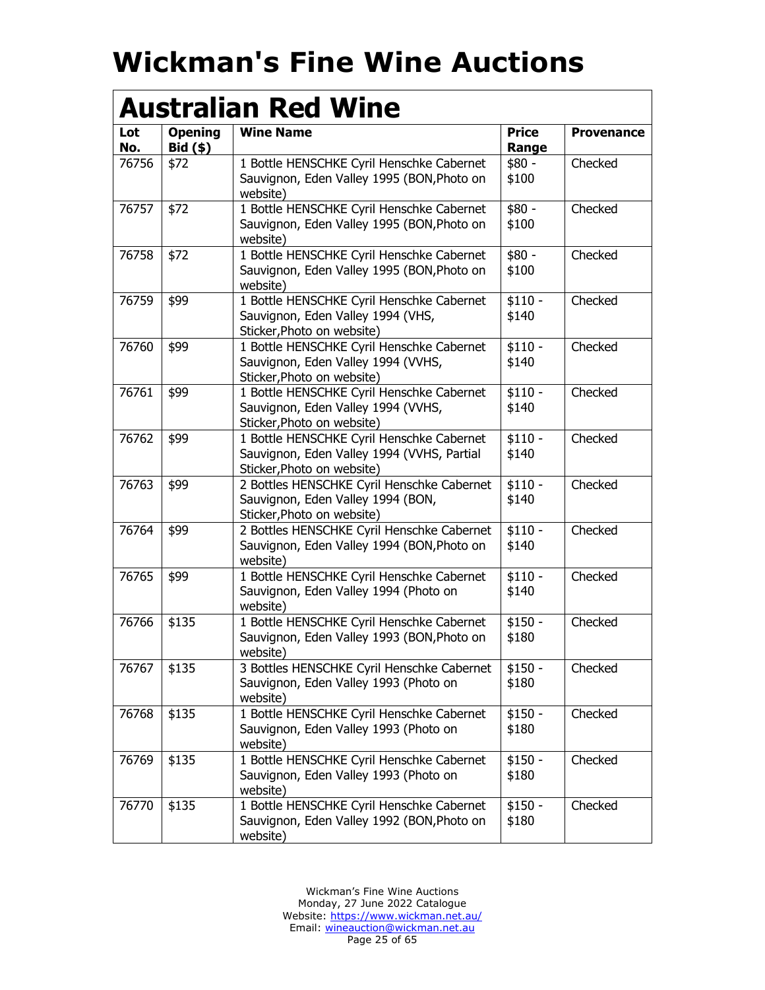| <b>Australian Red Wine</b> |                            |                                                                                                                       |                       |                   |
|----------------------------|----------------------------|-----------------------------------------------------------------------------------------------------------------------|-----------------------|-------------------|
| Lot<br>No.                 | <b>Opening</b><br>Bid (\$) | <b>Wine Name</b>                                                                                                      | <b>Price</b><br>Range | <b>Provenance</b> |
| 76756                      | \$72                       | 1 Bottle HENSCHKE Cyril Henschke Cabernet<br>Sauvignon, Eden Valley 1995 (BON, Photo on<br>website)                   | \$80 -<br>\$100       | Checked           |
| 76757                      | \$72                       | 1 Bottle HENSCHKE Cyril Henschke Cabernet<br>Sauvignon, Eden Valley 1995 (BON, Photo on<br>website)                   | \$80 -<br>\$100       | Checked           |
| 76758                      | \$72                       | 1 Bottle HENSCHKE Cyril Henschke Cabernet<br>Sauvignon, Eden Valley 1995 (BON, Photo on<br>website)                   | $$80 -$<br>\$100      | Checked           |
| 76759                      | \$99                       | 1 Bottle HENSCHKE Cyril Henschke Cabernet<br>Sauvignon, Eden Valley 1994 (VHS,<br>Sticker, Photo on website)          | $$110 -$<br>\$140     | Checked           |
| 76760                      | \$99                       | 1 Bottle HENSCHKE Cyril Henschke Cabernet<br>Sauvignon, Eden Valley 1994 (VVHS,<br>Sticker, Photo on website)         | $$110 -$<br>\$140     | Checked           |
| 76761                      | \$99                       | 1 Bottle HENSCHKE Cyril Henschke Cabernet<br>Sauvignon, Eden Valley 1994 (VVHS,<br>Sticker, Photo on website)         | $$110 -$<br>\$140     | Checked           |
| 76762                      | \$99                       | 1 Bottle HENSCHKE Cyril Henschke Cabernet<br>Sauvignon, Eden Valley 1994 (VVHS, Partial<br>Sticker, Photo on website) | $$110 -$<br>\$140     | Checked           |
| 76763                      | \$99                       | 2 Bottles HENSCHKE Cyril Henschke Cabernet<br>Sauvignon, Eden Valley 1994 (BON,<br>Sticker, Photo on website)         | $$110 -$<br>\$140     | Checked           |
| 76764                      | \$99                       | 2 Bottles HENSCHKE Cyril Henschke Cabernet<br>Sauvignon, Eden Valley 1994 (BON, Photo on<br>website)                  | $$110 -$<br>\$140     | Checked           |
| 76765                      | \$99                       | 1 Bottle HENSCHKE Cyril Henschke Cabernet<br>Sauvignon, Eden Valley 1994 (Photo on<br>website)                        | $$110 -$<br>\$140     | Checked           |
| 76766                      | \$135                      | 1 Bottle HENSCHKE Cyril Henschke Cabernet<br>Sauvignon, Eden Valley 1993 (BON, Photo on<br>website)                   | $$150 -$<br>\$180     | Checked           |
| 76767                      | \$135                      | 3 Bottles HENSCHKE Cyril Henschke Cabernet<br>Sauvignon, Eden Valley 1993 (Photo on<br>website)                       | $$150 -$<br>\$180     | Checked           |
| 76768                      | \$135                      | 1 Bottle HENSCHKE Cyril Henschke Cabernet<br>Sauvignon, Eden Valley 1993 (Photo on<br>website)                        | $$150 -$<br>\$180     | Checked           |
| 76769                      | \$135                      | 1 Bottle HENSCHKE Cyril Henschke Cabernet<br>Sauvignon, Eden Valley 1993 (Photo on<br>website)                        | $$150 -$<br>\$180     | Checked           |
| 76770                      | \$135                      | 1 Bottle HENSCHKE Cyril Henschke Cabernet<br>Sauvignon, Eden Valley 1992 (BON, Photo on<br>website)                   | $$150 -$<br>\$180     | Checked           |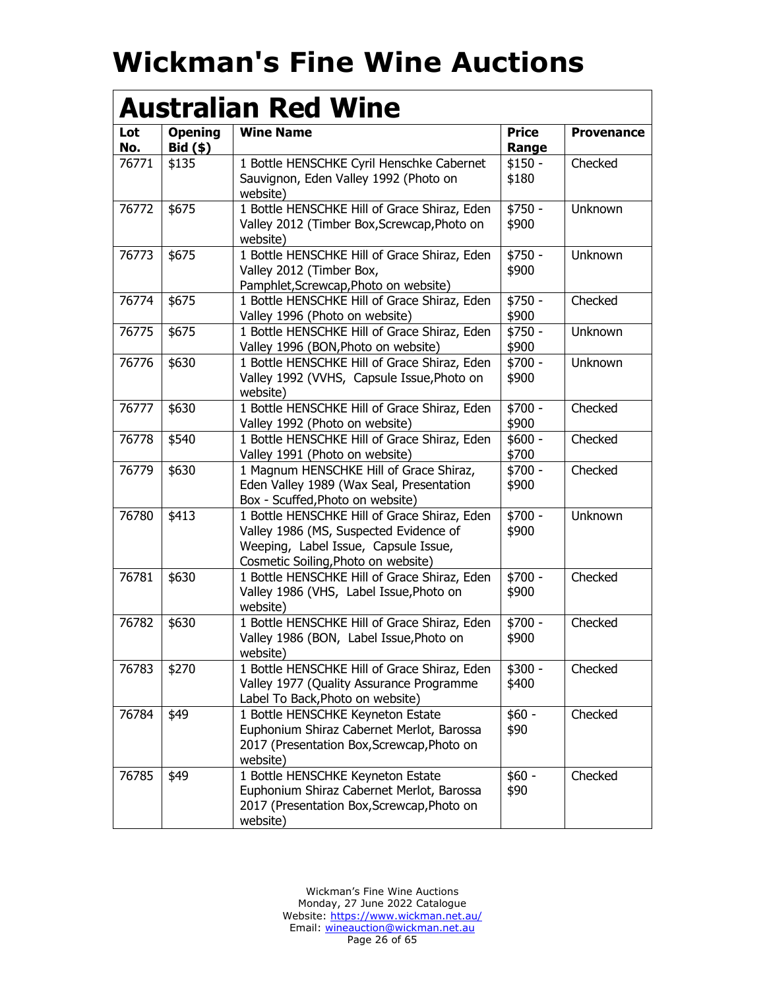| <b>Australian Red Wine</b> |                                   |                                                                                                                                                                       |                       |                   |
|----------------------------|-----------------------------------|-----------------------------------------------------------------------------------------------------------------------------------------------------------------------|-----------------------|-------------------|
| Lot<br>No.                 | <b>Opening</b><br><b>Bid (\$)</b> | <b>Wine Name</b>                                                                                                                                                      | <b>Price</b><br>Range | <b>Provenance</b> |
| 76771                      | \$135                             | 1 Bottle HENSCHKE Cyril Henschke Cabernet<br>Sauvignon, Eden Valley 1992 (Photo on<br>website)                                                                        | $$150 -$<br>\$180     | Checked           |
| 76772                      | \$675                             | 1 Bottle HENSCHKE Hill of Grace Shiraz, Eden<br>Valley 2012 (Timber Box, Screwcap, Photo on<br>website)                                                               | \$750 -<br>\$900      | Unknown           |
| 76773                      | \$675                             | 1 Bottle HENSCHKE Hill of Grace Shiraz, Eden<br>Valley 2012 (Timber Box,<br>Pamphlet, Screwcap, Photo on website)                                                     | $$750 -$<br>\$900     | Unknown           |
| 76774                      | \$675                             | 1 Bottle HENSCHKE Hill of Grace Shiraz, Eden<br>Valley 1996 (Photo on website)                                                                                        | \$750 -<br>\$900      | Checked           |
| 76775                      | \$675                             | 1 Bottle HENSCHKE Hill of Grace Shiraz, Eden<br>Valley 1996 (BON, Photo on website)                                                                                   | $$750 -$<br>\$900     | Unknown           |
| 76776                      | \$630                             | 1 Bottle HENSCHKE Hill of Grace Shiraz, Eden<br>Valley 1992 (VVHS, Capsule Issue, Photo on<br>website)                                                                | $$700 -$<br>\$900     | Unknown           |
| 76777                      | \$630                             | 1 Bottle HENSCHKE Hill of Grace Shiraz, Eden<br>Valley 1992 (Photo on website)                                                                                        | \$700 -<br>\$900      | Checked           |
| 76778                      | \$540                             | 1 Bottle HENSCHKE Hill of Grace Shiraz, Eden<br>Valley 1991 (Photo on website)                                                                                        | $$600 -$<br>\$700     | Checked           |
| 76779                      | \$630                             | 1 Magnum HENSCHKE Hill of Grace Shiraz,<br>Eden Valley 1989 (Wax Seal, Presentation<br>Box - Scuffed, Photo on website)                                               | \$700 -<br>\$900      | Checked           |
| 76780                      | \$413                             | 1 Bottle HENSCHKE Hill of Grace Shiraz, Eden<br>Valley 1986 (MS, Suspected Evidence of<br>Weeping, Label Issue, Capsule Issue,<br>Cosmetic Soiling, Photo on website) | $$700 -$<br>\$900     | Unknown           |
| 76781                      | \$630                             | 1 Bottle HENSCHKE Hill of Grace Shiraz, Eden<br>Valley 1986 (VHS, Label Issue, Photo on<br>website)                                                                   | $$700 -$<br>\$900     | Checked           |
| 76782                      | \$630                             | 1 Bottle HENSCHKE Hill of Grace Shiraz, Eden<br>Valley 1986 (BON, Label Issue, Photo on<br>website)                                                                   | \$700 -<br>\$900      | Checked           |
| 76783                      | \$270                             | 1 Bottle HENSCHKE Hill of Grace Shiraz, Eden<br>Valley 1977 (Quality Assurance Programme<br>Label To Back, Photo on website)                                          | $$300 -$<br>\$400     | Checked           |
| 76784                      | \$49                              | 1 Bottle HENSCHKE Keyneton Estate<br>Euphonium Shiraz Cabernet Merlot, Barossa<br>2017 (Presentation Box, Screwcap, Photo on<br>website)                              | $$60 -$<br>\$90       | Checked           |
| 76785                      | \$49                              | 1 Bottle HENSCHKE Keyneton Estate<br>Euphonium Shiraz Cabernet Merlot, Barossa<br>2017 (Presentation Box, Screwcap, Photo on<br>website)                              | $$60 -$<br>\$90       | Checked           |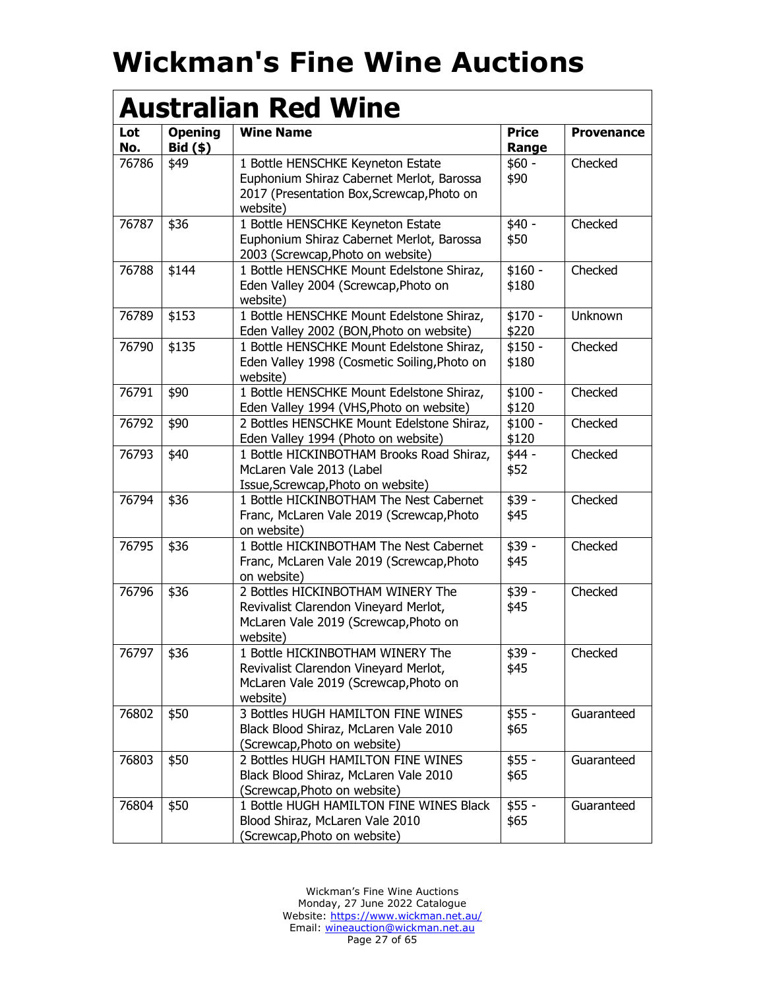| <b>Australian Red Wine</b> |                              |                                                                                                                                          |                       |                   |
|----------------------------|------------------------------|------------------------------------------------------------------------------------------------------------------------------------------|-----------------------|-------------------|
| Lot<br>No.                 | <b>Opening</b><br>$Bid($ \$) | <b>Wine Name</b>                                                                                                                         | <b>Price</b><br>Range | <b>Provenance</b> |
| 76786                      | \$49                         | 1 Bottle HENSCHKE Keyneton Estate<br>Euphonium Shiraz Cabernet Merlot, Barossa<br>2017 (Presentation Box, Screwcap, Photo on<br>website) | $$60 -$<br>\$90       | Checked           |
| 76787                      | \$36                         | 1 Bottle HENSCHKE Keyneton Estate<br>Euphonium Shiraz Cabernet Merlot, Barossa<br>2003 (Screwcap, Photo on website)                      | $$40 -$<br>\$50       | Checked           |
| 76788                      | \$144                        | 1 Bottle HENSCHKE Mount Edelstone Shiraz,<br>Eden Valley 2004 (Screwcap, Photo on<br>website)                                            | $$160 -$<br>\$180     | Checked           |
| 76789                      | \$153                        | 1 Bottle HENSCHKE Mount Edelstone Shiraz,<br>Eden Valley 2002 (BON, Photo on website)                                                    | $$170 -$<br>\$220     | Unknown           |
| 76790                      | \$135                        | 1 Bottle HENSCHKE Mount Edelstone Shiraz,<br>Eden Valley 1998 (Cosmetic Soiling, Photo on<br>website)                                    | $$150 -$<br>\$180     | Checked           |
| 76791                      | \$90                         | 1 Bottle HENSCHKE Mount Edelstone Shiraz,<br>Eden Valley 1994 (VHS, Photo on website)                                                    | $$100 -$<br>\$120     | Checked           |
| 76792                      | \$90                         | 2 Bottles HENSCHKE Mount Edelstone Shiraz,<br>Eden Valley 1994 (Photo on website)                                                        | $$100 -$<br>\$120     | Checked           |
| 76793                      | \$40                         | 1 Bottle HICKINBOTHAM Brooks Road Shiraz,<br>McLaren Vale 2013 (Label<br>Issue, Screwcap, Photo on website)                              | \$44 -<br>\$52        | Checked           |
| 76794                      | \$36                         | 1 Bottle HICKINBOTHAM The Nest Cabernet<br>Franc, McLaren Vale 2019 (Screwcap, Photo<br>on website)                                      | \$39 -<br>\$45        | Checked           |
| 76795                      | \$36                         | 1 Bottle HICKINBOTHAM The Nest Cabernet<br>Franc, McLaren Vale 2019 (Screwcap, Photo<br>on website)                                      | $$39 -$<br>\$45       | Checked           |
| 76796                      | \$36                         | 2 Bottles HICKINBOTHAM WINERY The<br>Revivalist Clarendon Vineyard Merlot,<br>McLaren Vale 2019 (Screwcap, Photo on<br>website)          | $$39 -$<br>\$45       | Checked           |
| 76797                      | \$36                         | 1 Bottle HICKINBOTHAM WINERY The<br>Revivalist Clarendon Vineyard Merlot,<br>McLaren Vale 2019 (Screwcap, Photo on<br>website)           | \$39 -<br>\$45        | Checked           |
| 76802                      | \$50                         | 3 Bottles HUGH HAMILTON FINE WINES<br>Black Blood Shiraz, McLaren Vale 2010<br>(Screwcap, Photo on website)                              | $$55 -$<br>\$65       | Guaranteed        |
| 76803                      | \$50                         | 2 Bottles HUGH HAMILTON FINE WINES<br>Black Blood Shiraz, McLaren Vale 2010<br>(Screwcap, Photo on website)                              | \$55 -<br>\$65        | Guaranteed        |
| 76804                      | \$50                         | 1 Bottle HUGH HAMILTON FINE WINES Black<br>Blood Shiraz, McLaren Vale 2010<br>(Screwcap, Photo on website)                               | $$55 -$<br>\$65       | Guaranteed        |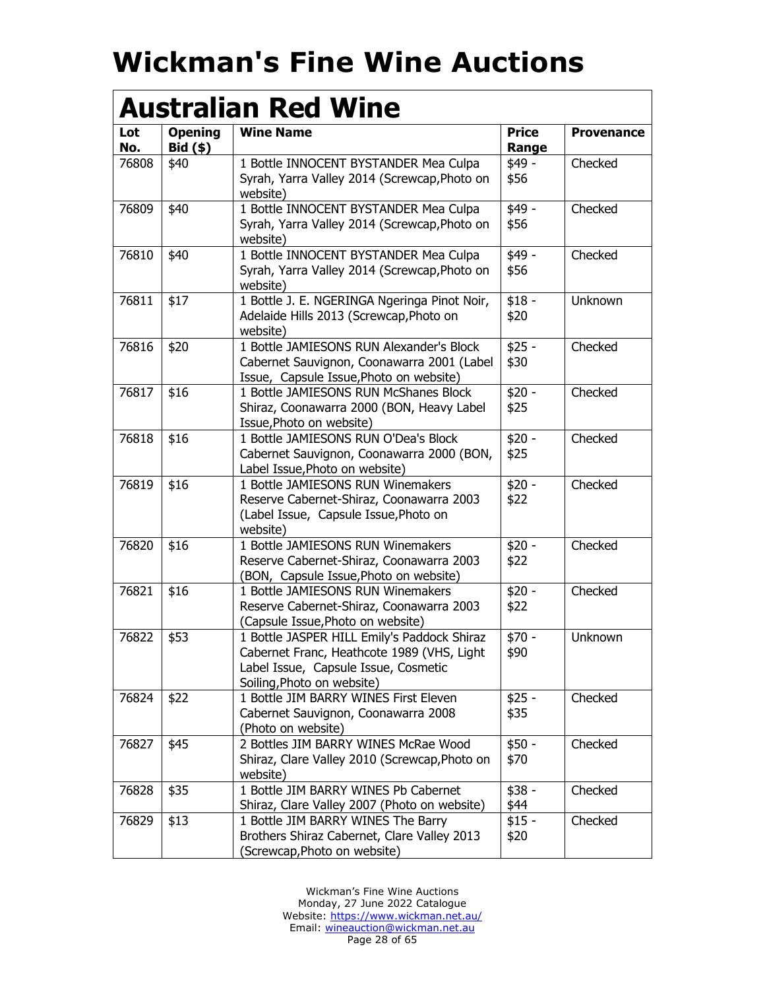|            | <b>Australian Red Wine</b>   |                                                                                                                                                                 |                       |                   |
|------------|------------------------------|-----------------------------------------------------------------------------------------------------------------------------------------------------------------|-----------------------|-------------------|
| Lot<br>No. | <b>Opening</b><br>$Bid($ \$) | <b>Wine Name</b>                                                                                                                                                | <b>Price</b><br>Range | <b>Provenance</b> |
| 76808      | \$40                         | 1 Bottle INNOCENT BYSTANDER Mea Culpa<br>Syrah, Yarra Valley 2014 (Screwcap, Photo on<br>website)                                                               | \$49 -<br>\$56        | Checked           |
| 76809      | \$40                         | 1 Bottle INNOCENT BYSTANDER Mea Culpa<br>Syrah, Yarra Valley 2014 (Screwcap, Photo on<br>website)                                                               | $$49 -$<br>\$56       | Checked           |
| 76810      | \$40                         | 1 Bottle INNOCENT BYSTANDER Mea Culpa<br>Syrah, Yarra Valley 2014 (Screwcap, Photo on<br>website)                                                               | $$49 -$<br>\$56       | Checked           |
| 76811      | \$17                         | 1 Bottle J. E. NGERINGA Ngeringa Pinot Noir,<br>Adelaide Hills 2013 (Screwcap, Photo on<br>website)                                                             | $$18 -$<br>\$20       | Unknown           |
| 76816      | \$20                         | 1 Bottle JAMIESONS RUN Alexander's Block<br>Cabernet Sauvignon, Coonawarra 2001 (Label<br>Issue, Capsule Issue, Photo on website)                               | $$25 -$<br>\$30       | Checked           |
| 76817      | \$16                         | 1 Bottle JAMIESONS RUN McShanes Block<br>Shiraz, Coonawarra 2000 (BON, Heavy Label<br>Issue, Photo on website)                                                  | $$20 -$<br>\$25       | Checked           |
| 76818      | \$16                         | 1 Bottle JAMIESONS RUN O'Dea's Block<br>Cabernet Sauvignon, Coonawarra 2000 (BON,<br>Label Issue, Photo on website)                                             | $$20 -$<br>\$25       | Checked           |
| 76819      | \$16                         | 1 Bottle JAMIESONS RUN Winemakers<br>Reserve Cabernet-Shiraz, Coonawarra 2003<br>(Label Issue, Capsule Issue, Photo on<br>website)                              | $$20 -$<br>\$22       | Checked           |
| 76820      | \$16                         | 1 Bottle JAMIESONS RUN Winemakers<br>Reserve Cabernet-Shiraz, Coonawarra 2003<br>(BON, Capsule Issue, Photo on website)                                         | $$20 -$<br>\$22       | Checked           |
| 76821      | \$16                         | 1 Bottle JAMIESONS RUN Winemakers<br>Reserve Cabernet-Shiraz, Coonawarra 2003<br>(Capsule Issue, Photo on website)                                              | $$20 -$<br>\$22       | Checked           |
| 76822      | \$53                         | 1 Bottle JASPER HILL Emily's Paddock Shiraz<br>Cabernet Franc, Heathcote 1989 (VHS, Light<br>Label Issue, Capsule Issue, Cosmetic<br>Soiling, Photo on website) | \$70 -<br>\$90        | Unknown           |
| 76824      | \$22                         | 1 Bottle JIM BARRY WINES First Eleven<br>Cabernet Sauvignon, Coonawarra 2008<br>(Photo on website)                                                              | $$25 -$<br>\$35       | Checked           |
| 76827      | \$45                         | 2 Bottles JIM BARRY WINES McRae Wood<br>Shiraz, Clare Valley 2010 (Screwcap, Photo on<br>website)                                                               | $$50 -$<br>\$70       | Checked           |
| 76828      | \$35                         | 1 Bottle JIM BARRY WINES Pb Cabernet<br>Shiraz, Clare Valley 2007 (Photo on website)                                                                            | $$38 -$<br>\$44       | Checked           |
| 76829      | \$13                         | 1 Bottle JIM BARRY WINES The Barry<br>Brothers Shiraz Cabernet, Clare Valley 2013<br>(Screwcap, Photo on website)                                               | $$15 -$<br>\$20       | Checked           |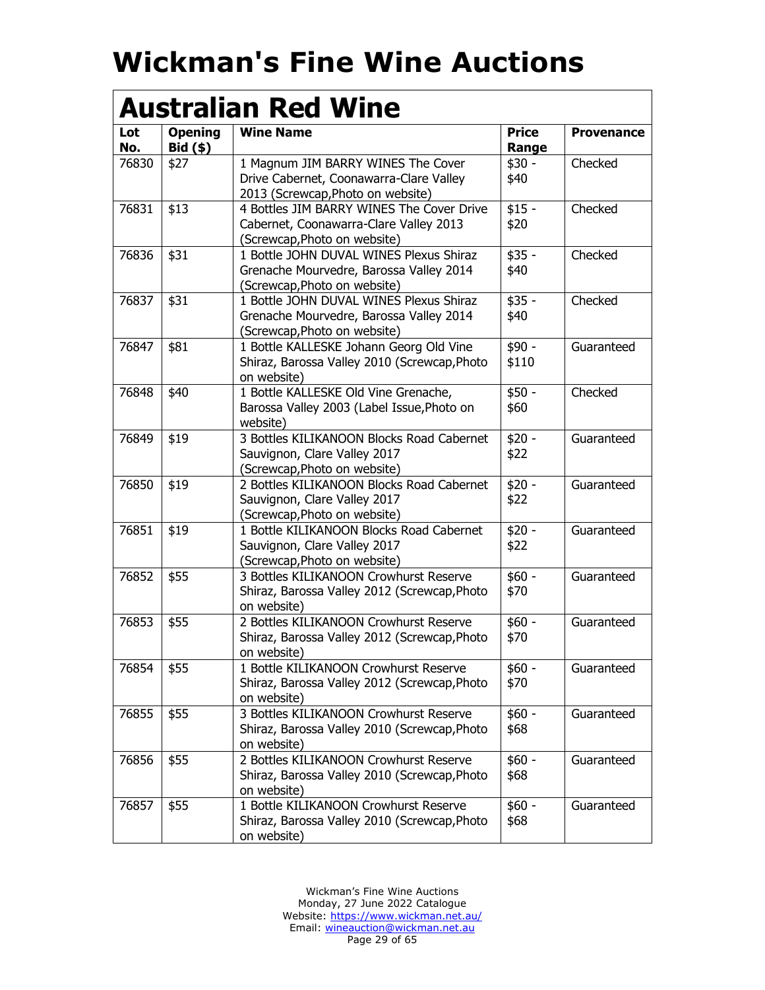|            | <b>Australian Red Wine</b>   |                                                                                                                     |                       |                   |
|------------|------------------------------|---------------------------------------------------------------------------------------------------------------------|-----------------------|-------------------|
| Lot<br>No. | <b>Opening</b><br>$Bid($ \$) | <b>Wine Name</b>                                                                                                    | <b>Price</b><br>Range | <b>Provenance</b> |
| 76830      | \$27                         | 1 Magnum JIM BARRY WINES The Cover<br>Drive Cabernet, Coonawarra-Clare Valley<br>2013 (Screwcap, Photo on website)  | $$30 -$<br>\$40       | Checked           |
| 76831      | \$13                         | 4 Bottles JIM BARRY WINES The Cover Drive<br>Cabernet, Coonawarra-Clare Valley 2013<br>(Screwcap, Photo on website) | $$15 -$<br>\$20       | Checked           |
| 76836      | \$31                         | 1 Bottle JOHN DUVAL WINES Plexus Shiraz<br>Grenache Mourvedre, Barossa Valley 2014<br>(Screwcap, Photo on website)  | $$35 -$<br>\$40       | Checked           |
| 76837      | \$31                         | 1 Bottle JOHN DUVAL WINES Plexus Shiraz<br>Grenache Mourvedre, Barossa Valley 2014<br>(Screwcap, Photo on website)  | $$35 -$<br>\$40       | Checked           |
| 76847      | \$81                         | 1 Bottle KALLESKE Johann Georg Old Vine<br>Shiraz, Barossa Valley 2010 (Screwcap, Photo<br>on website)              | \$90 -<br>\$110       | Guaranteed        |
| 76848      | \$40                         | 1 Bottle KALLESKE Old Vine Grenache,<br>Barossa Valley 2003 (Label Issue, Photo on<br>website)                      | $$50 -$<br>\$60       | Checked           |
| 76849      | \$19                         | 3 Bottles KILIKANOON Blocks Road Cabernet<br>Sauvignon, Clare Valley 2017<br>(Screwcap, Photo on website)           | $$20 -$<br>\$22       | Guaranteed        |
| 76850      | \$19                         | 2 Bottles KILIKANOON Blocks Road Cabernet<br>Sauvignon, Clare Valley 2017<br>(Screwcap, Photo on website)           | $$20 -$<br>\$22       | Guaranteed        |
| 76851      | \$19                         | 1 Bottle KILIKANOON Blocks Road Cabernet<br>Sauvignon, Clare Valley 2017<br>(Screwcap, Photo on website)            | $$20 -$<br>\$22       | Guaranteed        |
| 76852      | \$55                         | 3 Bottles KILIKANOON Crowhurst Reserve<br>Shiraz, Barossa Valley 2012 (Screwcap, Photo<br>on website)               | $$60 -$<br>\$70       | Guaranteed        |
| 76853      | \$55                         | 2 Bottles KILIKANOON Crowhurst Reserve<br>Shiraz, Barossa Valley 2012 (Screwcap, Photo<br>on website)               | $$60 -$<br>\$70       | Guaranteed        |
| 76854      | \$55                         | 1 Bottle KILIKANOON Crowhurst Reserve<br>Shiraz, Barossa Valley 2012 (Screwcap, Photo<br>on website)                | $$60 -$<br>\$70       | Guaranteed        |
| 76855      | \$55                         | 3 Bottles KILIKANOON Crowhurst Reserve<br>Shiraz, Barossa Valley 2010 (Screwcap, Photo<br>on website)               | $$60 -$<br>\$68       | Guaranteed        |
| 76856      | \$55                         | 2 Bottles KILIKANOON Crowhurst Reserve<br>Shiraz, Barossa Valley 2010 (Screwcap, Photo<br>on website)               | $$60 -$<br>\$68       | Guaranteed        |
| 76857      | \$55                         | 1 Bottle KILIKANOON Crowhurst Reserve<br>Shiraz, Barossa Valley 2010 (Screwcap, Photo<br>on website)                | $$60 -$<br>\$68       | Guaranteed        |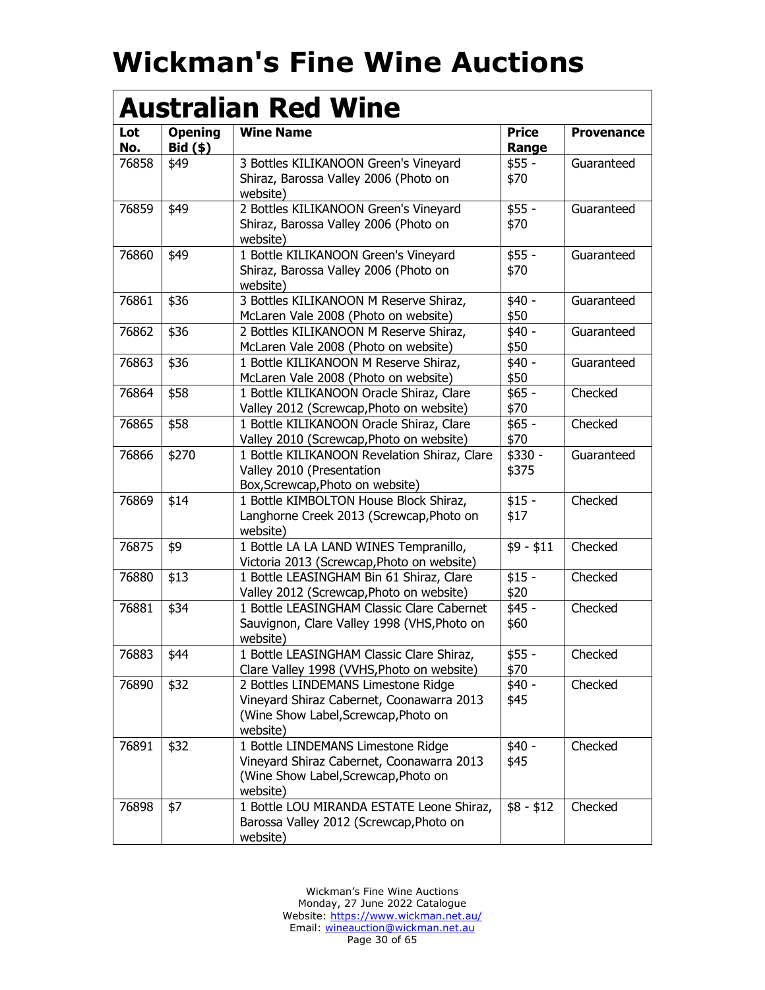| <b>Australian Red Wine</b> |                              |                                                                                                                                      |                       |                   |
|----------------------------|------------------------------|--------------------------------------------------------------------------------------------------------------------------------------|-----------------------|-------------------|
| Lot<br>No.                 | <b>Opening</b><br>$Bid($ \$) | <b>Wine Name</b>                                                                                                                     | <b>Price</b><br>Range | <b>Provenance</b> |
| 76858                      | \$49                         | 3 Bottles KILIKANOON Green's Vineyard<br>Shiraz, Barossa Valley 2006 (Photo on<br>website)                                           | $$55 -$<br>\$70       | Guaranteed        |
| 76859                      | \$49                         | 2 Bottles KILIKANOON Green's Vineyard<br>Shiraz, Barossa Valley 2006 (Photo on<br>website)                                           | $$55 -$<br>\$70       | Guaranteed        |
| 76860                      | \$49                         | 1 Bottle KILIKANOON Green's Vineyard<br>Shiraz, Barossa Valley 2006 (Photo on<br>website)                                            | $$55 -$<br>\$70       | Guaranteed        |
| 76861                      | \$36                         | 3 Bottles KILIKANOON M Reserve Shiraz,<br>McLaren Vale 2008 (Photo on website)                                                       | $$40 -$<br>\$50       | Guaranteed        |
| 76862                      | \$36                         | 2 Bottles KILIKANOON M Reserve Shiraz,<br>McLaren Vale 2008 (Photo on website)                                                       | $$40 -$<br>\$50       | Guaranteed        |
| 76863                      | \$36                         | 1 Bottle KILIKANOON M Reserve Shiraz,<br>McLaren Vale 2008 (Photo on website)                                                        | $$40 -$<br>\$50       | Guaranteed        |
| 76864                      | \$58                         | 1 Bottle KILIKANOON Oracle Shiraz, Clare<br>Valley 2012 (Screwcap, Photo on website)                                                 | $$65 -$<br>\$70       | Checked           |
| 76865                      | \$58                         | 1 Bottle KILIKANOON Oracle Shiraz, Clare<br>Valley 2010 (Screwcap, Photo on website)                                                 | $$65 -$<br>\$70       | Checked           |
| 76866                      | \$270                        | 1 Bottle KILIKANOON Revelation Shiraz, Clare<br>Valley 2010 (Presentation<br>Box, Screwcap, Photo on website)                        | $$330 -$<br>\$375     | Guaranteed        |
| 76869                      | \$14                         | 1 Bottle KIMBOLTON House Block Shiraz,<br>Langhorne Creek 2013 (Screwcap, Photo on<br>website)                                       | $$15 -$<br>\$17       | Checked           |
| 76875                      | \$9                          | 1 Bottle LA LA LAND WINES Tempranillo,<br>Victoria 2013 (Screwcap, Photo on website)                                                 | $$9 - $11$            | Checked           |
| 76880                      | \$13                         | 1 Bottle LEASINGHAM Bin 61 Shiraz, Clare<br>Valley 2012 (Screwcap, Photo on website)                                                 | $$15 -$<br>\$20       | Checked           |
| 76881                      | \$34                         | 1 Bottle LEASINGHAM Classic Clare Cabernet<br>Sauvignon, Clare Valley 1998 (VHS, Photo on<br>website)                                | $$45 -$<br>\$60       | Checked           |
| 76883                      | \$44                         | 1 Bottle LEASINGHAM Classic Clare Shiraz,<br>Clare Valley 1998 (VVHS, Photo on website)                                              | $$55 -$<br>\$70       | Checked           |
| 76890                      | \$32                         | 2 Bottles LINDEMANS Limestone Ridge<br>Vineyard Shiraz Cabernet, Coonawarra 2013<br>(Wine Show Label, Screwcap, Photo on<br>website) | \$40 -<br>\$45        | Checked           |
| 76891                      | \$32                         | 1 Bottle LINDEMANS Limestone Ridge<br>Vineyard Shiraz Cabernet, Coonawarra 2013<br>(Wine Show Label, Screwcap, Photo on<br>website)  | $$40 -$<br>\$45       | Checked           |
| 76898                      | \$7                          | 1 Bottle LOU MIRANDA ESTATE Leone Shiraz,<br>Barossa Valley 2012 (Screwcap, Photo on<br>website)                                     | $$8 - $12$            | Checked           |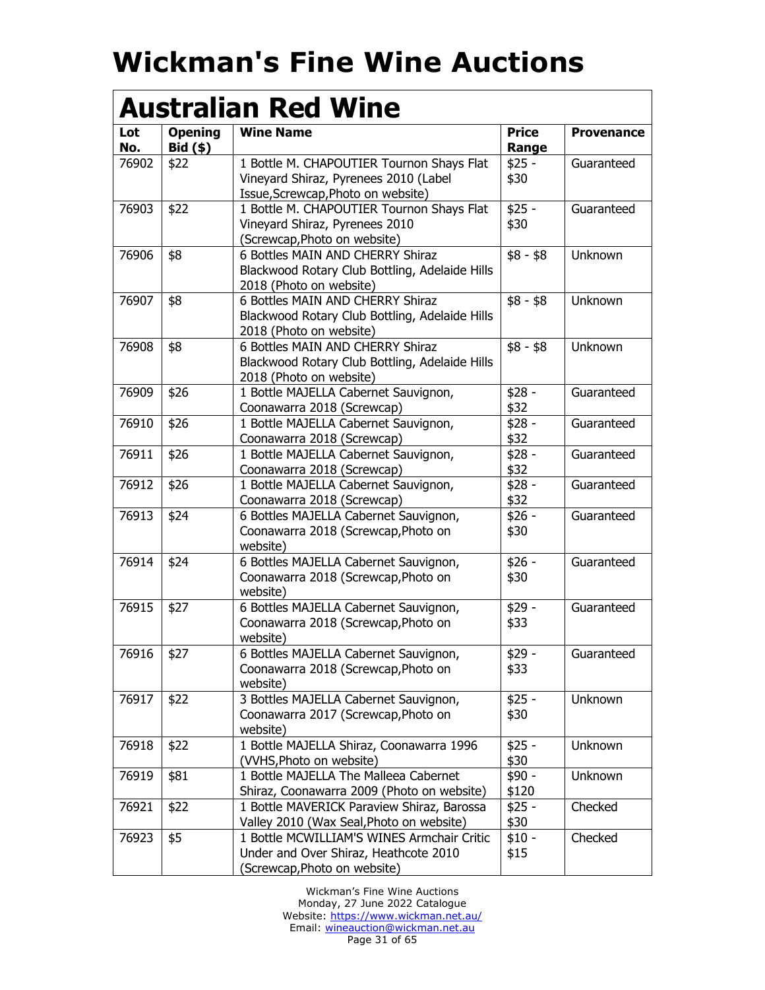| <b>Australian Red Wine</b> |                              |                                                                                                                          |                       |                   |
|----------------------------|------------------------------|--------------------------------------------------------------------------------------------------------------------------|-----------------------|-------------------|
| Lot<br>No.                 | <b>Opening</b><br>$Bid($ \$) | <b>Wine Name</b>                                                                                                         | <b>Price</b><br>Range | <b>Provenance</b> |
| 76902                      | \$22                         | 1 Bottle M. CHAPOUTIER Tournon Shays Flat<br>Vineyard Shiraz, Pyrenees 2010 (Label<br>Issue, Screwcap, Photo on website) | $$25 -$<br>\$30       | Guaranteed        |
| 76903                      | \$22                         | 1 Bottle M. CHAPOUTIER Tournon Shays Flat<br>Vineyard Shiraz, Pyrenees 2010<br>(Screwcap, Photo on website)              | $$25 -$<br>\$30       | Guaranteed        |
| 76906                      | \$8                          | 6 Bottles MAIN AND CHERRY Shiraz<br>Blackwood Rotary Club Bottling, Adelaide Hills<br>2018 (Photo on website)            | $$8 - $8$             | <b>Unknown</b>    |
| 76907                      | \$8                          | 6 Bottles MAIN AND CHERRY Shiraz<br>Blackwood Rotary Club Bottling, Adelaide Hills<br>2018 (Photo on website)            | $$8 - $8$             | Unknown           |
| 76908                      | \$8                          | 6 Bottles MAIN AND CHERRY Shiraz<br>Blackwood Rotary Club Bottling, Adelaide Hills<br>2018 (Photo on website)            | $$8 - $8$             | Unknown           |
| 76909                      | \$26                         | 1 Bottle MAJELLA Cabernet Sauvignon,<br>Coonawarra 2018 (Screwcap)                                                       | $$28 -$<br>\$32       | Guaranteed        |
| 76910                      | \$26                         | 1 Bottle MAJELLA Cabernet Sauvignon,<br>Coonawarra 2018 (Screwcap)                                                       | $$28 -$<br>\$32       | Guaranteed        |
| 76911                      | \$26                         | 1 Bottle MAJELLA Cabernet Sauvignon,<br>Coonawarra 2018 (Screwcap)                                                       | $$28 -$<br>\$32       | Guaranteed        |
| 76912                      | \$26                         | 1 Bottle MAJELLA Cabernet Sauvignon,<br>Coonawarra 2018 (Screwcap)                                                       | $$28 -$<br>\$32       | Guaranteed        |
| 76913                      | \$24                         | 6 Bottles MAJELLA Cabernet Sauvignon,<br>Coonawarra 2018 (Screwcap, Photo on<br>website)                                 | $$26 -$<br>\$30       | Guaranteed        |
| 76914                      | \$24                         | 6 Bottles MAJELLA Cabernet Sauvignon,<br>Coonawarra 2018 (Screwcap, Photo on<br>website)                                 | $$26 -$<br>\$30       | Guaranteed        |
| 76915                      | \$27                         | 6 Bottles MAJELLA Cabernet Sauvignon,<br>Coonawarra 2018 (Screwcap, Photo on<br>website)                                 | $$29 -$<br>\$33       | Guaranteed        |
| 76916                      | \$27                         | 6 Bottles MAJELLA Cabernet Sauvignon,<br>Coonawarra 2018 (Screwcap, Photo on<br>website)                                 | $$29 -$<br>\$33       | Guaranteed        |
| 76917                      | \$22                         | 3 Bottles MAJELLA Cabernet Sauvignon,<br>Coonawarra 2017 (Screwcap, Photo on<br>website)                                 | $$25 -$<br>\$30       | Unknown           |
| 76918                      | \$22                         | 1 Bottle MAJELLA Shiraz, Coonawarra 1996<br>(VVHS, Photo on website)                                                     | $$25 -$<br>\$30       | Unknown           |
| 76919                      | \$81                         | 1 Bottle MAJELLA The Malleea Cabernet<br>Shiraz, Coonawarra 2009 (Photo on website)                                      | \$90 -<br>\$120       | Unknown           |
| 76921                      | \$22                         | 1 Bottle MAVERICK Paraview Shiraz, Barossa<br>Valley 2010 (Wax Seal, Photo on website)                                   | $$25 -$<br>\$30       | Checked           |
| 76923                      | \$5                          | 1 Bottle MCWILLIAM'S WINES Armchair Critic<br>Under and Over Shiraz, Heathcote 2010<br>(Screwcap, Photo on website)      | $$10 -$<br>\$15       | Checked           |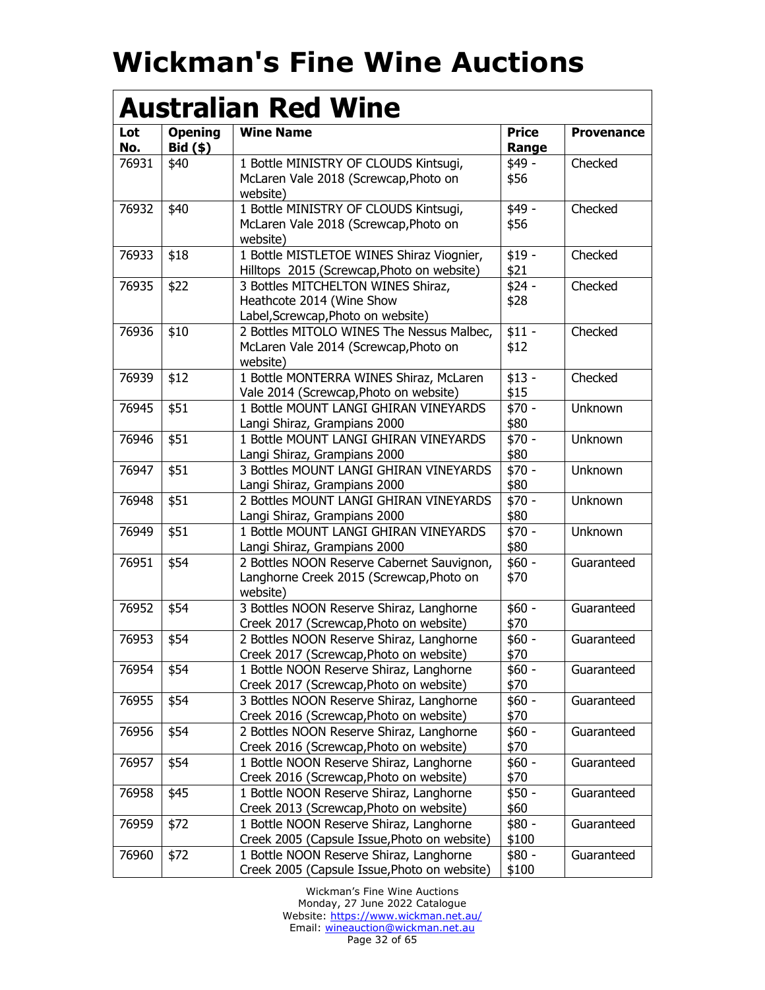| <b>Australian Red Wine</b> |                              |                                                                                                       |                       |                   |
|----------------------------|------------------------------|-------------------------------------------------------------------------------------------------------|-----------------------|-------------------|
| Lot<br>No.                 | <b>Opening</b><br>$Bid($ \$) | <b>Wine Name</b>                                                                                      | <b>Price</b><br>Range | <b>Provenance</b> |
| 76931                      | \$40                         | 1 Bottle MINISTRY OF CLOUDS Kintsugi,<br>McLaren Vale 2018 (Screwcap, Photo on<br>website)            | \$49 -<br>\$56        | Checked           |
| 76932                      | \$40                         | 1 Bottle MINISTRY OF CLOUDS Kintsugi,<br>McLaren Vale 2018 (Screwcap, Photo on<br>website)            | \$49 -<br>\$56        | Checked           |
| 76933                      | \$18                         | 1 Bottle MISTLETOE WINES Shiraz Viognier,<br>Hilltops 2015 (Screwcap, Photo on website)               | $$19 -$<br>\$21       | Checked           |
| 76935                      | \$22                         | 3 Bottles MITCHELTON WINES Shiraz,<br>Heathcote 2014 (Wine Show<br>Label, Screwcap, Photo on website) | $$24 -$<br>\$28       | Checked           |
| 76936                      | \$10                         | 2 Bottles MITOLO WINES The Nessus Malbec,<br>McLaren Vale 2014 (Screwcap, Photo on<br>website)        | $$11 -$<br>\$12       | Checked           |
| 76939                      | \$12                         | 1 Bottle MONTERRA WINES Shiraz, McLaren<br>Vale 2014 (Screwcap, Photo on website)                     | $$13 -$<br>\$15       | Checked           |
| 76945                      | \$51                         | 1 Bottle MOUNT LANGI GHIRAN VINEYARDS<br>Langi Shiraz, Grampians 2000                                 | \$70 -<br>\$80        | Unknown           |
| 76946                      | \$51                         | 1 Bottle MOUNT LANGI GHIRAN VINEYARDS<br>Langi Shiraz, Grampians 2000                                 | $$70 -$<br>\$80       | Unknown           |
| 76947                      | \$51                         | 3 Bottles MOUNT LANGI GHIRAN VINEYARDS<br>Langi Shiraz, Grampians 2000                                | $$70 -$<br>\$80       | Unknown           |
| 76948                      | \$51                         | 2 Bottles MOUNT LANGI GHIRAN VINEYARDS<br>Langi Shiraz, Grampians 2000                                | $$70 -$<br>\$80       | Unknown           |
| 76949                      | \$51                         | 1 Bottle MOUNT LANGI GHIRAN VINEYARDS<br>Langi Shiraz, Grampians 2000                                 | \$70 -<br>\$80        | Unknown           |
| 76951                      | \$54                         | 2 Bottles NOON Reserve Cabernet Sauvignon,<br>Langhorne Creek 2015 (Screwcap, Photo on<br>website)    | $$60 -$<br>\$70       | Guaranteed        |
| 76952                      | \$54                         | 3 Bottles NOON Reserve Shiraz, Langhorne<br>Creek 2017 (Screwcap, Photo on website)                   | $$60 -$<br>\$70       | Guaranteed        |
| 76953                      | \$54                         | 2 Bottles NOON Reserve Shiraz, Langhorne<br>Creek 2017 (Screwcap, Photo on website)                   | \$60 -<br>\$70        | Guaranteed        |
| 76954                      | \$54                         | 1 Bottle NOON Reserve Shiraz, Langhorne<br>Creek 2017 (Screwcap, Photo on website)                    | $$60 -$<br>\$70       | Guaranteed        |
| 76955                      | \$54                         | 3 Bottles NOON Reserve Shiraz, Langhorne<br>Creek 2016 (Screwcap, Photo on website)                   | \$60 -<br>\$70        | Guaranteed        |
| 76956                      | \$54                         | 2 Bottles NOON Reserve Shiraz, Langhorne<br>Creek 2016 (Screwcap, Photo on website)                   | \$60 -<br>\$70        | Guaranteed        |
| 76957                      | \$54                         | 1 Bottle NOON Reserve Shiraz, Langhorne<br>Creek 2016 (Screwcap, Photo on website)                    | $$60 -$<br>\$70       | Guaranteed        |
| 76958                      | \$45                         | 1 Bottle NOON Reserve Shiraz, Langhorne<br>Creek 2013 (Screwcap, Photo on website)                    | $$50 -$<br>\$60       | Guaranteed        |
| 76959                      | \$72                         | 1 Bottle NOON Reserve Shiraz, Langhorne<br>Creek 2005 (Capsule Issue, Photo on website)               | $$80 -$<br>\$100      | Guaranteed        |
| 76960                      | \$72                         | 1 Bottle NOON Reserve Shiraz, Langhorne<br>Creek 2005 (Capsule Issue, Photo on website)               | $$80 -$<br>\$100      | Guaranteed        |

Wickman's Fine Wine Auctions Monday, 27 June 2022 Catalogue Website:<https://www.wickman.net.au/> Email: [wineauction@wickman.net.au](mailto:wineauction@wickman.net.au) Page 32 of 65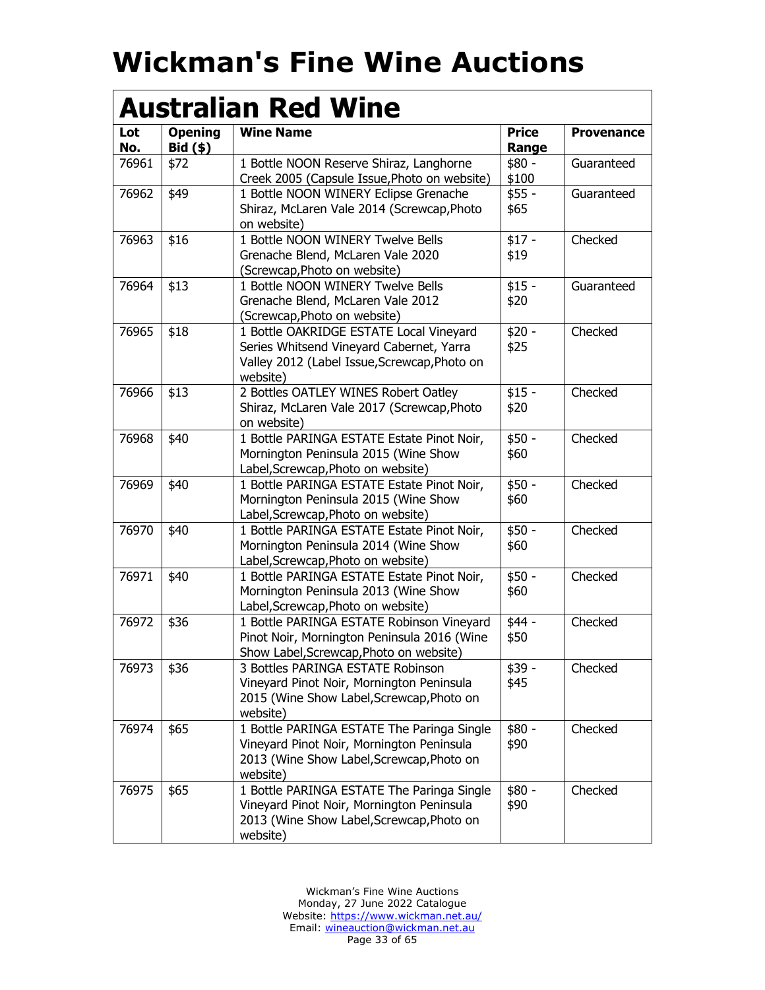| <b>Australian Red Wine</b> |                              |                                                                                                                                                  |                       |                   |
|----------------------------|------------------------------|--------------------------------------------------------------------------------------------------------------------------------------------------|-----------------------|-------------------|
| Lot<br>No.                 | <b>Opening</b><br>$Bid($ \$) | <b>Wine Name</b>                                                                                                                                 | <b>Price</b><br>Range | <b>Provenance</b> |
| 76961                      | \$72                         | 1 Bottle NOON Reserve Shiraz, Langhorne<br>Creek 2005 (Capsule Issue, Photo on website)                                                          | \$80 -<br>\$100       | Guaranteed        |
| 76962                      | \$49                         | 1 Bottle NOON WINERY Eclipse Grenache<br>Shiraz, McLaren Vale 2014 (Screwcap, Photo<br>on website)                                               | $$55 -$<br>\$65       | Guaranteed        |
| 76963                      | \$16                         | 1 Bottle NOON WINERY Twelve Bells<br>Grenache Blend, McLaren Vale 2020<br>(Screwcap, Photo on website)                                           | $$17 -$<br>\$19       | Checked           |
| 76964                      | \$13                         | 1 Bottle NOON WINERY Twelve Bells<br>Grenache Blend, McLaren Vale 2012<br>(Screwcap, Photo on website)                                           | $$15 -$<br>\$20       | Guaranteed        |
| 76965                      | \$18                         | 1 Bottle OAKRIDGE ESTATE Local Vineyard<br>Series Whitsend Vineyard Cabernet, Yarra<br>Valley 2012 (Label Issue, Screwcap, Photo on<br>website)  | $$20 -$<br>\$25       | Checked           |
| 76966                      | \$13                         | 2 Bottles OATLEY WINES Robert Oatley<br>Shiraz, McLaren Vale 2017 (Screwcap, Photo<br>on website)                                                | $$15 -$<br>\$20       | Checked           |
| 76968                      | \$40                         | 1 Bottle PARINGA ESTATE Estate Pinot Noir,<br>Mornington Peninsula 2015 (Wine Show<br>Label, Screwcap, Photo on website)                         | $$50 -$<br>\$60       | Checked           |
| 76969                      | \$40                         | 1 Bottle PARINGA ESTATE Estate Pinot Noir,<br>Mornington Peninsula 2015 (Wine Show<br>Label, Screwcap, Photo on website)                         | $$50 -$<br>\$60       | Checked           |
| 76970                      | \$40                         | 1 Bottle PARINGA ESTATE Estate Pinot Noir,<br>Mornington Peninsula 2014 (Wine Show<br>Label, Screwcap, Photo on website)                         | $$50 -$<br>\$60       | Checked           |
| 76971                      | \$40                         | 1 Bottle PARINGA ESTATE Estate Pinot Noir,<br>Mornington Peninsula 2013 (Wine Show<br>Label, Screwcap, Photo on website)                         | $$50 -$<br>\$60       | Checked           |
| 76972                      | \$36                         | 1 Bottle PARINGA ESTATE Robinson Vineyard<br>Pinot Noir, Mornington Peninsula 2016 (Wine<br>Show Label, Screwcap, Photo on website)              | $$44 -$<br>\$50       | Checked           |
| 76973                      | \$36                         | 3 Bottles PARINGA ESTATE Robinson<br>Vineyard Pinot Noir, Mornington Peninsula<br>2015 (Wine Show Label, Screwcap, Photo on<br>website)          | $$39 -$<br>\$45       | Checked           |
| 76974                      | \$65                         | 1 Bottle PARINGA ESTATE The Paringa Single<br>Vineyard Pinot Noir, Mornington Peninsula<br>2013 (Wine Show Label, Screwcap, Photo on<br>website) | $$80 -$<br>\$90       | Checked           |
| 76975                      | \$65                         | 1 Bottle PARINGA ESTATE The Paringa Single<br>Vineyard Pinot Noir, Mornington Peninsula<br>2013 (Wine Show Label, Screwcap, Photo on<br>website) | $$80 -$<br>\$90       | Checked           |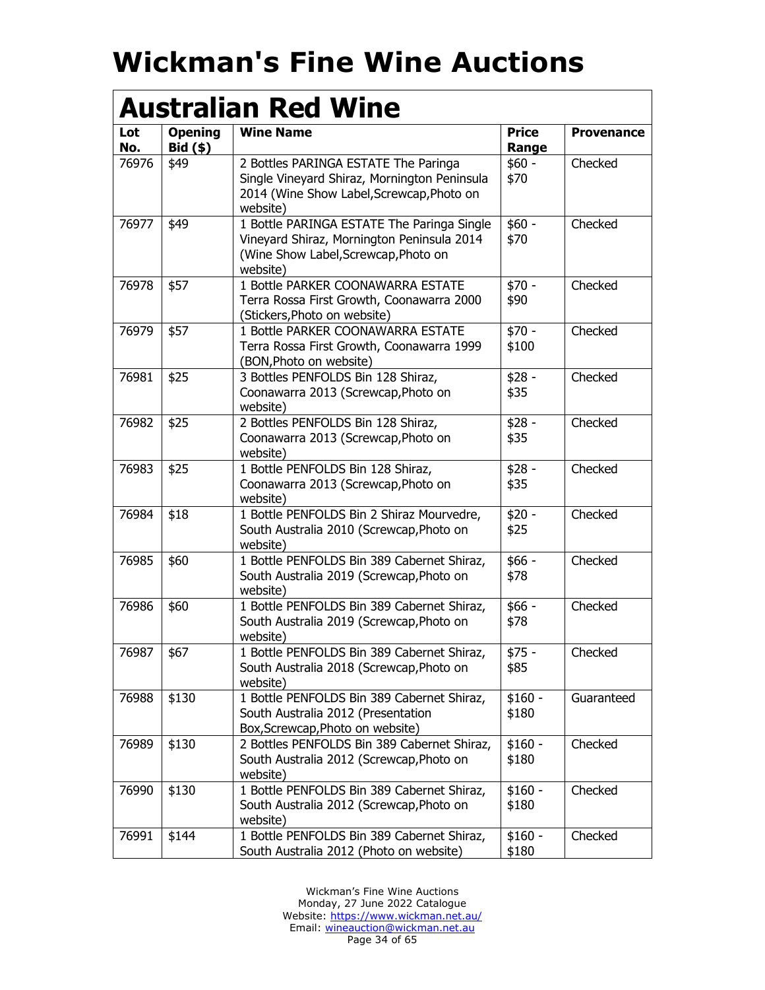| <b>Australian Red Wine</b> |                              |                                                                                                                                               |                       |                   |
|----------------------------|------------------------------|-----------------------------------------------------------------------------------------------------------------------------------------------|-----------------------|-------------------|
| Lot<br>No.                 | <b>Opening</b><br>$Bid($ \$) | <b>Wine Name</b>                                                                                                                              | <b>Price</b><br>Range | <b>Provenance</b> |
| 76976                      | \$49                         | 2 Bottles PARINGA ESTATE The Paringa<br>Single Vineyard Shiraz, Mornington Peninsula<br>2014 (Wine Show Label, Screwcap, Photo on<br>website) | $$60 -$<br>\$70       | Checked           |
| 76977                      | \$49                         | 1 Bottle PARINGA ESTATE The Paringa Single<br>Vineyard Shiraz, Mornington Peninsula 2014<br>(Wine Show Label, Screwcap, Photo on<br>website)  | $$60 -$<br>\$70       | Checked           |
| 76978                      | \$57                         | 1 Bottle PARKER COONAWARRA ESTATE<br>Terra Rossa First Growth, Coonawarra 2000<br>(Stickers, Photo on website)                                | $$70 -$<br>\$90       | Checked           |
| 76979                      | \$57                         | 1 Bottle PARKER COONAWARRA ESTATE<br>Terra Rossa First Growth, Coonawarra 1999<br>(BON, Photo on website)                                     | $$70 -$<br>\$100      | Checked           |
| 76981                      | \$25                         | 3 Bottles PENFOLDS Bin 128 Shiraz,<br>Coonawarra 2013 (Screwcap, Photo on<br>website)                                                         | $$28 -$<br>\$35       | Checked           |
| 76982                      | \$25                         | 2 Bottles PENFOLDS Bin 128 Shiraz,<br>Coonawarra 2013 (Screwcap, Photo on<br>website)                                                         | $$28 -$<br>\$35       | Checked           |
| 76983                      | \$25                         | 1 Bottle PENFOLDS Bin 128 Shiraz,<br>Coonawarra 2013 (Screwcap, Photo on<br>website)                                                          | $$28 -$<br>\$35       | Checked           |
| 76984                      | \$18                         | 1 Bottle PENFOLDS Bin 2 Shiraz Mourvedre,<br>South Australia 2010 (Screwcap, Photo on<br>website)                                             | $$20 -$<br>\$25       | Checked           |
| 76985                      | \$60                         | 1 Bottle PENFOLDS Bin 389 Cabernet Shiraz,<br>South Australia 2019 (Screwcap, Photo on<br>website)                                            | $$66 -$<br>\$78       | Checked           |
| 76986                      | \$60                         | 1 Bottle PENFOLDS Bin 389 Cabernet Shiraz,<br>South Australia 2019 (Screwcap, Photo on<br>website)                                            | $$66 -$<br>\$78       | Checked           |
| 76987                      | \$67                         | 1 Bottle PENFOLDS Bin 389 Cabernet Shiraz,<br>South Australia 2018 (Screwcap, Photo on<br>website)                                            | $$75 -$<br>\$85       | Checked           |
| 76988                      | \$130                        | 1 Bottle PENFOLDS Bin 389 Cabernet Shiraz,<br>South Australia 2012 (Presentation<br>Box, Screwcap, Photo on website)                          | $$160 -$<br>\$180     | Guaranteed        |
| 76989                      | \$130                        | 2 Bottles PENFOLDS Bin 389 Cabernet Shiraz,<br>South Australia 2012 (Screwcap, Photo on<br>website)                                           | $$160 -$<br>\$180     | Checked           |
| 76990                      | \$130                        | 1 Bottle PENFOLDS Bin 389 Cabernet Shiraz,<br>South Australia 2012 (Screwcap, Photo on<br>website)                                            | $$160 -$<br>\$180     | Checked           |
| 76991                      | \$144                        | 1 Bottle PENFOLDS Bin 389 Cabernet Shiraz,<br>South Australia 2012 (Photo on website)                                                         | $$160 -$<br>\$180     | Checked           |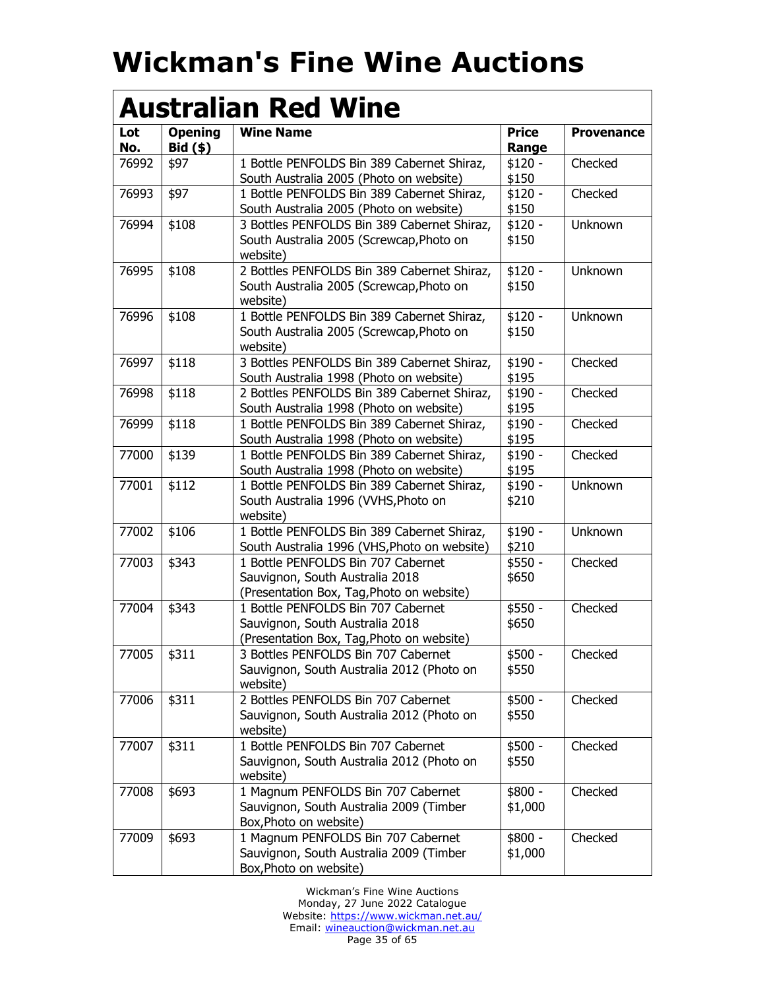| <b>Australian Red Wine</b> |                              |                                                                                                                    |                       |                   |
|----------------------------|------------------------------|--------------------------------------------------------------------------------------------------------------------|-----------------------|-------------------|
| Lot<br>No.                 | <b>Opening</b><br>$Bid($ \$) | <b>Wine Name</b>                                                                                                   | <b>Price</b><br>Range | <b>Provenance</b> |
| 76992                      | \$97                         | 1 Bottle PENFOLDS Bin 389 Cabernet Shiraz,<br>South Australia 2005 (Photo on website)                              | $$120 -$<br>\$150     | Checked           |
| 76993                      | \$97                         | 1 Bottle PENFOLDS Bin 389 Cabernet Shiraz,<br>South Australia 2005 (Photo on website)                              | $$120 -$<br>\$150     | Checked           |
| 76994                      | \$108                        | 3 Bottles PENFOLDS Bin 389 Cabernet Shiraz,<br>South Australia 2005 (Screwcap, Photo on<br>website)                | $$120 -$<br>\$150     | Unknown           |
| 76995                      | \$108                        | 2 Bottles PENFOLDS Bin 389 Cabernet Shiraz,<br>South Australia 2005 (Screwcap, Photo on<br>website)                | $$120 -$<br>\$150     | Unknown           |
| 76996                      | \$108                        | 1 Bottle PENFOLDS Bin 389 Cabernet Shiraz,<br>South Australia 2005 (Screwcap, Photo on<br>website)                 | $$120 -$<br>\$150     | Unknown           |
| 76997                      | \$118                        | 3 Bottles PENFOLDS Bin 389 Cabernet Shiraz,<br>South Australia 1998 (Photo on website)                             | $$190 -$<br>\$195     | Checked           |
| 76998                      | \$118                        | 2 Bottles PENFOLDS Bin 389 Cabernet Shiraz,<br>South Australia 1998 (Photo on website)                             | $$190 -$<br>\$195     | Checked           |
| 76999                      | \$118                        | 1 Bottle PENFOLDS Bin 389 Cabernet Shiraz,<br>South Australia 1998 (Photo on website)                              | $$190 -$<br>\$195     | Checked           |
| 77000                      | \$139                        | 1 Bottle PENFOLDS Bin 389 Cabernet Shiraz,<br>South Australia 1998 (Photo on website)                              | $$190 -$<br>\$195     | Checked           |
| 77001                      | \$112                        | 1 Bottle PENFOLDS Bin 389 Cabernet Shiraz,<br>South Australia 1996 (VVHS, Photo on<br>website)                     | $$190 -$<br>\$210     | Unknown           |
| 77002                      | \$106                        | 1 Bottle PENFOLDS Bin 389 Cabernet Shiraz,<br>South Australia 1996 (VHS, Photo on website)                         | $$190 -$<br>\$210     | Unknown           |
| 77003                      | \$343                        | 1 Bottle PENFOLDS Bin 707 Cabernet<br>Sauvignon, South Australia 2018<br>(Presentation Box, Tag, Photo on website) | $$550 -$<br>\$650     | Checked           |
| 77004                      | \$343                        | 1 Bottle PENFOLDS Bin 707 Cabernet<br>Sauvignon, South Australia 2018<br>(Presentation Box, Tag, Photo on website) | $$550 -$<br>\$650     | Checked           |
| 77005                      | \$311                        | 3 Bottles PENFOLDS Bin 707 Cabernet<br>Sauvignon, South Australia 2012 (Photo on<br>website)                       | \$500 -<br>\$550      | Checked           |
| 77006                      | \$311                        | 2 Bottles PENFOLDS Bin 707 Cabernet<br>Sauvignon, South Australia 2012 (Photo on<br>website)                       | $$500 -$<br>\$550     | Checked           |
| 77007                      | \$311                        | 1 Bottle PENFOLDS Bin 707 Cabernet<br>Sauvignon, South Australia 2012 (Photo on<br>website)                        | $$500 -$<br>\$550     | Checked           |
| 77008                      | \$693                        | 1 Magnum PENFOLDS Bin 707 Cabernet<br>Sauvignon, South Australia 2009 (Timber<br>Box, Photo on website)            | $$800 -$<br>\$1,000   | Checked           |
| 77009                      | \$693                        | 1 Magnum PENFOLDS Bin 707 Cabernet<br>Sauvignon, South Australia 2009 (Timber<br>Box, Photo on website)            | $$800 -$<br>\$1,000   | Checked           |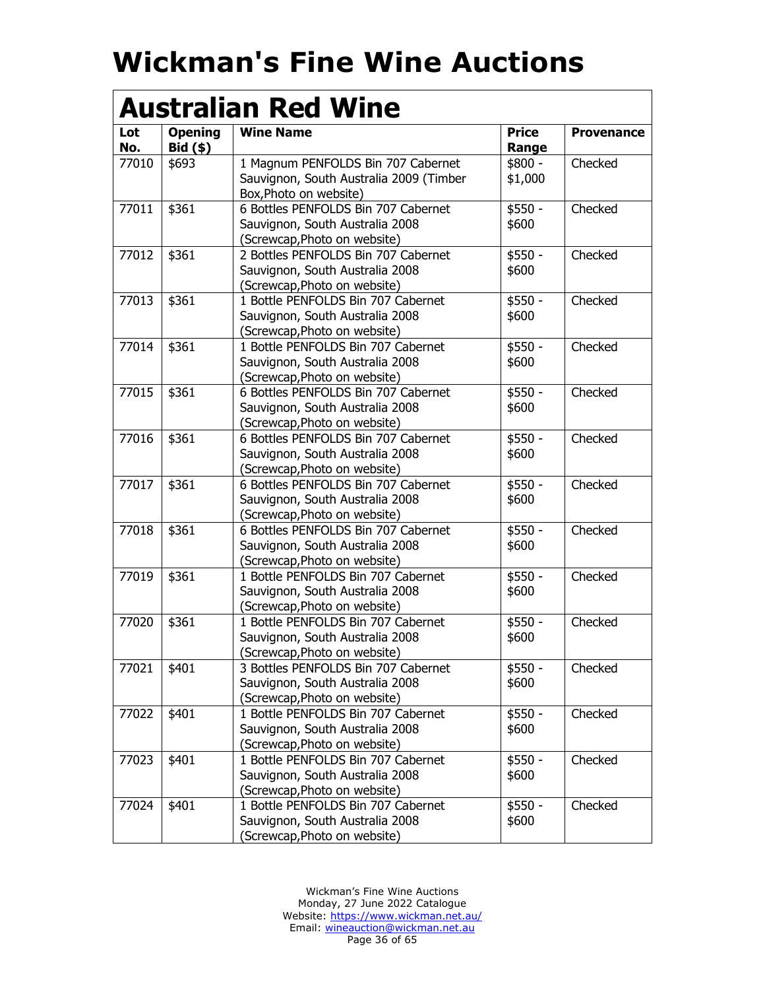| <b>Australian Red Wine</b> |                              |                                                                                                         |                       |                   |
|----------------------------|------------------------------|---------------------------------------------------------------------------------------------------------|-----------------------|-------------------|
| Lot<br>No.                 | <b>Opening</b><br>$Bid($ \$) | <b>Wine Name</b>                                                                                        | <b>Price</b><br>Range | <b>Provenance</b> |
| 77010                      | \$693                        | 1 Magnum PENFOLDS Bin 707 Cabernet<br>Sauvignon, South Australia 2009 (Timber<br>Box, Photo on website) | \$800 -<br>\$1,000    | Checked           |
| 77011                      | \$361                        | 6 Bottles PENFOLDS Bin 707 Cabernet<br>Sauvignon, South Australia 2008<br>(Screwcap, Photo on website)  | $$550 -$<br>\$600     | Checked           |
| 77012                      | \$361                        | 2 Bottles PENFOLDS Bin 707 Cabernet<br>Sauvignon, South Australia 2008<br>(Screwcap, Photo on website)  | $$550 -$<br>\$600     | Checked           |
| 77013                      | \$361                        | 1 Bottle PENFOLDS Bin 707 Cabernet<br>Sauvignon, South Australia 2008<br>(Screwcap, Photo on website)   | \$550 -<br>\$600      | Checked           |
| 77014                      | \$361                        | 1 Bottle PENFOLDS Bin 707 Cabernet<br>Sauvignon, South Australia 2008<br>(Screwcap, Photo on website)   | $$550 -$<br>\$600     | Checked           |
| 77015                      | \$361                        | 6 Bottles PENFOLDS Bin 707 Cabernet<br>Sauvignon, South Australia 2008<br>(Screwcap, Photo on website)  | $$550 -$<br>\$600     | Checked           |
| 77016                      | \$361                        | 6 Bottles PENFOLDS Bin 707 Cabernet<br>Sauvignon, South Australia 2008<br>(Screwcap, Photo on website)  | $$550 -$<br>\$600     | Checked           |
| 77017                      | \$361                        | 6 Bottles PENFOLDS Bin 707 Cabernet<br>Sauvignon, South Australia 2008<br>(Screwcap, Photo on website)  | $$550 -$<br>\$600     | Checked           |
| 77018                      | \$361                        | 6 Bottles PENFOLDS Bin 707 Cabernet<br>Sauvignon, South Australia 2008<br>(Screwcap, Photo on website)  | $$550 -$<br>\$600     | Checked           |
| 77019                      | \$361                        | 1 Bottle PENFOLDS Bin 707 Cabernet<br>Sauvignon, South Australia 2008<br>(Screwcap, Photo on website)   | $$550 -$<br>\$600     | Checked           |
| 77020                      | \$361                        | 1 Bottle PENFOLDS Bin 707 Cabernet<br>Sauvignon, South Australia 2008<br>(Screwcap, Photo on website)   | $$550 -$<br>\$600     | Checked           |
| 77021                      | \$401                        | 3 Bottles PENFOLDS Bin 707 Cabernet<br>Sauvignon, South Australia 2008<br>(Screwcap, Photo on website)  | $$550 -$<br>\$600     | Checked           |
| 77022                      | \$401                        | 1 Bottle PENFOLDS Bin 707 Cabernet<br>Sauvignon, South Australia 2008<br>(Screwcap, Photo on website)   | \$550 -<br>\$600      | Checked           |
| 77023                      | \$401                        | 1 Bottle PENFOLDS Bin 707 Cabernet<br>Sauvignon, South Australia 2008<br>(Screwcap, Photo on website)   | \$550 -<br>\$600      | Checked           |
| 77024                      | \$401                        | 1 Bottle PENFOLDS Bin 707 Cabernet<br>Sauvignon, South Australia 2008<br>(Screwcap, Photo on website)   | $$550 -$<br>\$600     | Checked           |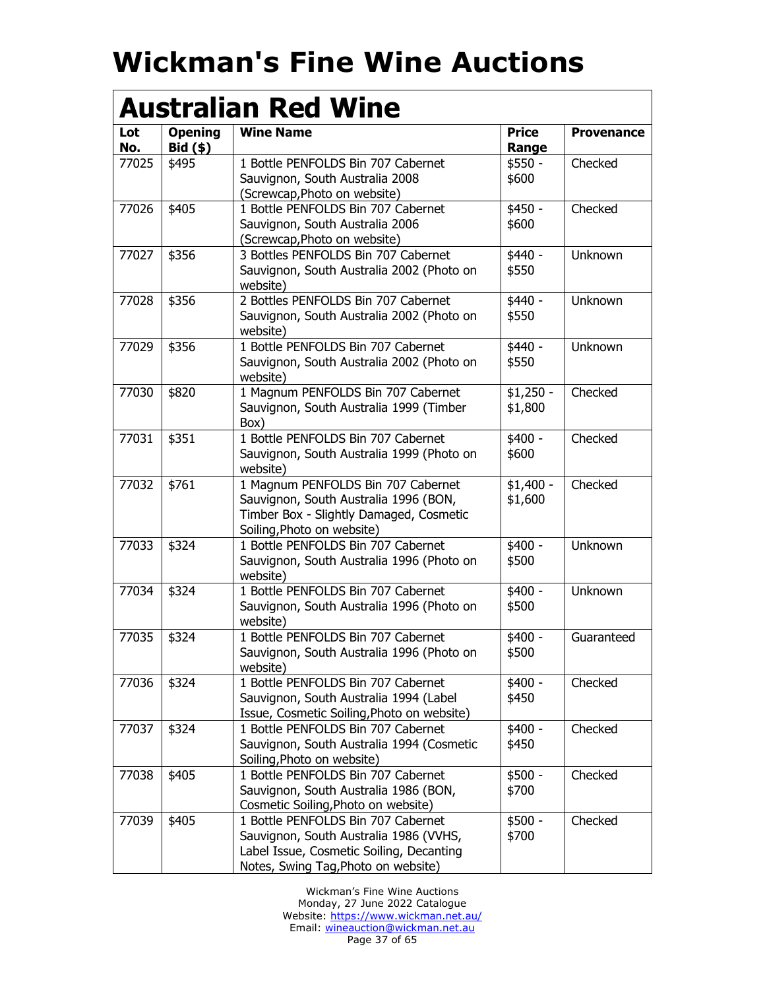| Lot<br>No. | <b>Opening</b><br>$Bid($ \$) | <b>Wine Name</b>                                                                                                                                                | <b>Price</b><br>Range | <b>Provenance</b> |
|------------|------------------------------|-----------------------------------------------------------------------------------------------------------------------------------------------------------------|-----------------------|-------------------|
| 77025      | \$495                        | 1 Bottle PENFOLDS Bin 707 Cabernet<br>Sauvignon, South Australia 2008<br>(Screwcap, Photo on website)                                                           | \$550 -<br>\$600      | Checked           |
| 77026      | \$405                        | 1 Bottle PENFOLDS Bin 707 Cabernet<br>Sauvignon, South Australia 2006<br>(Screwcap, Photo on website)                                                           | \$450 -<br>\$600      | Checked           |
| 77027      | \$356                        | 3 Bottles PENFOLDS Bin 707 Cabernet<br>Sauvignon, South Australia 2002 (Photo on<br>website)                                                                    | \$440 -<br>\$550      | Unknown           |
| 77028      | \$356                        | 2 Bottles PENFOLDS Bin 707 Cabernet<br>Sauvignon, South Australia 2002 (Photo on<br>website)                                                                    | \$440 -<br>\$550      | Unknown           |
| 77029      | \$356                        | 1 Bottle PENFOLDS Bin 707 Cabernet<br>Sauvignon, South Australia 2002 (Photo on<br>website)                                                                     | \$440 -<br>\$550      | Unknown           |
| 77030      | \$820                        | 1 Magnum PENFOLDS Bin 707 Cabernet<br>Sauvignon, South Australia 1999 (Timber<br>Box)                                                                           | $$1,250 -$<br>\$1,800 | Checked           |
| 77031      | \$351                        | 1 Bottle PENFOLDS Bin 707 Cabernet<br>Sauvignon, South Australia 1999 (Photo on<br>website)                                                                     | \$400 -<br>\$600      | Checked           |
| 77032      | \$761                        | 1 Magnum PENFOLDS Bin 707 Cabernet<br>Sauvignon, South Australia 1996 (BON,<br>Timber Box - Slightly Damaged, Cosmetic<br>Soiling, Photo on website)            | $$1,400 -$<br>\$1,600 | Checked           |
| 77033      | \$324                        | 1 Bottle PENFOLDS Bin 707 Cabernet<br>Sauvignon, South Australia 1996 (Photo on<br>website)                                                                     | $$400 -$<br>\$500     | Unknown           |
| 77034      | \$324                        | 1 Bottle PENFOLDS Bin 707 Cabernet<br>Sauvignon, South Australia 1996 (Photo on<br>website)                                                                     | $$400 -$<br>\$500     | Unknown           |
| 77035      | \$324                        | 1 Bottle PENFOLDS Bin 707 Cabernet<br>Sauvignon, South Australia 1996 (Photo on<br>website)                                                                     | \$400 -<br>\$500      | Guaranteed        |
| 77036      | \$324                        | 1 Bottle PENFOLDS Bin 707 Cabernet<br>Sauvignon, South Australia 1994 (Label<br>Issue, Cosmetic Soiling, Photo on website)                                      | $$400 -$<br>\$450     | Checked           |
| 77037      | \$324                        | 1 Bottle PENFOLDS Bin 707 Cabernet<br>Sauvignon, South Australia 1994 (Cosmetic<br>Soiling, Photo on website)                                                   | \$400 -<br>\$450      | Checked           |
| 77038      | \$405                        | 1 Bottle PENFOLDS Bin 707 Cabernet<br>Sauvignon, South Australia 1986 (BON,<br>Cosmetic Soiling, Photo on website)                                              | $$500 -$<br>\$700     | Checked           |
| 77039      | \$405                        | 1 Bottle PENFOLDS Bin 707 Cabernet<br>Sauvignon, South Australia 1986 (VVHS,<br>Label Issue, Cosmetic Soiling, Decanting<br>Notes, Swing Tag, Photo on website) | $$500 -$<br>\$700     | Checked           |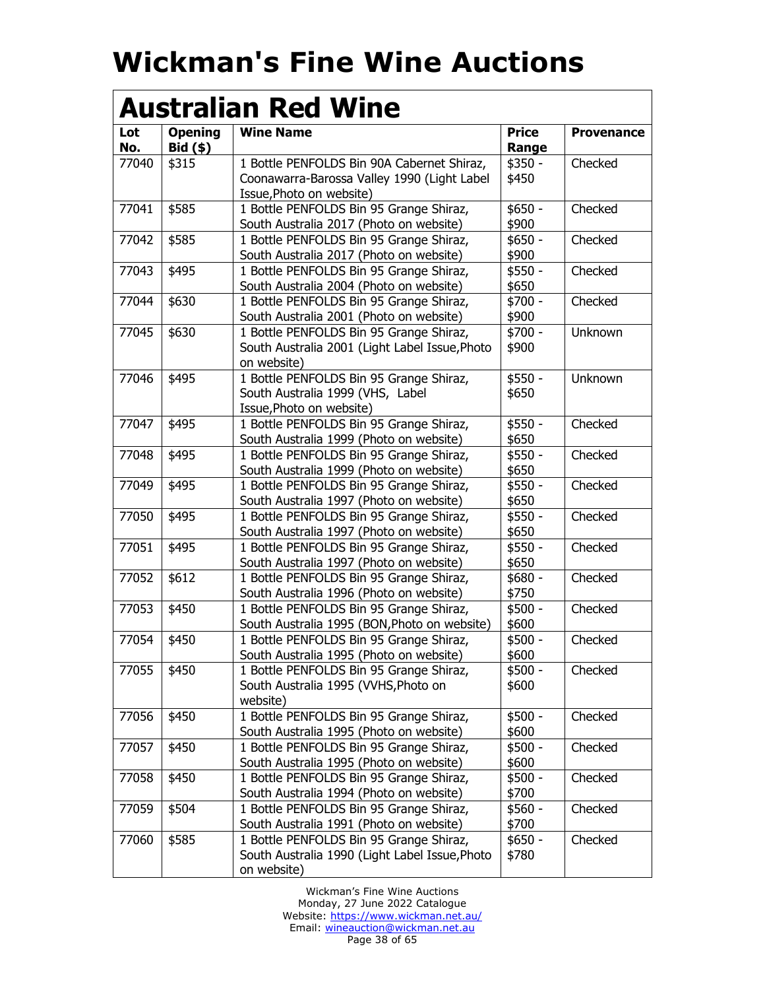| <b>Australian Red Wine</b> |                              |                                                                                         |                       |                   |
|----------------------------|------------------------------|-----------------------------------------------------------------------------------------|-----------------------|-------------------|
| Lot<br>No.                 | <b>Opening</b><br>$Bid($ \$) | <b>Wine Name</b>                                                                        | <b>Price</b><br>Range | <b>Provenance</b> |
| 77040                      | \$315                        | 1 Bottle PENFOLDS Bin 90A Cabernet Shiraz,                                              | $$350 -$              | Checked           |
|                            |                              | Coonawarra-Barossa Valley 1990 (Light Label                                             | \$450                 |                   |
|                            |                              | Issue, Photo on website)                                                                |                       |                   |
| 77041                      | \$585                        | 1 Bottle PENFOLDS Bin 95 Grange Shiraz,                                                 | $$650 -$              | Checked           |
|                            |                              | South Australia 2017 (Photo on website)                                                 | \$900                 |                   |
| 77042                      | \$585                        | 1 Bottle PENFOLDS Bin 95 Grange Shiraz,                                                 | $$650 -$              | Checked           |
|                            |                              | South Australia 2017 (Photo on website)                                                 | \$900                 |                   |
| 77043                      | \$495                        | 1 Bottle PENFOLDS Bin 95 Grange Shiraz,                                                 | \$550 -               | Checked           |
|                            |                              | South Australia 2004 (Photo on website)                                                 | \$650                 |                   |
| 77044                      | \$630                        | 1 Bottle PENFOLDS Bin 95 Grange Shiraz,                                                 | \$700 -               | Checked           |
|                            |                              | South Australia 2001 (Photo on website)                                                 | \$900                 |                   |
| 77045                      | \$630                        | 1 Bottle PENFOLDS Bin 95 Grange Shiraz,                                                 | \$700 -               | Unknown           |
|                            |                              | South Australia 2001 (Light Label Issue, Photo                                          | \$900                 |                   |
|                            |                              | on website)                                                                             |                       |                   |
| 77046                      | \$495                        | 1 Bottle PENFOLDS Bin 95 Grange Shiraz,                                                 | $$550 -$              | Unknown           |
|                            |                              | South Australia 1999 (VHS, Label                                                        | \$650                 |                   |
|                            |                              | Issue, Photo on website)                                                                |                       |                   |
| 77047                      | \$495                        | 1 Bottle PENFOLDS Bin 95 Grange Shiraz,                                                 | \$550 -               | Checked           |
|                            |                              | South Australia 1999 (Photo on website)                                                 | \$650                 |                   |
| 77048                      | \$495                        | 1 Bottle PENFOLDS Bin 95 Grange Shiraz,                                                 | \$550 -               | Checked           |
|                            |                              | South Australia 1999 (Photo on website)                                                 | \$650                 |                   |
| 77049                      | \$495                        | 1 Bottle PENFOLDS Bin 95 Grange Shiraz,                                                 | $$550 -$              | Checked           |
|                            |                              | South Australia 1997 (Photo on website)                                                 | \$650                 |                   |
| 77050                      | \$495                        | 1 Bottle PENFOLDS Bin 95 Grange Shiraz,                                                 | $$550 -$              | Checked           |
|                            |                              | South Australia 1997 (Photo on website)                                                 | \$650                 |                   |
| 77051                      | \$495                        | 1 Bottle PENFOLDS Bin 95 Grange Shiraz,                                                 | $$550 -$              | Checked           |
|                            |                              | South Australia 1997 (Photo on website)                                                 | \$650                 | Checked           |
| 77052                      | \$612                        | 1 Bottle PENFOLDS Bin 95 Grange Shiraz,                                                 | \$680 -               |                   |
|                            |                              | South Australia 1996 (Photo on website)                                                 | \$750<br>$$500 -$     | Checked           |
| 77053                      | \$450                        | 1 Bottle PENFOLDS Bin 95 Grange Shiraz,                                                 | \$600                 |                   |
| 77054                      | \$450                        | South Australia 1995 (BON, Photo on website)<br>1 Bottle PENFOLDS Bin 95 Grange Shiraz, | $$500 -$              | Checked           |
|                            |                              | South Australia 1995 (Photo on website)                                                 |                       |                   |
| 77055                      | \$450                        | 1 Bottle PENFOLDS Bin 95 Grange Shiraz,                                                 | \$600<br>\$500 -      | Checked           |
|                            |                              | South Australia 1995 (VVHS, Photo on                                                    | \$600                 |                   |
|                            |                              | website)                                                                                |                       |                   |
| 77056                      | \$450                        | 1 Bottle PENFOLDS Bin 95 Grange Shiraz,                                                 | $$500 -$              | Checked           |
|                            |                              | South Australia 1995 (Photo on website)                                                 | \$600                 |                   |
| 77057                      | \$450                        | 1 Bottle PENFOLDS Bin 95 Grange Shiraz,                                                 | $$500 -$              | Checked           |
|                            |                              | South Australia 1995 (Photo on website)                                                 | \$600                 |                   |
| 77058                      | \$450                        | 1 Bottle PENFOLDS Bin 95 Grange Shiraz,                                                 | $$500 -$              | Checked           |
|                            |                              | South Australia 1994 (Photo on website)                                                 | \$700                 |                   |
| 77059                      | \$504                        | 1 Bottle PENFOLDS Bin 95 Grange Shiraz,                                                 | $$560 -$              | Checked           |
|                            |                              | South Australia 1991 (Photo on website)                                                 | \$700                 |                   |
| 77060                      | \$585                        | 1 Bottle PENFOLDS Bin 95 Grange Shiraz,                                                 | $$650 -$              | Checked           |
|                            |                              | South Australia 1990 (Light Label Issue, Photo                                          | \$780                 |                   |
|                            |                              | on website)                                                                             |                       |                   |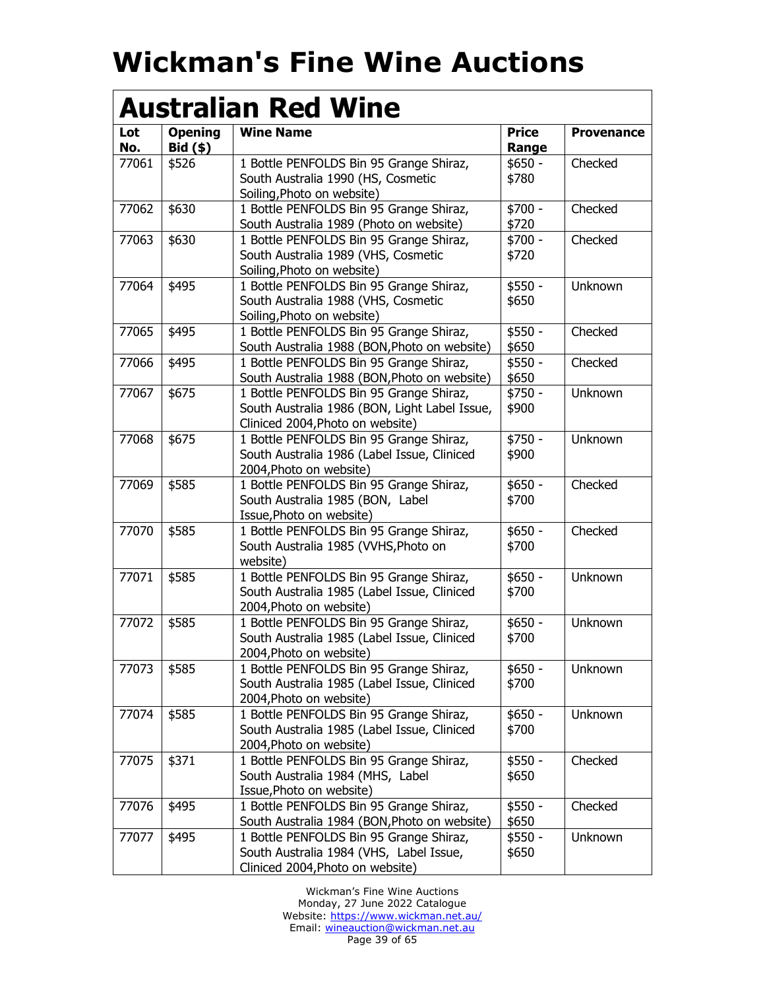| <b>Australian Red Wine</b> |                                   |                                                                                                                              |                       |                   |
|----------------------------|-----------------------------------|------------------------------------------------------------------------------------------------------------------------------|-----------------------|-------------------|
| Lot<br>No.                 | <b>Opening</b><br><b>Bid (\$)</b> | <b>Wine Name</b>                                                                                                             | <b>Price</b><br>Range | <b>Provenance</b> |
| 77061                      | \$526                             | 1 Bottle PENFOLDS Bin 95 Grange Shiraz,<br>South Australia 1990 (HS, Cosmetic<br>Soiling, Photo on website)                  | $$650 -$<br>\$780     | Checked           |
| 77062                      | \$630                             | 1 Bottle PENFOLDS Bin 95 Grange Shiraz,<br>South Australia 1989 (Photo on website)                                           | \$700 -<br>\$720      | Checked           |
| 77063                      | \$630                             | 1 Bottle PENFOLDS Bin 95 Grange Shiraz,<br>South Australia 1989 (VHS, Cosmetic<br>Soiling, Photo on website)                 | \$700 -<br>\$720      | Checked           |
| 77064                      | \$495                             | 1 Bottle PENFOLDS Bin 95 Grange Shiraz,<br>South Australia 1988 (VHS, Cosmetic<br>Soiling, Photo on website)                 | $$550 -$<br>\$650     | Unknown           |
| 77065                      | \$495                             | 1 Bottle PENFOLDS Bin 95 Grange Shiraz,<br>South Australia 1988 (BON, Photo on website)                                      | $$550 -$<br>\$650     | Checked           |
| 77066                      | \$495                             | 1 Bottle PENFOLDS Bin 95 Grange Shiraz,<br>South Australia 1988 (BON, Photo on website)                                      | $$550 -$<br>\$650     | Checked           |
| 77067                      | \$675                             | 1 Bottle PENFOLDS Bin 95 Grange Shiraz,<br>South Australia 1986 (BON, Light Label Issue,<br>Cliniced 2004, Photo on website) | $$750 -$<br>\$900     | <b>Unknown</b>    |
| 77068                      | \$675                             | 1 Bottle PENFOLDS Bin 95 Grange Shiraz,<br>South Australia 1986 (Label Issue, Cliniced<br>2004, Photo on website)            | \$750 -<br>\$900      | Unknown           |
| 77069                      | \$585                             | 1 Bottle PENFOLDS Bin 95 Grange Shiraz,<br>South Australia 1985 (BON, Label<br>Issue, Photo on website)                      | $$650 -$<br>\$700     | Checked           |
| 77070                      | \$585                             | 1 Bottle PENFOLDS Bin 95 Grange Shiraz,<br>South Australia 1985 (VVHS, Photo on<br>website)                                  | $$650 -$<br>\$700     | Checked           |
| 77071                      | \$585                             | 1 Bottle PENFOLDS Bin 95 Grange Shiraz,<br>South Australia 1985 (Label Issue, Cliniced<br>2004, Photo on website)            | $$650 -$<br>\$700     | Unknown           |
| 77072                      | \$585                             | 1 Bottle PENFOLDS Bin 95 Grange Shiraz,<br>South Australia 1985 (Label Issue, Cliniced<br>2004, Photo on website)            | $$650 -$<br>\$700     | Unknown           |
| 77073                      | \$585                             | 1 Bottle PENFOLDS Bin 95 Grange Shiraz,<br>South Australia 1985 (Label Issue, Cliniced<br>2004, Photo on website)            | $$650 -$<br>\$700     | Unknown           |
| 77074                      | \$585                             | 1 Bottle PENFOLDS Bin 95 Grange Shiraz,<br>South Australia 1985 (Label Issue, Cliniced<br>2004, Photo on website)            | $$650 -$<br>\$700     | Unknown           |
| 77075                      | \$371                             | 1 Bottle PENFOLDS Bin 95 Grange Shiraz,<br>South Australia 1984 (MHS, Label<br>Issue, Photo on website)                      | $$550 -$<br>\$650     | Checked           |
| 77076                      | \$495                             | 1 Bottle PENFOLDS Bin 95 Grange Shiraz,<br>South Australia 1984 (BON, Photo on website)                                      | $$550 -$<br>\$650     | Checked           |
| 77077                      | \$495                             | 1 Bottle PENFOLDS Bin 95 Grange Shiraz,<br>South Australia 1984 (VHS, Label Issue,<br>Cliniced 2004, Photo on website)       | $$550 -$<br>\$650     | Unknown           |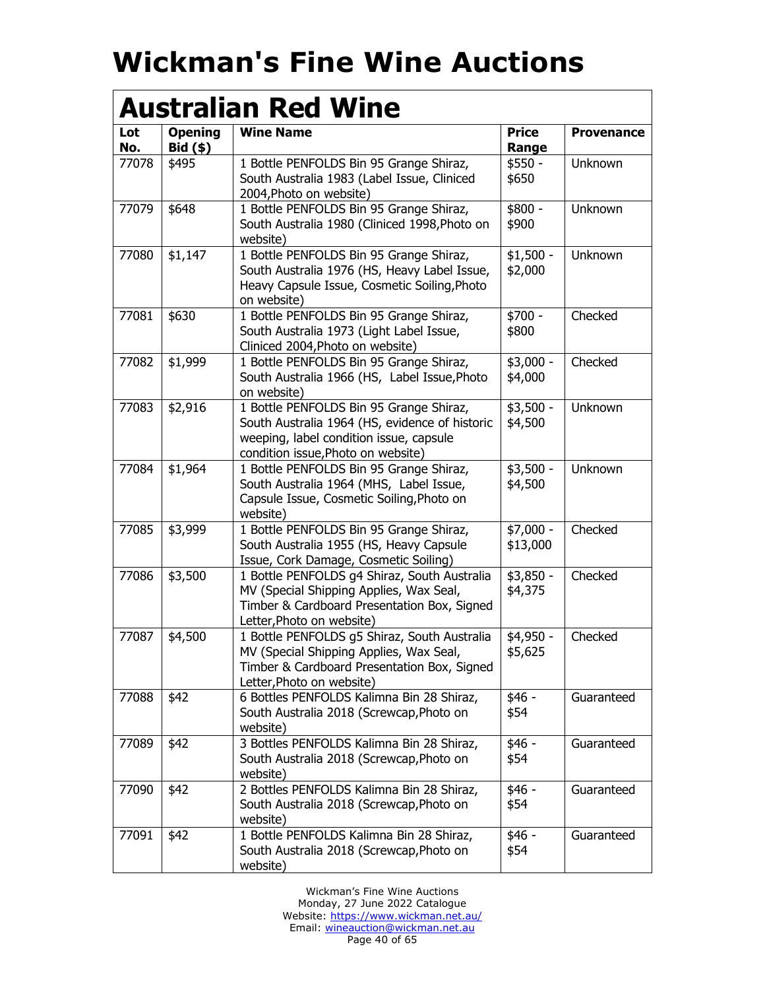| <b>Australian Red Wine</b> |                              |                                                                                                                                                                            |                       |                   |
|----------------------------|------------------------------|----------------------------------------------------------------------------------------------------------------------------------------------------------------------------|-----------------------|-------------------|
| Lot<br>No.                 | <b>Opening</b><br>$Bid($ \$) | <b>Wine Name</b>                                                                                                                                                           | <b>Price</b><br>Range | <b>Provenance</b> |
| 77078                      | \$495                        | 1 Bottle PENFOLDS Bin 95 Grange Shiraz,<br>South Australia 1983 (Label Issue, Cliniced<br>2004, Photo on website)                                                          | $$550 -$<br>\$650     | Unknown           |
| 77079                      | \$648                        | 1 Bottle PENFOLDS Bin 95 Grange Shiraz,<br>South Australia 1980 (Cliniced 1998, Photo on<br>website)                                                                       | \$800 -<br>\$900      | Unknown           |
| 77080                      | \$1,147                      | 1 Bottle PENFOLDS Bin 95 Grange Shiraz,<br>South Australia 1976 (HS, Heavy Label Issue,<br>Heavy Capsule Issue, Cosmetic Soiling, Photo<br>on website)                     | $$1,500 -$<br>\$2,000 | Unknown           |
| 77081                      | \$630                        | 1 Bottle PENFOLDS Bin 95 Grange Shiraz,<br>South Australia 1973 (Light Label Issue,<br>Cliniced 2004, Photo on website)                                                    | \$700 -<br>\$800      | Checked           |
| 77082                      | \$1,999                      | 1 Bottle PENFOLDS Bin 95 Grange Shiraz,<br>South Australia 1966 (HS, Label Issue, Photo<br>on website)                                                                     | $$3,000 -$<br>\$4,000 | Checked           |
| 77083                      | \$2,916                      | 1 Bottle PENFOLDS Bin 95 Grange Shiraz,<br>South Australia 1964 (HS, evidence of historic<br>weeping, label condition issue, capsule<br>condition issue, Photo on website) | $$3,500 -$<br>\$4,500 | Unknown           |
| 77084                      | \$1,964                      | 1 Bottle PENFOLDS Bin 95 Grange Shiraz,<br>South Australia 1964 (MHS, Label Issue,<br>Capsule Issue, Cosmetic Soiling, Photo on<br>website)                                | $$3,500 -$<br>\$4,500 | Unknown           |
| 77085                      | \$3,999                      | 1 Bottle PENFOLDS Bin 95 Grange Shiraz,<br>South Australia 1955 (HS, Heavy Capsule<br>Issue, Cork Damage, Cosmetic Soiling)                                                | \$7,000 -<br>\$13,000 | Checked           |
| 77086                      | \$3,500                      | 1 Bottle PENFOLDS g4 Shiraz, South Australia<br>MV (Special Shipping Applies, Wax Seal,<br>Timber & Cardboard Presentation Box, Signed<br>Letter, Photo on website)        | $$3,850 -$<br>\$4,375 | Checked           |
| 77087                      | \$4,500                      | 1 Bottle PENFOLDS g5 Shiraz, South Australia<br>MV (Special Shipping Applies, Wax Seal,<br>Timber & Cardboard Presentation Box, Signed<br>Letter, Photo on website)        | \$4,950 -<br>\$5,625  | Checked           |
| 77088                      | \$42                         | 6 Bottles PENFOLDS Kalimna Bin 28 Shiraz,<br>South Australia 2018 (Screwcap, Photo on<br>website)                                                                          | $$46 -$<br>\$54       | Guaranteed        |
| 77089                      | \$42                         | 3 Bottles PENFOLDS Kalimna Bin 28 Shiraz,<br>South Australia 2018 (Screwcap, Photo on<br>website)                                                                          | $$46 -$<br>\$54       | Guaranteed        |
| 77090                      | \$42                         | 2 Bottles PENFOLDS Kalimna Bin 28 Shiraz,<br>South Australia 2018 (Screwcap, Photo on<br>website)                                                                          | $$46 -$<br>\$54       | Guaranteed        |
| 77091                      | \$42                         | 1 Bottle PENFOLDS Kalimna Bin 28 Shiraz,<br>South Australia 2018 (Screwcap, Photo on<br>website)                                                                           | $$46 -$<br>\$54       | Guaranteed        |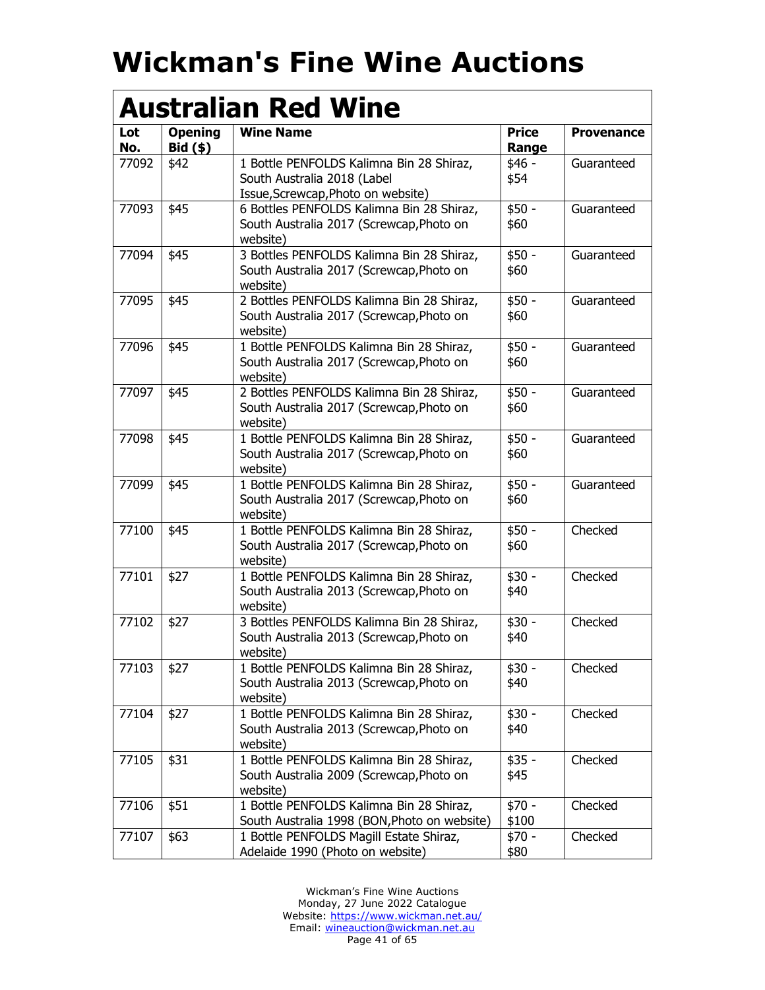| Lot<br>No. | <b>Opening</b><br>$Bid($ \$) | <b>Wine Name</b>                                                                                              | <b>Price</b><br>Range | <b>Provenance</b> |
|------------|------------------------------|---------------------------------------------------------------------------------------------------------------|-----------------------|-------------------|
| 77092      | \$42                         | 1 Bottle PENFOLDS Kalimna Bin 28 Shiraz,<br>South Australia 2018 (Label<br>Issue, Screwcap, Photo on website) | \$46 -<br>\$54        | Guaranteed        |
| 77093      | \$45                         | 6 Bottles PENFOLDS Kalimna Bin 28 Shiraz,<br>South Australia 2017 (Screwcap, Photo on<br>website)             | $$50 -$<br>\$60       | Guaranteed        |
| 77094      | \$45                         | 3 Bottles PENFOLDS Kalimna Bin 28 Shiraz,<br>South Australia 2017 (Screwcap, Photo on<br>website)             | $$50 -$<br>\$60       | Guaranteed        |
| 77095      | \$45                         | 2 Bottles PENFOLDS Kalimna Bin 28 Shiraz,<br>South Australia 2017 (Screwcap, Photo on<br>website)             | $$50 -$<br>\$60       | Guaranteed        |
| 77096      | \$45                         | 1 Bottle PENFOLDS Kalimna Bin 28 Shiraz,<br>South Australia 2017 (Screwcap, Photo on<br>website)              | $$50 -$<br>\$60       | Guaranteed        |
| 77097      | \$45                         | 2 Bottles PENFOLDS Kalimna Bin 28 Shiraz,<br>South Australia 2017 (Screwcap, Photo on<br>website)             | $$50 -$<br>\$60       | Guaranteed        |
| 77098      | \$45                         | 1 Bottle PENFOLDS Kalimna Bin 28 Shiraz,<br>South Australia 2017 (Screwcap, Photo on<br>website)              | $$50 -$<br>\$60       | Guaranteed        |
| 77099      | \$45                         | 1 Bottle PENFOLDS Kalimna Bin 28 Shiraz,<br>South Australia 2017 (Screwcap, Photo on<br>website)              | $$50 -$<br>\$60       | Guaranteed        |
| 77100      | \$45                         | 1 Bottle PENFOLDS Kalimna Bin 28 Shiraz,<br>South Australia 2017 (Screwcap, Photo on<br>website)              | $$50 -$<br>\$60       | Checked           |
| 77101      | \$27                         | 1 Bottle PENFOLDS Kalimna Bin 28 Shiraz,<br>South Australia 2013 (Screwcap, Photo on<br>website)              | $$30 -$<br>\$40       | Checked           |
| 77102      | \$27                         | 3 Bottles PENFOLDS Kalimna Bin 28 Shiraz,<br>South Australia 2013 (Screwcap, Photo on<br>website)             | $$30 -$<br>\$40       | Checked           |
| 77103      | \$27                         | 1 Bottle PENFOLDS Kalimna Bin 28 Shiraz,<br>South Australia 2013 (Screwcap, Photo on<br>website)              | $$30 -$<br>\$40       | Checked           |
| 77104      | \$27                         | 1 Bottle PENFOLDS Kalimna Bin 28 Shiraz,<br>South Australia 2013 (Screwcap, Photo on<br>website)              | $$30 -$<br>\$40       | Checked           |
| 77105      | \$31                         | 1 Bottle PENFOLDS Kalimna Bin 28 Shiraz,<br>South Australia 2009 (Screwcap, Photo on<br>website)              | $$35 -$<br>\$45       | Checked           |
| 77106      | \$51                         | 1 Bottle PENFOLDS Kalimna Bin 28 Shiraz,<br>South Australia 1998 (BON, Photo on website)                      | $$70 -$<br>\$100      | Checked           |
| 77107      | \$63                         | 1 Bottle PENFOLDS Magill Estate Shiraz,<br>Adelaide 1990 (Photo on website)                                   | \$70 -<br>\$80        | Checked           |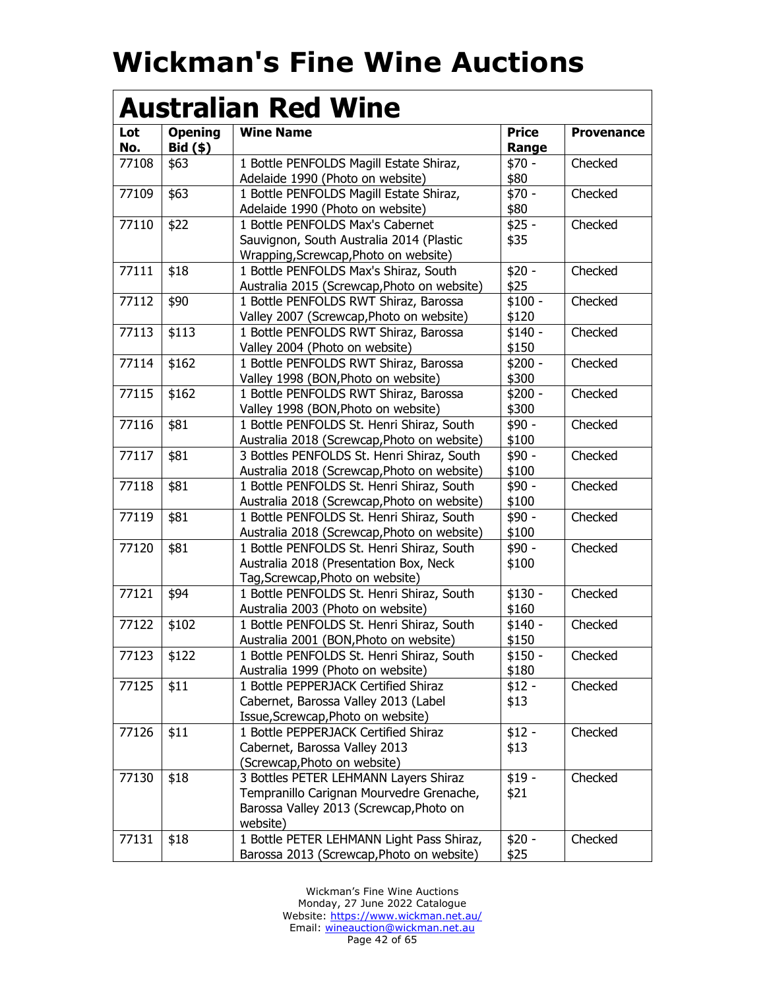| Lot   | <b>Opening</b> | <b>Australian Red Wine</b><br><b>Wine Name</b> | <b>Price</b> | <b>Provenance</b> |
|-------|----------------|------------------------------------------------|--------------|-------------------|
| No.   | $Bid($ \$)     |                                                | Range        |                   |
| 77108 | \$63           | 1 Bottle PENFOLDS Magill Estate Shiraz,        | $$70 -$      | Checked           |
|       |                | Adelaide 1990 (Photo on website)               | \$80         |                   |
| 77109 | \$63           | 1 Bottle PENFOLDS Magill Estate Shiraz,        | $$70 -$      | Checked           |
|       |                | Adelaide 1990 (Photo on website)               | \$80         |                   |
| 77110 | \$22           | 1 Bottle PENFOLDS Max's Cabernet               | $$25 -$      | Checked           |
|       |                | Sauvignon, South Australia 2014 (Plastic       | \$35         |                   |
|       |                | Wrapping, Screwcap, Photo on website)          |              |                   |
| 77111 | \$18           | 1 Bottle PENFOLDS Max's Shiraz, South          | $$20 -$      | Checked           |
|       |                | Australia 2015 (Screwcap, Photo on website)    | \$25         |                   |
| 77112 | \$90           | 1 Bottle PENFOLDS RWT Shiraz, Barossa          | $$100 -$     | Checked           |
|       |                | Valley 2007 (Screwcap, Photo on website)       | \$120        |                   |
| 77113 | \$113          | 1 Bottle PENFOLDS RWT Shiraz, Barossa          | $$140 -$     | Checked           |
|       |                | Valley 2004 (Photo on website)                 | \$150        |                   |
| 77114 | \$162          | 1 Bottle PENFOLDS RWT Shiraz, Barossa          | $$200 -$     | Checked           |
|       |                | Valley 1998 (BON, Photo on website)            | \$300        |                   |
| 77115 | \$162          | 1 Bottle PENFOLDS RWT Shiraz, Barossa          | $$200 -$     | Checked           |
|       |                | Valley 1998 (BON, Photo on website)            | \$300        |                   |
| 77116 | \$81           | 1 Bottle PENFOLDS St. Henri Shiraz, South      | \$90 -       | Checked           |
|       |                | Australia 2018 (Screwcap, Photo on website)    | \$100        |                   |
| 77117 | \$81           | 3 Bottles PENFOLDS St. Henri Shiraz, South     | $$90 -$      | Checked           |
|       |                | Australia 2018 (Screwcap, Photo on website)    | \$100        |                   |
| 77118 | \$81           | 1 Bottle PENFOLDS St. Henri Shiraz, South      | \$90 -       | Checked           |
|       |                | Australia 2018 (Screwcap, Photo on website)    | \$100        |                   |
| 77119 | \$81           | 1 Bottle PENFOLDS St. Henri Shiraz, South      | \$90 -       | Checked           |
|       |                | Australia 2018 (Screwcap, Photo on website)    | \$100        |                   |
| 77120 | \$81           | 1 Bottle PENFOLDS St. Henri Shiraz, South      | $$90 -$      | Checked           |
|       |                | Australia 2018 (Presentation Box, Neck         | \$100        |                   |
|       |                | Tag, Screwcap, Photo on website)               |              |                   |
| 77121 | \$94           | 1 Bottle PENFOLDS St. Henri Shiraz, South      | $$130 -$     | Checked           |
|       |                | Australia 2003 (Photo on website)              | \$160        |                   |
| 77122 | \$102          | 1 Bottle PENFOLDS St. Henri Shiraz, South      | $$140 -$     | Checked           |
|       |                | Australia 2001 (BON, Photo on website)         | \$150        |                   |
| 77123 | \$122          | 1 Bottle PENFOLDS St. Henri Shiraz, South      | $$150 -$     | Checked           |
|       |                | Australia 1999 (Photo on website)              | \$180        |                   |
| 77125 | \$11           | 1 Bottle PEPPERJACK Certified Shiraz           | $$12 -$      | Checked           |
|       |                | Cabernet, Barossa Valley 2013 (Label           | \$13         |                   |
|       |                | Issue, Screwcap, Photo on website)             |              |                   |
| 77126 | \$11           | 1 Bottle PEPPERJACK Certified Shiraz           | $$12 -$      | Checked           |
|       |                | Cabernet, Barossa Valley 2013                  | \$13         |                   |
|       |                | (Screwcap, Photo on website)                   |              |                   |
| 77130 | \$18           | 3 Bottles PETER LEHMANN Layers Shiraz          | $$19 -$      | Checked           |
|       |                | Tempranillo Carignan Mourvedre Grenache,       | \$21         |                   |
|       |                | Barossa Valley 2013 (Screwcap, Photo on        |              |                   |
|       |                | website)                                       |              |                   |
| 77131 | \$18           | 1 Bottle PETER LEHMANN Light Pass Shiraz,      | $$20 -$      | Checked           |
|       |                | Barossa 2013 (Screwcap, Photo on website)      | \$25         |                   |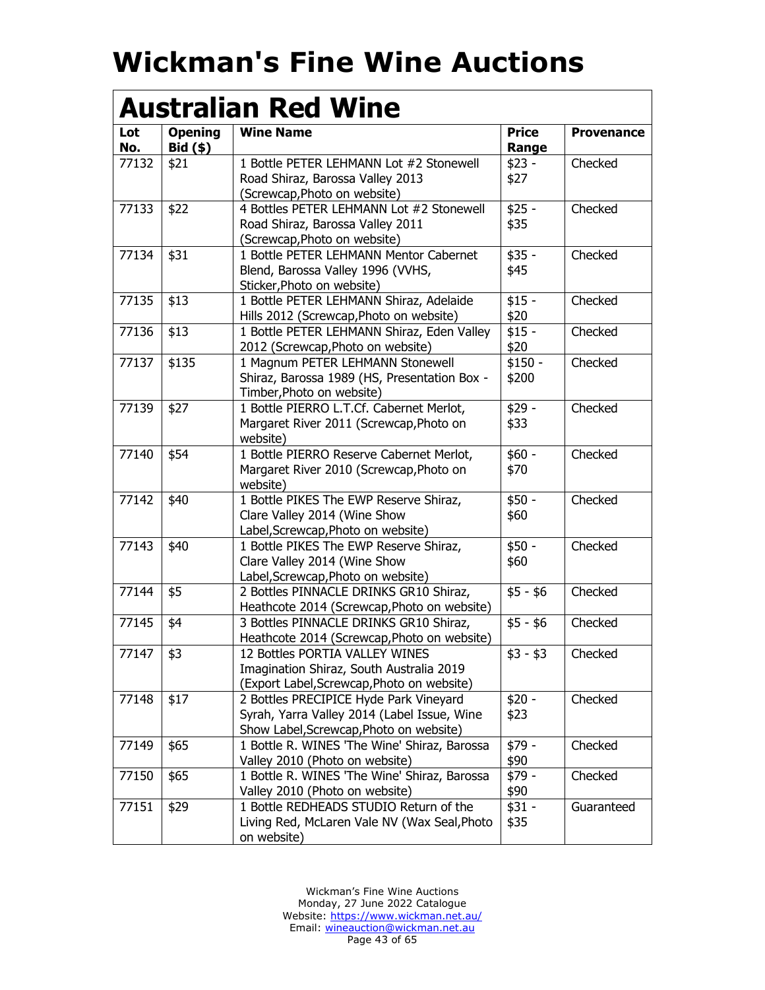| <b>Australian Red Wine</b> |                              |                                                                                                                                  |                       |                   |
|----------------------------|------------------------------|----------------------------------------------------------------------------------------------------------------------------------|-----------------------|-------------------|
| Lot<br>No.                 | <b>Opening</b><br>$Bid($ \$) | <b>Wine Name</b>                                                                                                                 | <b>Price</b><br>Range | <b>Provenance</b> |
| 77132                      | \$21                         | 1 Bottle PETER LEHMANN Lot #2 Stonewell<br>Road Shiraz, Barossa Valley 2013<br>(Screwcap, Photo on website)                      | $$23 -$<br>\$27       | Checked           |
| 77133                      | \$22                         | 4 Bottles PETER LEHMANN Lot #2 Stonewell<br>Road Shiraz, Barossa Valley 2011<br>(Screwcap, Photo on website)                     | $$25 -$<br>\$35       | Checked           |
| 77134                      | \$31                         | 1 Bottle PETER LEHMANN Mentor Cabernet<br>Blend, Barossa Valley 1996 (VVHS,<br>Sticker, Photo on website)                        | $$35 -$<br>\$45       | Checked           |
| 77135                      | \$13                         | 1 Bottle PETER LEHMANN Shiraz, Adelaide<br>Hills 2012 (Screwcap, Photo on website)                                               | $$15 -$<br>\$20       | Checked           |
| 77136                      | \$13                         | 1 Bottle PETER LEHMANN Shiraz, Eden Valley<br>2012 (Screwcap, Photo on website)                                                  | $$15 -$<br>\$20       | Checked           |
| 77137                      | \$135                        | 1 Magnum PETER LEHMANN Stonewell<br>Shiraz, Barossa 1989 (HS, Presentation Box -<br>Timber, Photo on website)                    | $$150 -$<br>\$200     | Checked           |
| 77139                      | \$27                         | 1 Bottle PIERRO L.T.Cf. Cabernet Merlot,<br>Margaret River 2011 (Screwcap, Photo on<br>website)                                  | $$29 -$<br>\$33       | Checked           |
| 77140                      | \$54                         | 1 Bottle PIERRO Reserve Cabernet Merlot,<br>Margaret River 2010 (Screwcap, Photo on<br>website)                                  | $$60 -$<br>\$70       | Checked           |
| 77142                      | \$40                         | 1 Bottle PIKES The EWP Reserve Shiraz,<br>Clare Valley 2014 (Wine Show<br>Label, Screwcap, Photo on website)                     | $$50 -$<br>\$60       | Checked           |
| 77143                      | \$40                         | 1 Bottle PIKES The EWP Reserve Shiraz,<br>Clare Valley 2014 (Wine Show<br>Label, Screwcap, Photo on website)                     | $$50 -$<br>\$60       | Checked           |
| 77144                      | \$5                          | 2 Bottles PINNACLE DRINKS GR10 Shiraz,<br>Heathcote 2014 (Screwcap, Photo on website)                                            | $$5 - $6$             | Checked           |
| 77145                      | \$4                          | 3 Bottles PINNACLE DRINKS GR10 Shiraz,<br>Heathcote 2014 (Screwcap, Photo on website)                                            | $$5 - $6$             | Checked           |
| 77147                      | \$3                          | 12 Bottles PORTIA VALLEY WINES<br>Imagination Shiraz, South Australia 2019<br>(Export Label, Screwcap, Photo on website)         | $\frac{1}{53} - $3$   | Checked           |
| 77148                      | \$17                         | 2 Bottles PRECIPICE Hyde Park Vineyard<br>Syrah, Yarra Valley 2014 (Label Issue, Wine<br>Show Label, Screwcap, Photo on website) | $$20 -$<br>\$23       | Checked           |
| 77149                      | \$65                         | 1 Bottle R. WINES 'The Wine' Shiraz, Barossa<br>Valley 2010 (Photo on website)                                                   | $$79 -$<br>\$90       | Checked           |
| 77150                      | \$65                         | 1 Bottle R. WINES 'The Wine' Shiraz, Barossa<br>Valley 2010 (Photo on website)                                                   | $$79 -$<br>\$90       | Checked           |
| 77151                      | \$29                         | 1 Bottle REDHEADS STUDIO Return of the<br>Living Red, McLaren Vale NV (Wax Seal, Photo<br>on website)                            | $$31 -$<br>\$35       | Guaranteed        |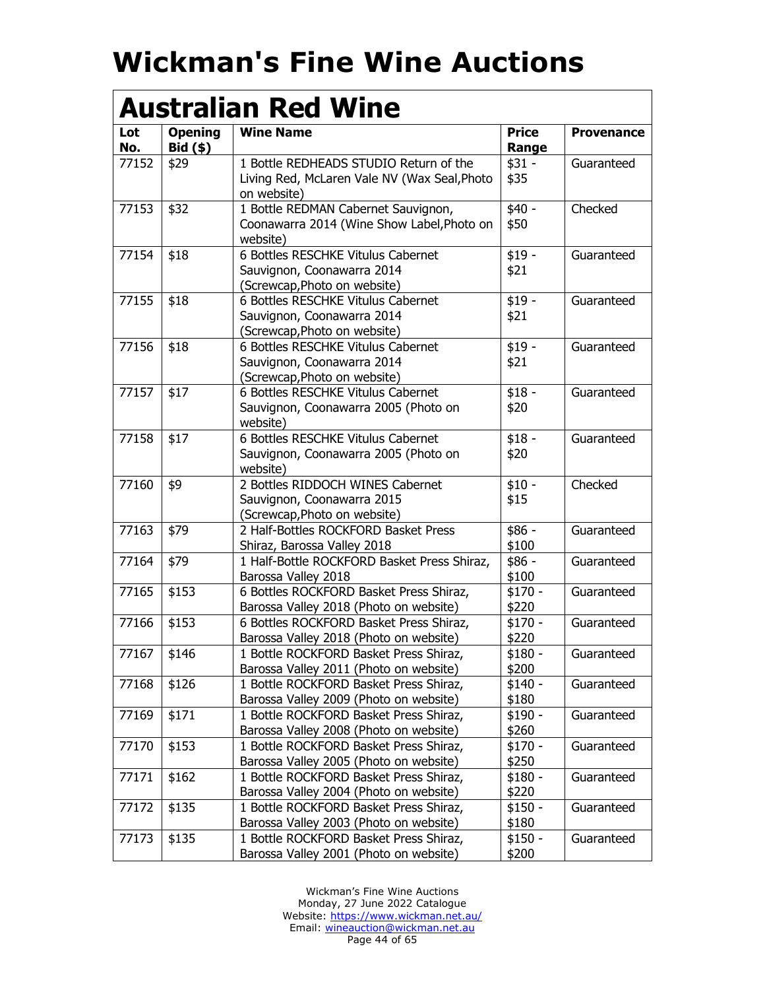| <b>Australian Red Wine</b> |                              |                                                                                                       |                       |                   |
|----------------------------|------------------------------|-------------------------------------------------------------------------------------------------------|-----------------------|-------------------|
| Lot<br>No.                 | <b>Opening</b><br>$Bid($ \$) | <b>Wine Name</b>                                                                                      | <b>Price</b><br>Range | <b>Provenance</b> |
| 77152                      | \$29                         | 1 Bottle REDHEADS STUDIO Return of the<br>Living Red, McLaren Vale NV (Wax Seal, Photo<br>on website) | $$31 -$<br>\$35       | Guaranteed        |
| 77153                      | \$32                         | 1 Bottle REDMAN Cabernet Sauvignon,<br>Coonawarra 2014 (Wine Show Label, Photo on<br>website)         | $$40 -$<br>\$50       | Checked           |
| 77154                      | \$18                         | 6 Bottles RESCHKE Vitulus Cabernet<br>Sauvignon, Coonawarra 2014<br>(Screwcap, Photo on website)      | $$19 -$<br>\$21       | Guaranteed        |
| 77155                      | \$18                         | 6 Bottles RESCHKE Vitulus Cabernet<br>Sauvignon, Coonawarra 2014<br>(Screwcap, Photo on website)      | $$19 -$<br>\$21       | Guaranteed        |
| 77156                      | \$18                         | 6 Bottles RESCHKE Vitulus Cabernet<br>Sauvignon, Coonawarra 2014<br>(Screwcap, Photo on website)      | $$19 -$<br>\$21       | Guaranteed        |
| 77157                      | \$17                         | 6 Bottles RESCHKE Vitulus Cabernet<br>Sauvignon, Coonawarra 2005 (Photo on<br>website)                | $$18 -$<br>\$20       | Guaranteed        |
| 77158                      | \$17                         | 6 Bottles RESCHKE Vitulus Cabernet<br>Sauvignon, Coonawarra 2005 (Photo on<br>website)                | $$18 -$<br>\$20       | Guaranteed        |
| 77160                      | \$9                          | 2 Bottles RIDDOCH WINES Cabernet<br>Sauvignon, Coonawarra 2015<br>(Screwcap, Photo on website)        | $$10 -$<br>\$15       | Checked           |
| 77163                      | \$79                         | 2 Half-Bottles ROCKFORD Basket Press<br>Shiraz, Barossa Valley 2018                                   | $$86 -$<br>\$100      | Guaranteed        |
| 77164                      | \$79                         | 1 Half-Bottle ROCKFORD Basket Press Shiraz,<br>Barossa Valley 2018                                    | $$86 -$<br>\$100      | Guaranteed        |
| 77165                      | \$153                        | 6 Bottles ROCKFORD Basket Press Shiraz,<br>Barossa Valley 2018 (Photo on website)                     | $$170 -$<br>\$220     | Guaranteed        |
| 77166                      | \$153                        | 6 Bottles ROCKFORD Basket Press Shiraz,<br>Barossa Valley 2018 (Photo on website)                     | $$170 -$<br>\$220     | Guaranteed        |
| 77167                      | \$146                        | 1 Bottle ROCKFORD Basket Press Shiraz,<br>Barossa Valley 2011 (Photo on website)                      | \$180 -<br>\$200      | Guaranteed        |
| 77168                      | \$126                        | 1 Bottle ROCKFORD Basket Press Shiraz,<br>Barossa Valley 2009 (Photo on website)                      | $$140 -$<br>\$180     | Guaranteed        |
| 77169                      | \$171                        | 1 Bottle ROCKFORD Basket Press Shiraz,<br>Barossa Valley 2008 (Photo on website)                      | $$190 -$<br>\$260     | Guaranteed        |
| 77170                      | \$153                        | 1 Bottle ROCKFORD Basket Press Shiraz,<br>Barossa Valley 2005 (Photo on website)                      | $$170 -$<br>\$250     | Guaranteed        |
| 77171                      | \$162                        | 1 Bottle ROCKFORD Basket Press Shiraz,<br>Barossa Valley 2004 (Photo on website)                      | $$180 -$<br>\$220     | Guaranteed        |
| 77172                      | \$135                        | 1 Bottle ROCKFORD Basket Press Shiraz,<br>Barossa Valley 2003 (Photo on website)                      | $$150 -$<br>\$180     | Guaranteed        |
| 77173                      | \$135                        | 1 Bottle ROCKFORD Basket Press Shiraz,<br>Barossa Valley 2001 (Photo on website)                      | $$150 -$<br>\$200     | Guaranteed        |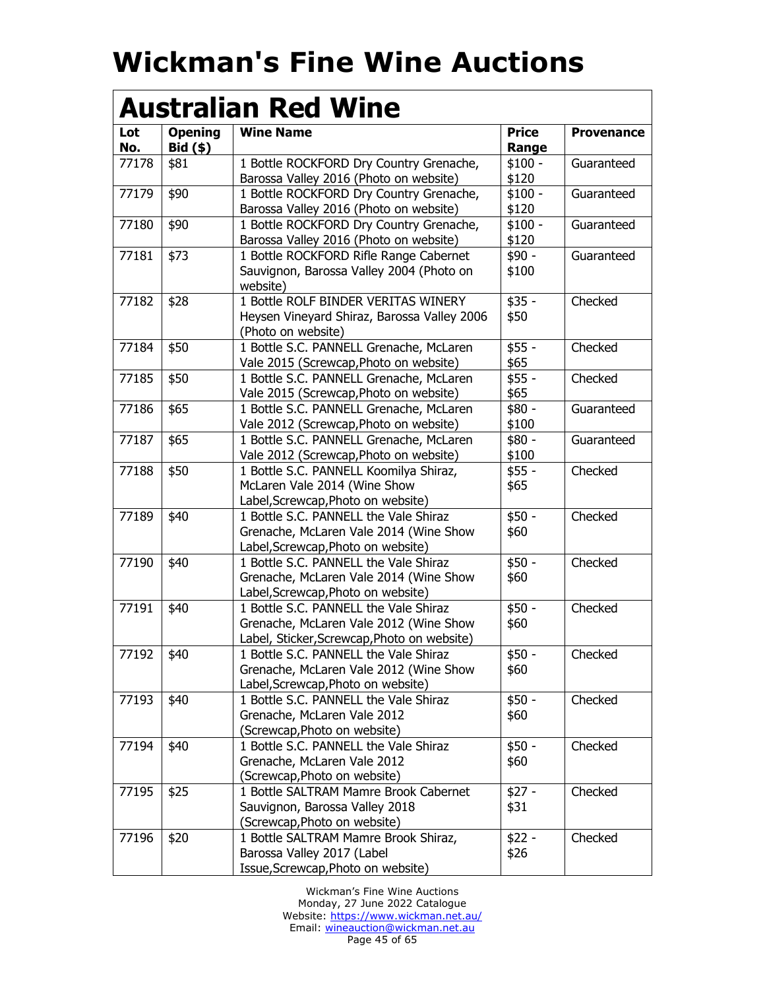| <b>Australian Red Wine</b> |                              |                                                                                                                                          |                       |                   |
|----------------------------|------------------------------|------------------------------------------------------------------------------------------------------------------------------------------|-----------------------|-------------------|
| Lot<br>No.                 | <b>Opening</b><br>$Bid($ \$) | <b>Wine Name</b>                                                                                                                         | <b>Price</b><br>Range | <b>Provenance</b> |
| 77178                      | \$81                         | 1 Bottle ROCKFORD Dry Country Grenache,<br>Barossa Valley 2016 (Photo on website)                                                        | $$100 -$<br>\$120     | Guaranteed        |
| 77179                      | \$90                         | 1 Bottle ROCKFORD Dry Country Grenache,                                                                                                  | $$100 -$<br>\$120     | Guaranteed        |
| 77180                      | \$90                         | Barossa Valley 2016 (Photo on website)<br>1 Bottle ROCKFORD Dry Country Grenache,                                                        | $$100 -$<br>\$120     | Guaranteed        |
| 77181                      | \$73                         | Barossa Valley 2016 (Photo on website)<br>1 Bottle ROCKFORD Rifle Range Cabernet<br>Sauvignon, Barossa Valley 2004 (Photo on<br>website) | $$90 -$<br>\$100      | Guaranteed        |
| 77182                      | \$28                         | 1 Bottle ROLF BINDER VERITAS WINERY<br>Heysen Vineyard Shiraz, Barossa Valley 2006<br>(Photo on website)                                 | $$35 -$<br>\$50       | Checked           |
| 77184                      | \$50                         | 1 Bottle S.C. PANNELL Grenache, McLaren<br>Vale 2015 (Screwcap, Photo on website)                                                        | $$55 -$<br>\$65       | Checked           |
| 77185                      | \$50                         | 1 Bottle S.C. PANNELL Grenache, McLaren<br>Vale 2015 (Screwcap, Photo on website)                                                        | \$55 -<br>\$65        | Checked           |
| 77186                      | \$65                         | 1 Bottle S.C. PANNELL Grenache, McLaren<br>Vale 2012 (Screwcap, Photo on website)                                                        | \$80 -<br>\$100       | Guaranteed        |
| 77187                      | \$65                         | 1 Bottle S.C. PANNELL Grenache, McLaren<br>Vale 2012 (Screwcap, Photo on website)                                                        | \$80 -<br>\$100       | Guaranteed        |
| 77188                      | \$50                         | 1 Bottle S.C. PANNELL Koomilya Shiraz,<br>McLaren Vale 2014 (Wine Show<br>Label, Screwcap, Photo on website)                             | $$55 -$<br>\$65       | Checked           |
| 77189                      | \$40                         | 1 Bottle S.C. PANNELL the Vale Shiraz<br>Grenache, McLaren Vale 2014 (Wine Show<br>Label, Screwcap, Photo on website)                    | $$50 -$<br>\$60       | Checked           |
| 77190                      | \$40                         | 1 Bottle S.C. PANNELL the Vale Shiraz<br>Grenache, McLaren Vale 2014 (Wine Show<br>Label, Screwcap, Photo on website)                    | $$50 -$<br>\$60       | Checked           |
| 77191                      | \$40                         | 1 Bottle S.C. PANNELL the Vale Shiraz<br>Grenache, McLaren Vale 2012 (Wine Show<br>Label, Sticker, Screwcap, Photo on website)           | $$50 -$<br>\$60       | Checked           |
| 77192 \$40                 |                              | 1 Bottle S.C. PANNELL the Vale Shiraz<br>Grenache, McLaren Vale 2012 (Wine Show<br>Label, Screwcap, Photo on website)                    | \$50 -<br>\$60        | Checked           |
| 77193                      | \$40                         | 1 Bottle S.C. PANNELL the Vale Shiraz<br>Grenache, McLaren Vale 2012<br>(Screwcap, Photo on website)                                     | $$50 -$<br>\$60       | Checked           |
| 77194                      | \$40                         | 1 Bottle S.C. PANNELL the Vale Shiraz<br>Grenache, McLaren Vale 2012<br>(Screwcap, Photo on website)                                     | $$50 -$<br>\$60       | Checked           |
| 77195                      | \$25                         | 1 Bottle SALTRAM Mamre Brook Cabernet<br>Sauvignon, Barossa Valley 2018<br>(Screwcap, Photo on website)                                  | $$27 -$<br>\$31       | Checked           |
| 77196                      | \$20                         | 1 Bottle SALTRAM Mamre Brook Shiraz,<br>Barossa Valley 2017 (Label<br>Issue, Screwcap, Photo on website)                                 | $$22 -$<br>\$26       | Checked           |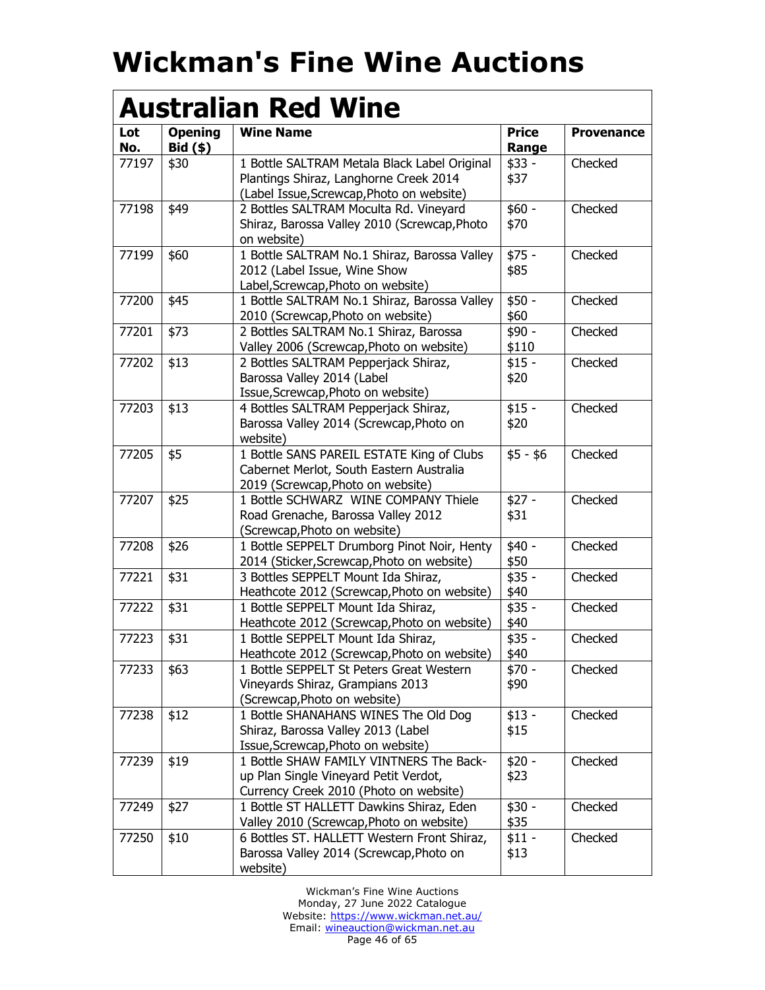| <b>Australian Red Wine</b> |                              |                                                                                                                                     |                       |                   |
|----------------------------|------------------------------|-------------------------------------------------------------------------------------------------------------------------------------|-----------------------|-------------------|
| Lot<br>No.                 | <b>Opening</b><br>$Bid($ \$) | <b>Wine Name</b>                                                                                                                    | <b>Price</b><br>Range | <b>Provenance</b> |
| 77197                      | \$30                         | 1 Bottle SALTRAM Metala Black Label Original<br>Plantings Shiraz, Langhorne Creek 2014<br>(Label Issue, Screwcap, Photo on website) | $$33 -$<br>\$37       | Checked           |
| 77198                      | \$49                         | 2 Bottles SALTRAM Moculta Rd. Vineyard<br>Shiraz, Barossa Valley 2010 (Screwcap, Photo<br>on website)                               | $$60 -$<br>\$70       | Checked           |
| 77199                      | \$60                         | 1 Bottle SALTRAM No.1 Shiraz, Barossa Valley<br>2012 (Label Issue, Wine Show<br>Label, Screwcap, Photo on website)                  | $$75 -$<br>\$85       | Checked           |
| 77200                      | \$45                         | 1 Bottle SALTRAM No.1 Shiraz, Barossa Valley<br>2010 (Screwcap, Photo on website)                                                   | $$50 -$<br>\$60       | Checked           |
| 77201                      | \$73                         | 2 Bottles SALTRAM No.1 Shiraz, Barossa<br>Valley 2006 (Screwcap, Photo on website)                                                  | $$90 -$<br>\$110      | Checked           |
| 77202                      | \$13                         | 2 Bottles SALTRAM Pepperjack Shiraz,<br>Barossa Valley 2014 (Label<br>Issue, Screwcap, Photo on website)                            | $$15 -$<br>\$20       | Checked           |
| 77203                      | \$13                         | 4 Bottles SALTRAM Pepperjack Shiraz,<br>Barossa Valley 2014 (Screwcap, Photo on<br>website)                                         | $$15 -$<br>\$20       | Checked           |
| 77205                      | \$5                          | 1 Bottle SANS PAREIL ESTATE King of Clubs<br>Cabernet Merlot, South Eastern Australia<br>2019 (Screwcap, Photo on website)          | $$5 - $6$             | Checked           |
| 77207                      | \$25                         | 1 Bottle SCHWARZ WINE COMPANY Thiele<br>Road Grenache, Barossa Valley 2012<br>(Screwcap, Photo on website)                          | $$27 -$<br>\$31       | Checked           |
| 77208                      | \$26                         | 1 Bottle SEPPELT Drumborg Pinot Noir, Henty<br>2014 (Sticker, Screwcap, Photo on website)                                           | $$40 -$<br>\$50       | Checked           |
| 77221                      | \$31                         | 3 Bottles SEPPELT Mount Ida Shiraz,<br>Heathcote 2012 (Screwcap, Photo on website)                                                  | $$35 -$<br>\$40       | Checked           |
| 77222                      | \$31                         | 1 Bottle SEPPELT Mount Ida Shiraz,<br>Heathcote 2012 (Screwcap, Photo on website)                                                   | $$35 -$<br>\$40       | Checked           |
| 77223                      | \$31                         | 1 Bottle SEPPELT Mount Ida Shiraz,<br>Heathcote 2012 (Screwcap, Photo on website)                                                   | $$35 -$<br>\$40       | Checked           |
| 77233                      | \$63                         | 1 Bottle SEPPELT St Peters Great Western<br>Vineyards Shiraz, Grampians 2013<br>(Screwcap, Photo on website)                        | \$70 -<br>\$90        | Checked           |
| 77238                      | \$12                         | 1 Bottle SHANAHANS WINES The Old Dog<br>Shiraz, Barossa Valley 2013 (Label<br>Issue, Screwcap, Photo on website)                    | $$13 -$<br>\$15       | Checked           |
| 77239                      | \$19                         | 1 Bottle SHAW FAMILY VINTNERS The Back-<br>up Plan Single Vineyard Petit Verdot,<br>Currency Creek 2010 (Photo on website)          | $$20 -$<br>\$23       | Checked           |
| 77249                      | \$27                         | 1 Bottle ST HALLETT Dawkins Shiraz, Eden<br>Valley 2010 (Screwcap, Photo on website)                                                | $$30 -$<br>\$35       | Checked           |
| 77250                      | \$10                         | 6 Bottles ST. HALLETT Western Front Shiraz,<br>Barossa Valley 2014 (Screwcap, Photo on<br>website)                                  | $$11 -$<br>\$13       | Checked           |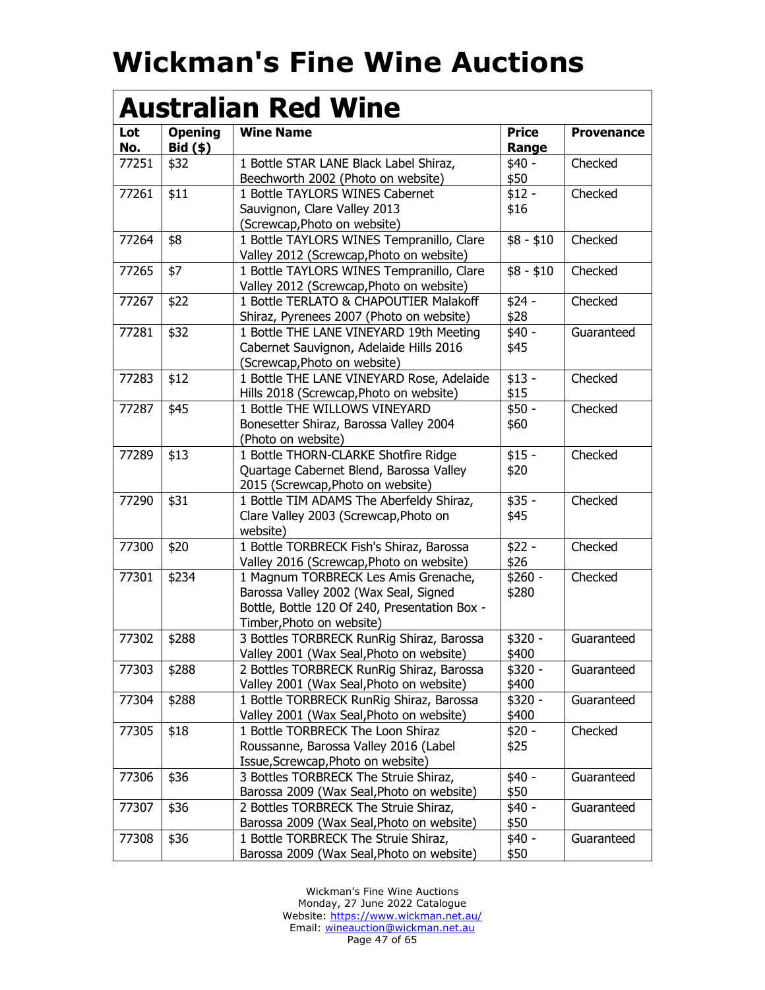| Lot          | <b>Opening</b>     | <b>Wine Name</b>                              | <b>Price</b>     | <b>Provenance</b> |
|--------------|--------------------|-----------------------------------------------|------------------|-------------------|
| No.<br>77251 | $Bid($ \$)<br>\$32 | 1 Bottle STAR LANE Black Label Shiraz,        | Range<br>$$40 -$ | Checked           |
|              |                    | Beechworth 2002 (Photo on website)            | \$50             |                   |
| 77261        | \$11               | 1 Bottle TAYLORS WINES Cabernet               | $$12 -$          | Checked           |
|              |                    | Sauvignon, Clare Valley 2013                  | \$16             |                   |
|              |                    | (Screwcap, Photo on website)                  |                  |                   |
| 77264        | \$8                | 1 Bottle TAYLORS WINES Tempranillo, Clare     | $$8 - $10$       | Checked           |
|              |                    | Valley 2012 (Screwcap, Photo on website)      |                  |                   |
| 77265        | \$7                | 1 Bottle TAYLORS WINES Tempranillo, Clare     | $$8 - $10$       | Checked           |
|              |                    | Valley 2012 (Screwcap, Photo on website)      |                  |                   |
| 77267        | \$22               | 1 Bottle TERLATO & CHAPOUTIER Malakoff        | $$24 -$          | Checked           |
|              |                    | Shiraz, Pyrenees 2007 (Photo on website)      | \$28             |                   |
| 77281        | \$32               | 1 Bottle THE LANE VINEYARD 19th Meeting       | $$40 -$          | Guaranteed        |
|              |                    | Cabernet Sauvignon, Adelaide Hills 2016       | \$45             |                   |
|              |                    | (Screwcap, Photo on website)                  |                  |                   |
| 77283        | \$12               | 1 Bottle THE LANE VINEYARD Rose, Adelaide     | $$13 -$          | Checked           |
|              |                    | Hills 2018 (Screwcap, Photo on website)       | \$15             |                   |
| 77287        | \$45               | 1 Bottle THE WILLOWS VINEYARD                 | $$50 -$          | Checked           |
|              |                    | Bonesetter Shiraz, Barossa Valley 2004        | \$60             |                   |
|              |                    | (Photo on website)                            |                  |                   |
| 77289        | \$13               | 1 Bottle THORN-CLARKE Shotfire Ridge          | $$15 -$          | Checked           |
|              |                    | Quartage Cabernet Blend, Barossa Valley       | \$20             |                   |
|              |                    | 2015 (Screwcap, Photo on website)             |                  |                   |
| 77290        | \$31               | 1 Bottle TIM ADAMS The Aberfeldy Shiraz,      | $$35 -$          | Checked           |
|              |                    | Clare Valley 2003 (Screwcap, Photo on         | \$45             |                   |
|              |                    | website)                                      |                  |                   |
| 77300        | \$20               | 1 Bottle TORBRECK Fish's Shiraz, Barossa      | $$22 -$          | Checked           |
|              |                    | Valley 2016 (Screwcap, Photo on website)      | \$26             |                   |
| 77301        | \$234              | 1 Magnum TORBRECK Les Amis Grenache,          | $$260 -$         | Checked           |
|              |                    | Barossa Valley 2002 (Wax Seal, Signed         | \$280            |                   |
|              |                    | Bottle, Bottle 120 Of 240, Presentation Box - |                  |                   |
|              |                    | Timber, Photo on website)                     |                  |                   |
| 77302        | \$288              | 3 Bottles TORBRECK RunRig Shiraz, Barossa     | $$320 -$         | Guaranteed        |
|              |                    | Valley 2001 (Wax Seal, Photo on website)      | \$400            |                   |
| 77303        | \$288              | 2 Bottles TORBRECK RunRig Shiraz, Barossa     | \$320 -          | Guaranteed        |
|              |                    | Valley 2001 (Wax Seal, Photo on website)      | \$400            |                   |
| 77304        | \$288              | 1 Bottle TORBRECK RunRig Shiraz, Barossa      | $$320 -$         | Guaranteed        |
|              |                    | Valley 2001 (Wax Seal, Photo on website)      | \$400            |                   |
| 77305        | \$18               | 1 Bottle TORBRECK The Loon Shiraz             | $$20 -$          | Checked           |
|              |                    | Roussanne, Barossa Valley 2016 (Label         | \$25             |                   |
|              |                    | Issue, Screwcap, Photo on website)            |                  |                   |
| 77306        | \$36               | 3 Bottles TORBRECK The Struie Shiraz,         | $$40 -$          | Guaranteed        |
|              |                    | Barossa 2009 (Wax Seal, Photo on website)     | \$50             |                   |
| 77307        | \$36               | 2 Bottles TORBRECK The Struie Shiraz,         | $$40 -$          | Guaranteed        |
|              |                    | Barossa 2009 (Wax Seal, Photo on website)     | \$50             |                   |
| 77308        | \$36               | 1 Bottle TORBRECK The Struie Shiraz,          | $$40 -$          | Guaranteed        |
|              |                    | Barossa 2009 (Wax Seal, Photo on website)     | \$50             |                   |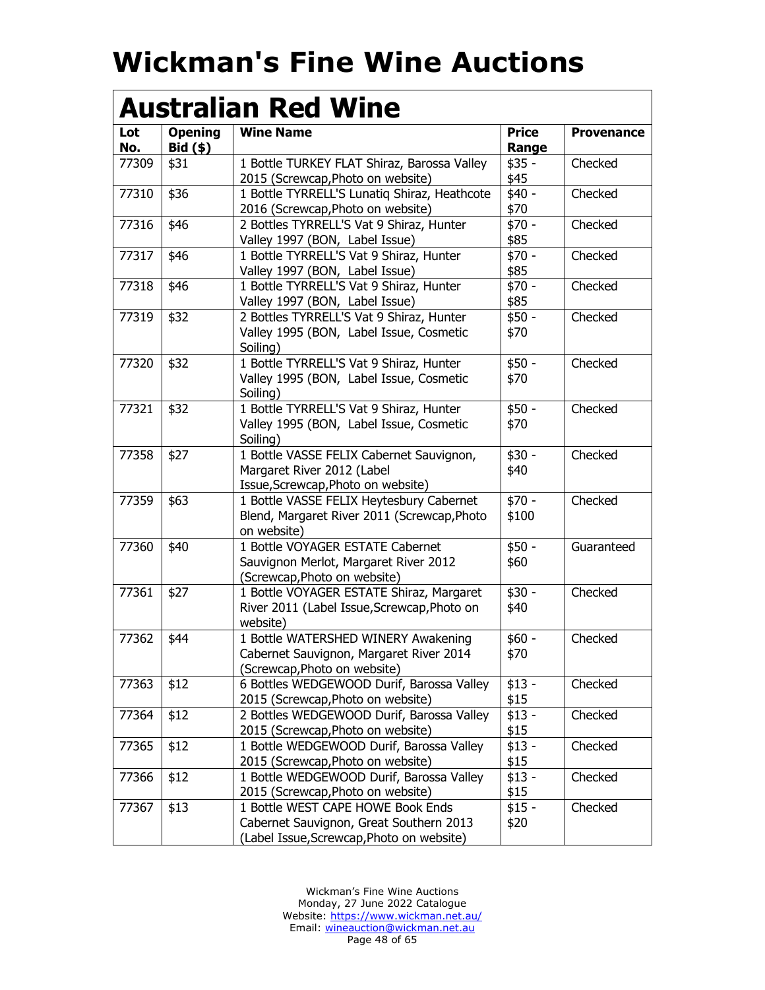|            | <b>Australian Red Wine</b>   |                                                                                                                           |                       |                   |  |
|------------|------------------------------|---------------------------------------------------------------------------------------------------------------------------|-----------------------|-------------------|--|
| Lot<br>No. | <b>Opening</b><br>$Bid($ \$) | <b>Wine Name</b>                                                                                                          | <b>Price</b><br>Range | <b>Provenance</b> |  |
| 77309      | \$31                         | 1 Bottle TURKEY FLAT Shiraz, Barossa Valley<br>2015 (Screwcap, Photo on website)                                          | $$35 -$<br>\$45       | Checked           |  |
| 77310      | \$36                         | 1 Bottle TYRRELL'S Lunatiq Shiraz, Heathcote<br>2016 (Screwcap, Photo on website)                                         | $$40 -$<br>\$70       | Checked           |  |
| 77316      | \$46                         | 2 Bottles TYRRELL'S Vat 9 Shiraz, Hunter<br>Valley 1997 (BON, Label Issue)                                                | \$70 -<br>\$85        | Checked           |  |
| 77317      | \$46                         | 1 Bottle TYRRELL'S Vat 9 Shiraz, Hunter<br>Valley 1997 (BON, Label Issue)                                                 | \$70 -<br>\$85        | Checked           |  |
| 77318      | \$46                         | 1 Bottle TYRRELL'S Vat 9 Shiraz, Hunter<br>Valley 1997 (BON, Label Issue)                                                 | $$70 -$<br>\$85       | Checked           |  |
| 77319      | \$32                         | 2 Bottles TYRRELL'S Vat 9 Shiraz, Hunter<br>Valley 1995 (BON, Label Issue, Cosmetic<br>Soiling)                           | $$50 -$<br>\$70       | Checked           |  |
| 77320      | \$32                         | 1 Bottle TYRRELL'S Vat 9 Shiraz, Hunter<br>Valley 1995 (BON, Label Issue, Cosmetic<br>Soiling)                            | $$50 -$<br>\$70       | Checked           |  |
| 77321      | \$32                         | 1 Bottle TYRRELL'S Vat 9 Shiraz, Hunter<br>Valley 1995 (BON, Label Issue, Cosmetic<br>Soiling)                            | $$50 -$<br>\$70       | Checked           |  |
| 77358      | \$27                         | 1 Bottle VASSE FELIX Cabernet Sauvignon,<br>Margaret River 2012 (Label<br>Issue, Screwcap, Photo on website)              | $$30 -$<br>\$40       | Checked           |  |
| 77359      | \$63                         | 1 Bottle VASSE FELIX Heytesbury Cabernet<br>Blend, Margaret River 2011 (Screwcap, Photo<br>on website)                    | $$70 -$<br>\$100      | Checked           |  |
| 77360      | \$40                         | 1 Bottle VOYAGER ESTATE Cabernet<br>Sauvignon Merlot, Margaret River 2012<br>(Screwcap, Photo on website)                 | $$50 -$<br>\$60       | Guaranteed        |  |
| 77361      | \$27                         | 1 Bottle VOYAGER ESTATE Shiraz, Margaret<br>River 2011 (Label Issue, Screwcap, Photo on<br>website)                       | $$30 -$<br>\$40       | Checked           |  |
| 77362      | \$44                         | 1 Bottle WATERSHED WINERY Awakening<br>Cabernet Sauvignon, Margaret River 2014<br>(Screwcap, Photo on website)            | $$60 -$<br>\$70       | Checked           |  |
| 77363      | \$12                         | 6 Bottles WEDGEWOOD Durif, Barossa Valley<br>2015 (Screwcap, Photo on website)                                            | $$13 -$<br>\$15       | Checked           |  |
| 77364      | \$12                         | 2 Bottles WEDGEWOOD Durif, Barossa Valley<br>2015 (Screwcap, Photo on website)                                            | $$13 -$<br>\$15       | Checked           |  |
| 77365      | \$12                         | 1 Bottle WEDGEWOOD Durif, Barossa Valley<br>2015 (Screwcap, Photo on website)                                             | $$13 -$<br>\$15       | Checked           |  |
| 77366      | \$12                         | 1 Bottle WEDGEWOOD Durif, Barossa Valley<br>2015 (Screwcap, Photo on website)                                             | $$13 -$<br>\$15       | Checked           |  |
| 77367      | \$13                         | 1 Bottle WEST CAPE HOWE Book Ends<br>Cabernet Sauvignon, Great Southern 2013<br>(Label Issue, Screwcap, Photo on website) | $$15 -$<br>\$20       | Checked           |  |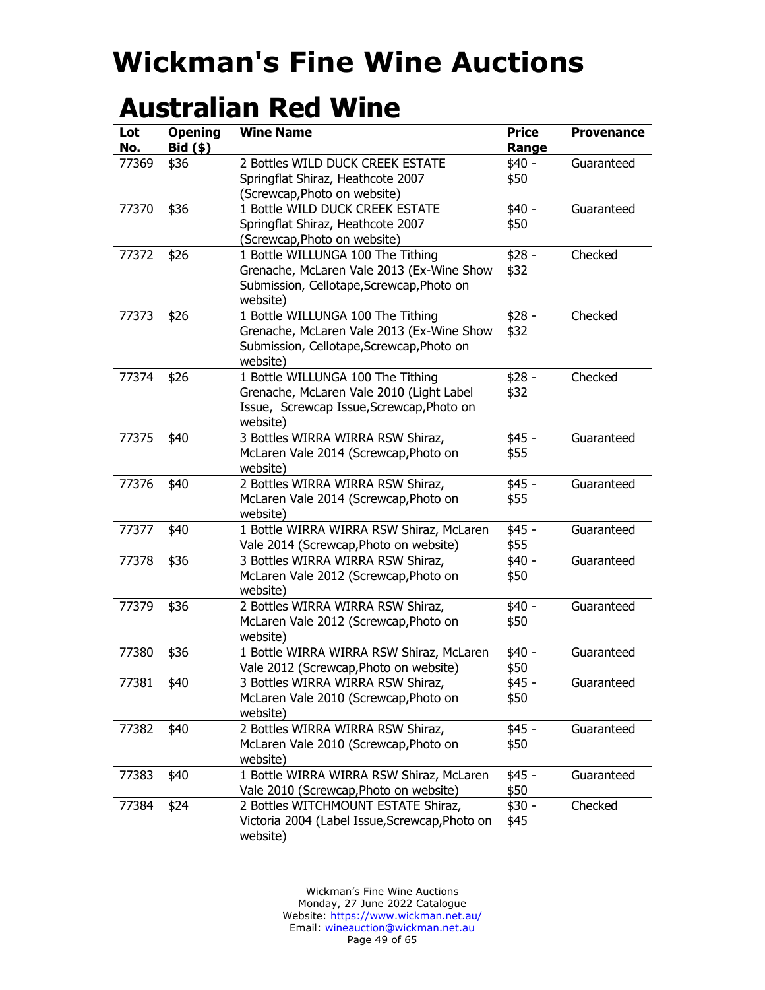| Lot<br>No. | <b>Opening</b><br>$Bid($ \$) | <b>Wine Name</b>                                                                                                                        | <b>Price</b><br>Range | <b>Provenance</b> |
|------------|------------------------------|-----------------------------------------------------------------------------------------------------------------------------------------|-----------------------|-------------------|
| 77369      | \$36                         | 2 Bottles WILD DUCK CREEK ESTATE<br>Springflat Shiraz, Heathcote 2007                                                                   | $$40 -$<br>\$50       | Guaranteed        |
|            |                              | (Screwcap, Photo on website)                                                                                                            |                       |                   |
| 77370      | \$36                         | 1 Bottle WILD DUCK CREEK ESTATE<br>Springflat Shiraz, Heathcote 2007<br>(Screwcap, Photo on website)                                    | $$40 -$<br>\$50       | Guaranteed        |
| 77372      | \$26                         | 1 Bottle WILLUNGA 100 The Tithing<br>Grenache, McLaren Vale 2013 (Ex-Wine Show<br>Submission, Cellotape, Screwcap, Photo on<br>website) | $$28 -$<br>\$32       | Checked           |
| 77373      | \$26                         | 1 Bottle WILLUNGA 100 The Tithing<br>Grenache, McLaren Vale 2013 (Ex-Wine Show<br>Submission, Cellotape, Screwcap, Photo on<br>website) | $$28 -$<br>\$32       | Checked           |
| 77374      | \$26                         | 1 Bottle WILLUNGA 100 The Tithing<br>Grenache, McLaren Vale 2010 (Light Label<br>Issue, Screwcap Issue, Screwcap, Photo on<br>website)  | $$28 -$<br>\$32       | Checked           |
| 77375      | \$40                         | 3 Bottles WIRRA WIRRA RSW Shiraz,<br>McLaren Vale 2014 (Screwcap, Photo on<br>website)                                                  | $$45 -$<br>\$55       | Guaranteed        |
| 77376      | \$40                         | 2 Bottles WIRRA WIRRA RSW Shiraz,<br>McLaren Vale 2014 (Screwcap, Photo on<br>website)                                                  | $$45 -$<br>\$55       | Guaranteed        |
| 77377      | \$40                         | 1 Bottle WIRRA WIRRA RSW Shiraz, McLaren<br>Vale 2014 (Screwcap, Photo on website)                                                      | \$45 -<br>\$55        | Guaranteed        |
| 77378      | \$36                         | 3 Bottles WIRRA WIRRA RSW Shiraz,<br>McLaren Vale 2012 (Screwcap, Photo on<br>website)                                                  | \$40 -<br>\$50        | Guaranteed        |
| 77379      | \$36                         | 2 Bottles WIRRA WIRRA RSW Shiraz,<br>McLaren Vale 2012 (Screwcap, Photo on<br>website)                                                  | $$40 -$<br>\$50       | Guaranteed        |
| 77380      | \$36                         | 1 Bottle WIRRA WIRRA RSW Shiraz, McLaren<br>Vale 2012 (Screwcap, Photo on website)                                                      | $$40 -$<br>\$50       | Guaranteed        |
| 77381      | \$40                         | 3 Bottles WIRRA WIRRA RSW Shiraz,<br>McLaren Vale 2010 (Screwcap, Photo on<br>website)                                                  | $$45 -$<br>\$50       | Guaranteed        |
| 77382      | \$40                         | 2 Bottles WIRRA WIRRA RSW Shiraz,<br>McLaren Vale 2010 (Screwcap, Photo on<br>website)                                                  | $$45 -$<br>\$50       | Guaranteed        |
| 77383      | \$40                         | 1 Bottle WIRRA WIRRA RSW Shiraz, McLaren<br>Vale 2010 (Screwcap, Photo on website)                                                      | $$45 -$<br>\$50       | Guaranteed        |
| 77384      | \$24                         | 2 Bottles WITCHMOUNT ESTATE Shiraz,<br>Victoria 2004 (Label Issue, Screwcap, Photo on<br>website)                                       | $$30 -$<br>\$45       | Checked           |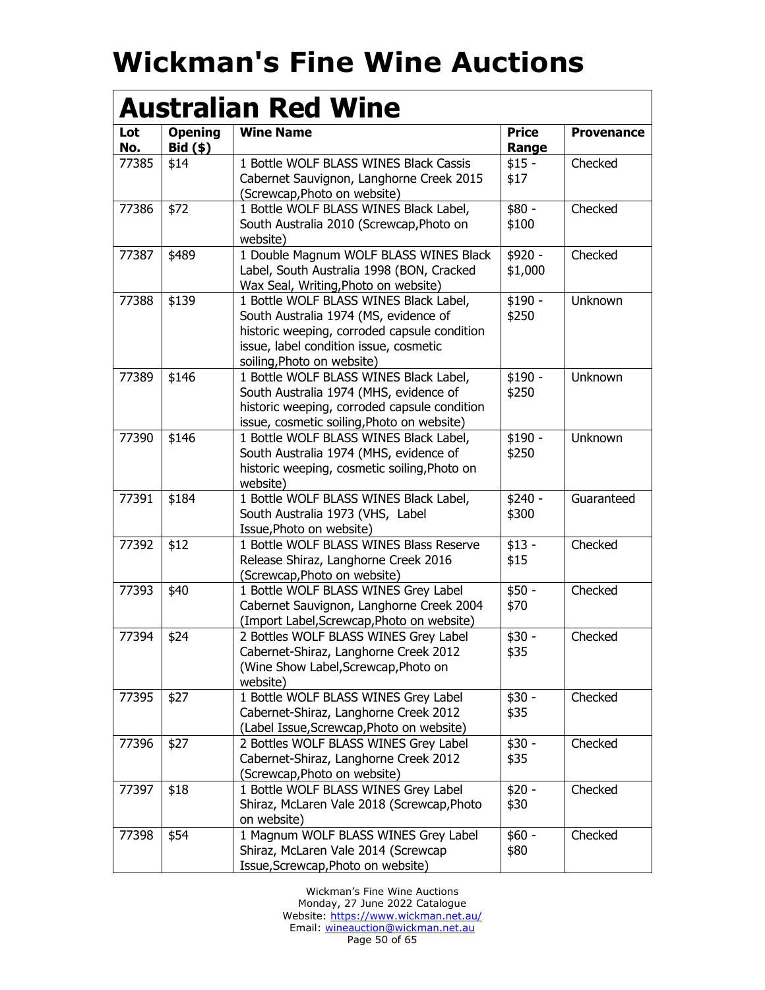| Lot<br>No. | <b>Opening</b><br>$Bid($ \$) | <b>Wine Name</b>                                                                                                                                                                                        | <b>Price</b><br>Range | <b>Provenance</b> |
|------------|------------------------------|---------------------------------------------------------------------------------------------------------------------------------------------------------------------------------------------------------|-----------------------|-------------------|
| 77385      | \$14                         | 1 Bottle WOLF BLASS WINES Black Cassis<br>Cabernet Sauvignon, Langhorne Creek 2015<br>(Screwcap, Photo on website)                                                                                      | $$15 -$<br>\$17       | Checked           |
| 77386      | \$72                         | 1 Bottle WOLF BLASS WINES Black Label,<br>South Australia 2010 (Screwcap, Photo on<br>website)                                                                                                          | \$80 -<br>\$100       | Checked           |
| 77387      | \$489                        | 1 Double Magnum WOLF BLASS WINES Black<br>Label, South Australia 1998 (BON, Cracked<br>Wax Seal, Writing, Photo on website)                                                                             | \$920 -<br>\$1,000    | Checked           |
| 77388      | \$139                        | 1 Bottle WOLF BLASS WINES Black Label,<br>South Australia 1974 (MS, evidence of<br>historic weeping, corroded capsule condition<br>issue, label condition issue, cosmetic<br>soiling, Photo on website) | $$190 -$<br>\$250     | Unknown           |
| 77389      | \$146                        | 1 Bottle WOLF BLASS WINES Black Label,<br>South Australia 1974 (MHS, evidence of<br>historic weeping, corroded capsule condition<br>issue, cosmetic soiling, Photo on website)                          | $$190 -$<br>\$250     | Unknown           |
| 77390      | \$146                        | 1 Bottle WOLF BLASS WINES Black Label,<br>South Australia 1974 (MHS, evidence of<br>historic weeping, cosmetic soiling, Photo on<br>website)                                                            | $$190 -$<br>\$250     | Unknown           |
| 77391      | \$184                        | 1 Bottle WOLF BLASS WINES Black Label,<br>South Australia 1973 (VHS, Label<br>Issue, Photo on website)                                                                                                  | $$240 -$<br>\$300     | Guaranteed        |
| 77392      | \$12                         | 1 Bottle WOLF BLASS WINES Blass Reserve<br>Release Shiraz, Langhorne Creek 2016<br>(Screwcap, Photo on website)                                                                                         | $$13 -$<br>\$15       | Checked           |
| 77393      | \$40                         | 1 Bottle WOLF BLASS WINES Grey Label<br>Cabernet Sauvignon, Langhorne Creek 2004<br>(Import Label, Screwcap, Photo on website)                                                                          | $$50 -$<br>\$70       | Checked           |
| 77394      | \$24                         | 2 Bottles WOLF BLASS WINES Grey Label<br>Cabernet-Shiraz, Langhorne Creek 2012<br>(Wine Show Label, Screwcap, Photo on<br>website)                                                                      | $$30 -$<br>\$35       | Checked           |
| 77395      | \$27                         | 1 Bottle WOLF BLASS WINES Grey Label<br>Cabernet-Shiraz, Langhorne Creek 2012<br>(Label Issue, Screwcap, Photo on website)                                                                              | $$30 -$<br>\$35       | Checked           |
| 77396      | \$27                         | 2 Bottles WOLF BLASS WINES Grey Label<br>Cabernet-Shiraz, Langhorne Creek 2012<br>(Screwcap, Photo on website)                                                                                          | $$30 -$<br>\$35       | Checked           |
| 77397      | \$18                         | 1 Bottle WOLF BLASS WINES Grey Label<br>Shiraz, McLaren Vale 2018 (Screwcap, Photo<br>on website)                                                                                                       | $$20 -$<br>\$30       | Checked           |
| 77398      | \$54                         | 1 Magnum WOLF BLASS WINES Grey Label<br>Shiraz, McLaren Vale 2014 (Screwcap<br>Issue, Screwcap, Photo on website)                                                                                       | $$60 -$<br>\$80       | Checked           |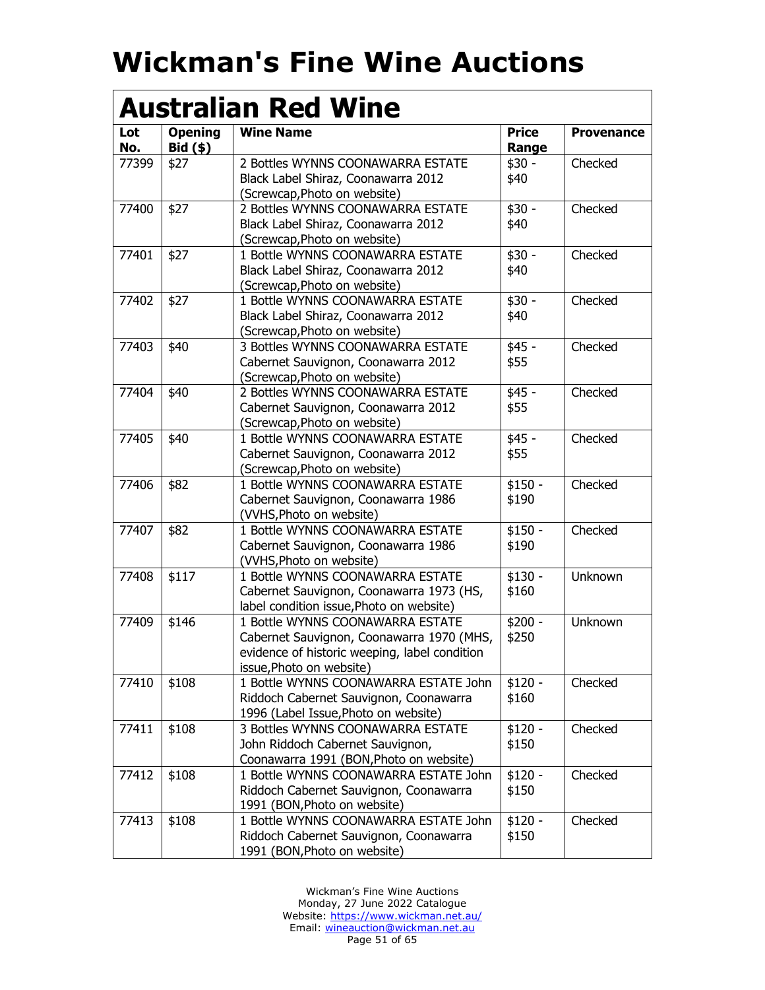| Lot   | <b>Opening</b> | <b>Australian Red Wine</b><br><b>Wine Name</b> | <b>Price</b> | <b>Provenance</b> |
|-------|----------------|------------------------------------------------|--------------|-------------------|
| No.   | $Bid($ \$)     |                                                | Range        |                   |
| 77399 | \$27           | 2 Bottles WYNNS COONAWARRA ESTATE              | $$30 -$      | Checked           |
|       |                | Black Label Shiraz, Coonawarra 2012            | \$40         |                   |
|       |                | (Screwcap, Photo on website)                   |              |                   |
| 77400 | \$27           | 2 Bottles WYNNS COONAWARRA ESTATE              | $$30 -$      | Checked           |
|       |                | Black Label Shiraz, Coonawarra 2012            | \$40         |                   |
|       |                | (Screwcap, Photo on website)                   |              |                   |
| 77401 | \$27           | 1 Bottle WYNNS COONAWARRA ESTATE               | $$30 -$      | Checked           |
|       |                | Black Label Shiraz, Coonawarra 2012            | \$40         |                   |
|       |                | (Screwcap, Photo on website)                   |              |                   |
| 77402 | \$27           | 1 Bottle WYNNS COONAWARRA ESTATE               | $$30 -$      | Checked           |
|       |                | Black Label Shiraz, Coonawarra 2012            | \$40         |                   |
|       |                | (Screwcap, Photo on website)                   |              |                   |
| 77403 | \$40           | 3 Bottles WYNNS COONAWARRA ESTATE              | $$45 -$      | Checked           |
|       |                | Cabernet Sauvignon, Coonawarra 2012            | \$55         |                   |
|       |                | (Screwcap, Photo on website)                   |              |                   |
| 77404 | \$40           | 2 Bottles WYNNS COONAWARRA ESTATE              | $$45 -$      | Checked           |
|       |                | Cabernet Sauvignon, Coonawarra 2012            | \$55         |                   |
|       |                | (Screwcap, Photo on website)                   |              |                   |
| 77405 | \$40           | 1 Bottle WYNNS COONAWARRA ESTATE               | $$45 -$      | Checked           |
|       |                | Cabernet Sauvignon, Coonawarra 2012            | \$55         |                   |
|       |                | (Screwcap, Photo on website)                   |              |                   |
| 77406 | \$82           | 1 Bottle WYNNS COONAWARRA ESTATE               | $$150 -$     | Checked           |
|       |                | Cabernet Sauvignon, Coonawarra 1986            | \$190        |                   |
|       |                | (VVHS, Photo on website)                       |              |                   |
| 77407 | \$82           | 1 Bottle WYNNS COONAWARRA ESTATE               | $$150 -$     | Checked           |
|       |                | Cabernet Sauvignon, Coonawarra 1986            | \$190        |                   |
|       |                | (VVHS, Photo on website)                       |              |                   |
| 77408 | \$117          | 1 Bottle WYNNS COONAWARRA ESTATE               | $$130 -$     | Unknown           |
|       |                | Cabernet Sauvignon, Coonawarra 1973 (HS,       | \$160        |                   |
|       |                | label condition issue, Photo on website)       |              |                   |
| 77409 | \$146          | 1 Bottle WYNNS COONAWARRA ESTATE               | $$200 -$     | Unknown           |
|       |                | Cabernet Sauvignon, Coonawarra 1970 (MHS,      | \$250        |                   |
|       |                | evidence of historic weeping, label condition  |              |                   |
|       |                | issue, Photo on website)                       |              |                   |
| 77410 | \$108          | 1 Bottle WYNNS COONAWARRA ESTATE John          | $$120 -$     | Checked           |
|       |                | Riddoch Cabernet Sauvignon, Coonawarra         | \$160        |                   |
|       |                | 1996 (Label Issue, Photo on website)           |              |                   |
| 77411 | \$108          | 3 Bottles WYNNS COONAWARRA ESTATE              | $$120 -$     | Checked           |
|       |                | John Riddoch Cabernet Sauvignon,               | \$150        |                   |
|       |                | Coonawarra 1991 (BON, Photo on website)        |              |                   |
| 77412 | \$108          | 1 Bottle WYNNS COONAWARRA ESTATE John          | $$120 -$     | Checked           |
|       |                | Riddoch Cabernet Sauvignon, Coonawarra         | \$150        |                   |
|       |                | 1991 (BON, Photo on website)                   |              |                   |
| 77413 | \$108          | 1 Bottle WYNNS COONAWARRA ESTATE John          | $$120 -$     | Checked           |
|       |                | Riddoch Cabernet Sauvignon, Coonawarra         | \$150        |                   |
|       |                | 1991 (BON, Photo on website)                   |              |                   |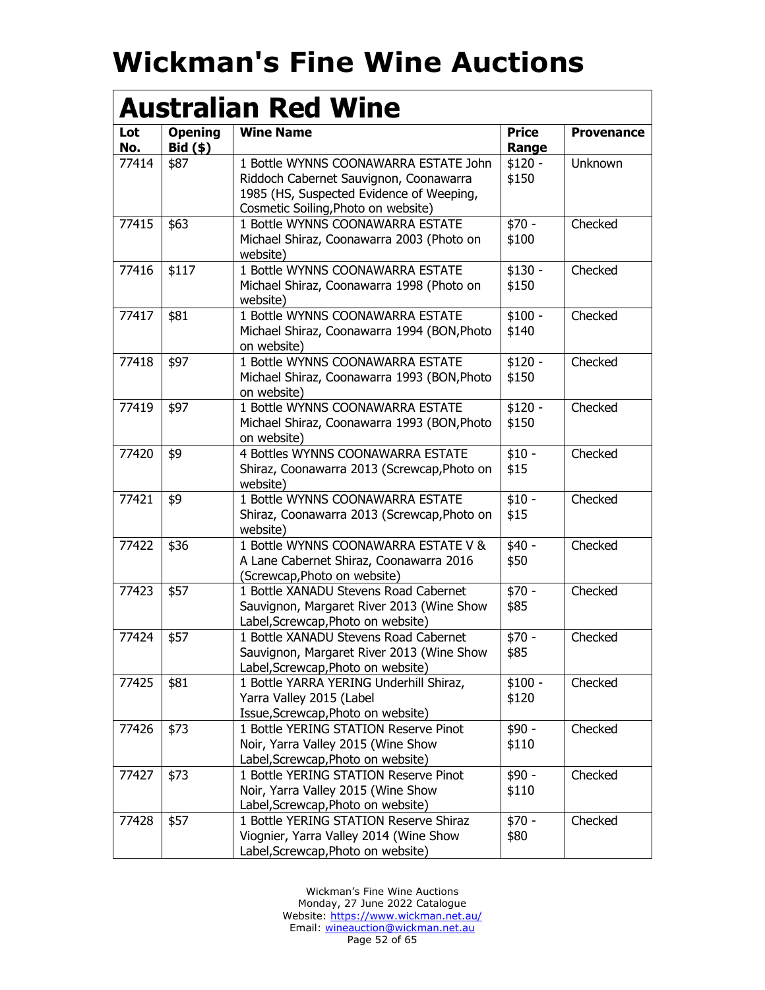|            | <b>Australian Red Wine</b>   |                                                                                                                                                                    |                       |                   |  |  |
|------------|------------------------------|--------------------------------------------------------------------------------------------------------------------------------------------------------------------|-----------------------|-------------------|--|--|
| Lot<br>No. | <b>Opening</b><br>$Bid($ \$) | <b>Wine Name</b>                                                                                                                                                   | <b>Price</b><br>Range | <b>Provenance</b> |  |  |
| 77414      | \$87                         | 1 Bottle WYNNS COONAWARRA ESTATE John<br>Riddoch Cabernet Sauvignon, Coonawarra<br>1985 (HS, Suspected Evidence of Weeping,<br>Cosmetic Soiling, Photo on website) | $$120 -$<br>\$150     | Unknown           |  |  |
| 77415      | \$63                         | 1 Bottle WYNNS COONAWARRA ESTATE<br>Michael Shiraz, Coonawarra 2003 (Photo on<br>website)                                                                          | $$70 -$<br>\$100      | Checked           |  |  |
| 77416      | \$117                        | 1 Bottle WYNNS COONAWARRA ESTATE<br>Michael Shiraz, Coonawarra 1998 (Photo on<br>website)                                                                          | $$130 -$<br>\$150     | Checked           |  |  |
| 77417      | \$81                         | 1 Bottle WYNNS COONAWARRA ESTATE<br>Michael Shiraz, Coonawarra 1994 (BON, Photo<br>on website)                                                                     | $$100 -$<br>\$140     | Checked           |  |  |
| 77418      | \$97                         | 1 Bottle WYNNS COONAWARRA ESTATE<br>Michael Shiraz, Coonawarra 1993 (BON, Photo<br>on website)                                                                     | $$120 -$<br>\$150     | Checked           |  |  |
| 77419      | \$97                         | 1 Bottle WYNNS COONAWARRA ESTATE<br>Michael Shiraz, Coonawarra 1993 (BON, Photo<br>on website)                                                                     | $$120 -$<br>\$150     | Checked           |  |  |
| 77420      | \$9                          | 4 Bottles WYNNS COONAWARRA ESTATE<br>Shiraz, Coonawarra 2013 (Screwcap, Photo on<br>website)                                                                       | $$10 -$<br>\$15       | Checked           |  |  |
| 77421      | \$9                          | 1 Bottle WYNNS COONAWARRA ESTATE<br>Shiraz, Coonawarra 2013 (Screwcap, Photo on<br>website)                                                                        | $$10 -$<br>\$15       | Checked           |  |  |
| 77422      | \$36                         | 1 Bottle WYNNS COONAWARRA ESTATE V &<br>A Lane Cabernet Shiraz, Coonawarra 2016<br>(Screwcap, Photo on website)                                                    | $$40 -$<br>\$50       | Checked           |  |  |
| 77423      | \$57                         | 1 Bottle XANADU Stevens Road Cabernet<br>Sauvignon, Margaret River 2013 (Wine Show<br>Label, Screwcap, Photo on website)                                           | $$70 -$<br>\$85       | Checked           |  |  |
| 77424      | \$57                         | 1 Bottle XANADU Stevens Road Cabernet<br>Sauvignon, Margaret River 2013 (Wine Show<br>Label, Screwcap, Photo on website)                                           | \$70 -<br>\$85        | Checked           |  |  |
| 77425      | \$81                         | 1 Bottle YARRA YERING Underhill Shiraz,<br>Yarra Valley 2015 (Label<br>Issue, Screwcap, Photo on website)                                                          | $$100 -$<br>\$120     | Checked           |  |  |
| 77426      | \$73                         | 1 Bottle YERING STATION Reserve Pinot<br>Noir, Yarra Valley 2015 (Wine Show<br>Label, Screwcap, Photo on website)                                                  | \$90 -<br>\$110       | Checked           |  |  |
| 77427      | \$73                         | 1 Bottle YERING STATION Reserve Pinot<br>Noir, Yarra Valley 2015 (Wine Show<br>Label, Screwcap, Photo on website)                                                  | $$90 -$<br>\$110      | Checked           |  |  |
| 77428      | \$57                         | 1 Bottle YERING STATION Reserve Shiraz<br>Viognier, Yarra Valley 2014 (Wine Show<br>Label, Screwcap, Photo on website)                                             | $$70 -$<br>\$80       | Checked           |  |  |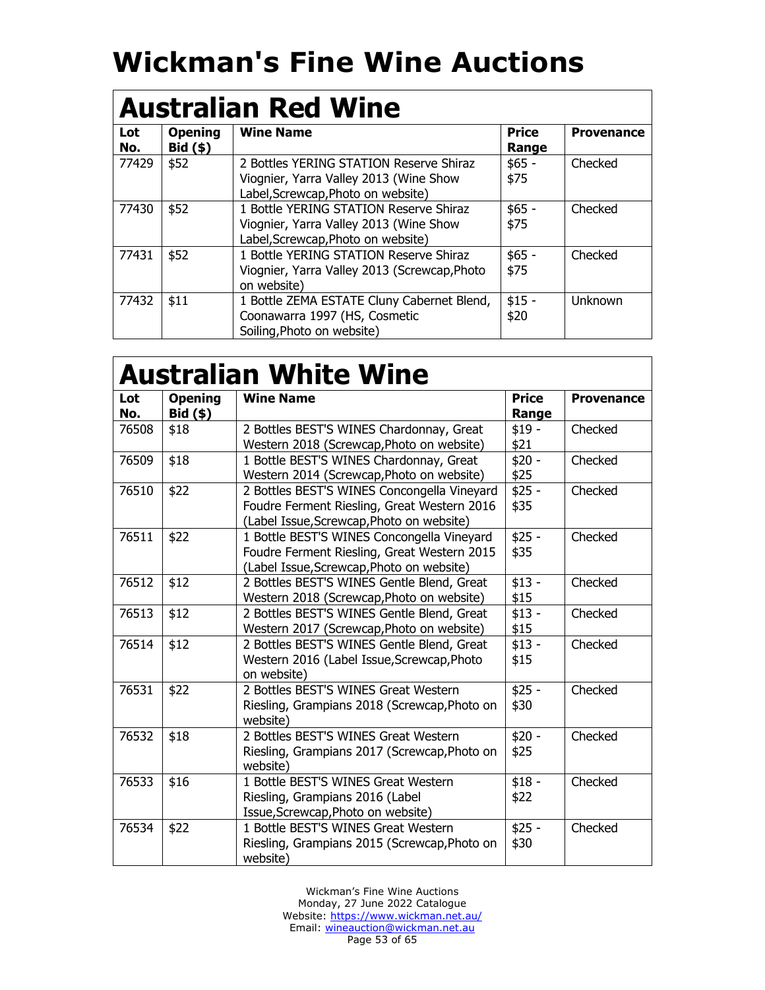| <b>Australian Red Wine</b> |                              |                                                                                                                         |                       |                   |  |
|----------------------------|------------------------------|-------------------------------------------------------------------------------------------------------------------------|-----------------------|-------------------|--|
| Lot<br>No.                 | <b>Opening</b><br>$Bid($ \$) | <b>Wine Name</b>                                                                                                        | <b>Price</b><br>Range | <b>Provenance</b> |  |
| 77429                      | \$52                         | 2 Bottles YERING STATION Reserve Shiraz<br>Viognier, Yarra Valley 2013 (Wine Show<br>Label, Screwcap, Photo on website) | $$65 -$<br>\$75       | Checked           |  |
| 77430                      | \$52                         | 1 Bottle YERING STATION Reserve Shiraz<br>Viognier, Yarra Valley 2013 (Wine Show<br>Label, Screwcap, Photo on website)  | $$65 -$<br>\$75       | Checked           |  |
| 77431                      | \$52                         | 1 Bottle YERING STATION Reserve Shiraz<br>Viognier, Yarra Valley 2013 (Screwcap, Photo<br>on website)                   | $$65 -$<br>\$75       | Checked           |  |
| 77432                      | \$11                         | 1 Bottle ZEMA ESTATE Cluny Cabernet Blend,<br>Coonawarra 1997 (HS, Cosmetic<br>Soiling, Photo on website)               | $$15 -$<br>\$20       | Unknown           |  |

|            | <b>Australian White Wine</b> |                                                                                                                                         |                       |                   |  |
|------------|------------------------------|-----------------------------------------------------------------------------------------------------------------------------------------|-----------------------|-------------------|--|
| Lot<br>No. | <b>Opening</b><br>$Bid($ \$) | <b>Wine Name</b>                                                                                                                        | <b>Price</b><br>Range | <b>Provenance</b> |  |
| 76508      | \$18                         | 2 Bottles BEST'S WINES Chardonnay, Great<br>Western 2018 (Screwcap, Photo on website)                                                   | $$19 -$<br>\$21       | Checked           |  |
| 76509      | \$18                         | 1 Bottle BEST'S WINES Chardonnay, Great<br>Western 2014 (Screwcap, Photo on website)                                                    | $$20 -$<br>\$25       | Checked           |  |
| 76510      | \$22                         | 2 Bottles BEST'S WINES Concongella Vineyard<br>Foudre Ferment Riesling, Great Western 2016<br>(Label Issue, Screwcap, Photo on website) | $$25 -$<br>\$35       | Checked           |  |
| 76511      | \$22                         | 1 Bottle BEST'S WINES Concongella Vineyard<br>Foudre Ferment Riesling, Great Western 2015<br>(Label Issue, Screwcap, Photo on website)  | $$25 -$<br>\$35       | Checked           |  |
| 76512      | \$12                         | 2 Bottles BEST'S WINES Gentle Blend, Great<br>Western 2018 (Screwcap, Photo on website)                                                 | $$13 -$<br>\$15       | Checked           |  |
| 76513      | \$12                         | 2 Bottles BEST'S WINES Gentle Blend, Great<br>Western 2017 (Screwcap, Photo on website)                                                 | $$13 -$<br>\$15       | Checked           |  |
| 76514      | \$12                         | 2 Bottles BEST'S WINES Gentle Blend, Great<br>Western 2016 (Label Issue, Screwcap, Photo<br>on website)                                 | $$13 -$<br>\$15       | Checked           |  |
| 76531      | \$22                         | 2 Bottles BEST'S WINES Great Western<br>Riesling, Grampians 2018 (Screwcap, Photo on<br>website)                                        | $$25 -$<br>\$30       | Checked           |  |
| 76532      | \$18                         | 2 Bottles BEST'S WINES Great Western<br>Riesling, Grampians 2017 (Screwcap, Photo on<br>website)                                        | $$20 -$<br>\$25       | Checked           |  |
| 76533      | \$16                         | 1 Bottle BEST'S WINES Great Western<br>Riesling, Grampians 2016 (Label<br>Issue, Screwcap, Photo on website)                            | $$18 -$<br>\$22       | Checked           |  |
| 76534      | \$22                         | 1 Bottle BEST'S WINES Great Western<br>Riesling, Grampians 2015 (Screwcap, Photo on<br>website)                                         | $$25 -$<br>\$30       | Checked           |  |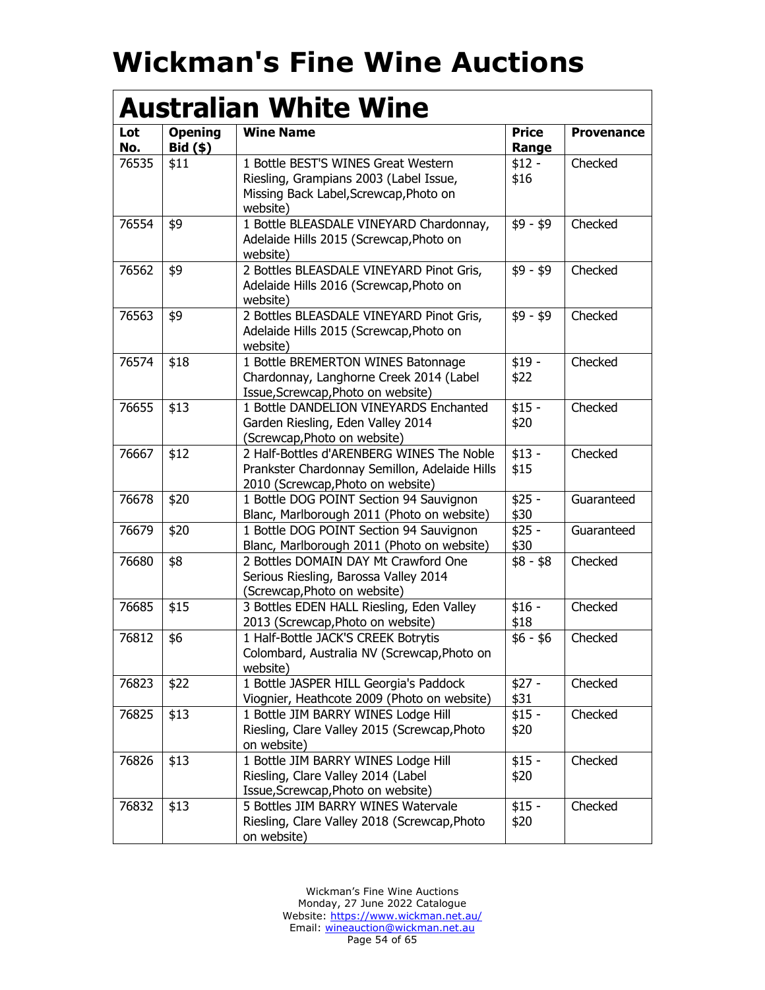|            |                              | <b>Wine Name</b>                                                                                                                    | <b>Price</b>    |                   |
|------------|------------------------------|-------------------------------------------------------------------------------------------------------------------------------------|-----------------|-------------------|
| Lot<br>No. | <b>Opening</b><br>$Bid($ \$) |                                                                                                                                     | Range           | <b>Provenance</b> |
| 76535      | \$11                         | 1 Bottle BEST'S WINES Great Western<br>Riesling, Grampians 2003 (Label Issue,<br>Missing Back Label, Screwcap, Photo on<br>website) | $$12 -$<br>\$16 | Checked           |
| 76554      | \$9                          | 1 Bottle BLEASDALE VINEYARD Chardonnay,<br>Adelaide Hills 2015 (Screwcap, Photo on<br>website)                                      | $$9 - $9$       | Checked           |
| 76562      | \$9                          | 2 Bottles BLEASDALE VINEYARD Pinot Gris,<br>Adelaide Hills 2016 (Screwcap, Photo on<br>website)                                     | $$9 - $9$       | Checked           |
| 76563      | \$9                          | 2 Bottles BLEASDALE VINEYARD Pinot Gris,<br>Adelaide Hills 2015 (Screwcap, Photo on<br>website)                                     | $$9 - $9$       | Checked           |
| 76574      | \$18                         | 1 Bottle BREMERTON WINES Batonnage<br>Chardonnay, Langhorne Creek 2014 (Label<br>Issue, Screwcap, Photo on website)                 | $$19 -$<br>\$22 | Checked           |
| 76655      | \$13                         | 1 Bottle DANDELION VINEYARDS Enchanted<br>Garden Riesling, Eden Valley 2014<br>(Screwcap, Photo on website)                         | $$15 -$<br>\$20 | Checked           |
| 76667      | \$12                         | 2 Half-Bottles d'ARENBERG WINES The Noble<br>Prankster Chardonnay Semillon, Adelaide Hills<br>2010 (Screwcap, Photo on website)     | $$13 -$<br>\$15 | Checked           |
| 76678      | \$20                         | 1 Bottle DOG POINT Section 94 Sauvignon<br>Blanc, Marlborough 2011 (Photo on website)                                               | $$25 -$<br>\$30 | Guaranteed        |
| 76679      | \$20                         | 1 Bottle DOG POINT Section 94 Sauvignon<br>Blanc, Marlborough 2011 (Photo on website)                                               | $$25 -$<br>\$30 | Guaranteed        |
| 76680      | \$8                          | 2 Bottles DOMAIN DAY Mt Crawford One<br>Serious Riesling, Barossa Valley 2014<br>(Screwcap, Photo on website)                       | $$8 - $8$       | Checked           |
| 76685      | \$15                         | 3 Bottles EDEN HALL Riesling, Eden Valley<br>2013 (Screwcap, Photo on website)                                                      | $$16 -$<br>\$18 | Checked           |
| 76812      | \$6                          | 1 Half-Bottle JACK'S CREEK Botrytis<br>Colombard, Australia NV (Screwcap, Photo on<br>website)                                      | $$6 - $6$       | Checked           |
| 76823      | \$22                         | 1 Bottle JASPER HILL Georgia's Paddock<br>Viognier, Heathcote 2009 (Photo on website)                                               | $$27 -$<br>\$31 | Checked           |
| 76825      | \$13                         | 1 Bottle JIM BARRY WINES Lodge Hill<br>Riesling, Clare Valley 2015 (Screwcap, Photo<br>on website)                                  | $$15 -$<br>\$20 | Checked           |
| 76826      | \$13                         | 1 Bottle JIM BARRY WINES Lodge Hill<br>Riesling, Clare Valley 2014 (Label<br>Issue, Screwcap, Photo on website)                     | $$15 -$<br>\$20 | Checked           |
| 76832      | \$13                         | 5 Bottles JIM BARRY WINES Watervale<br>Riesling, Clare Valley 2018 (Screwcap, Photo<br>on website)                                  | $$15 -$<br>\$20 | Checked           |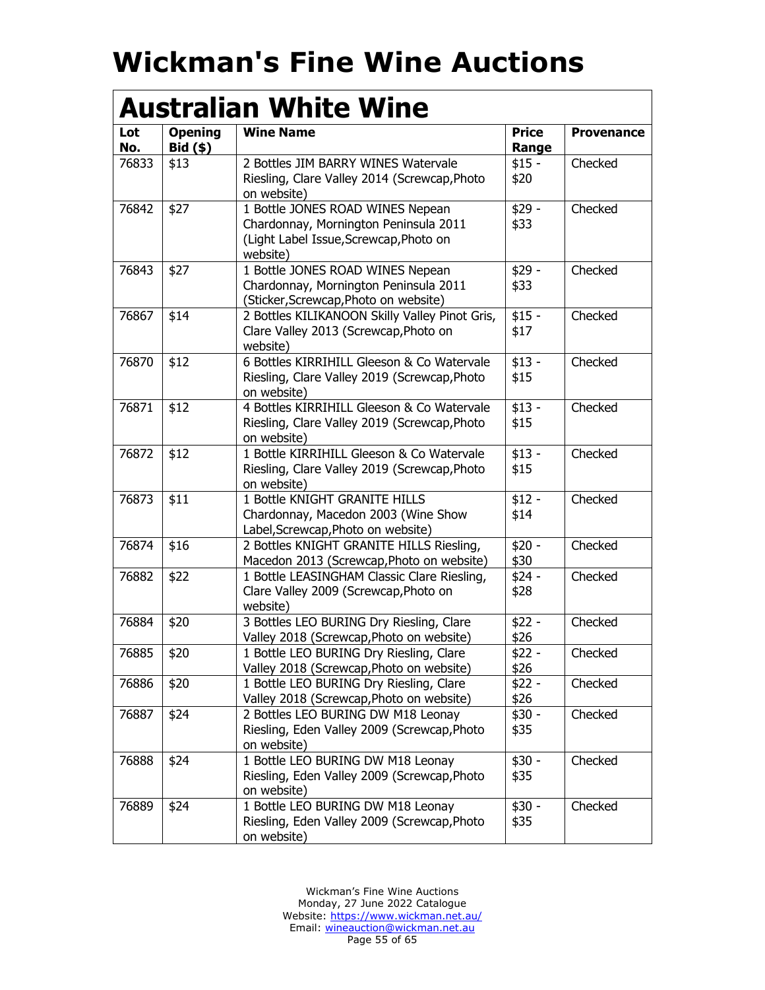| Lot<br>No. | <b>Opening</b><br><b>Bid (\$)</b> | <b>Wine Name</b>                                                                                                                | <b>Price</b><br>Range | <b>Provenance</b> |
|------------|-----------------------------------|---------------------------------------------------------------------------------------------------------------------------------|-----------------------|-------------------|
| 76833      | \$13                              | 2 Bottles JIM BARRY WINES Watervale<br>Riesling, Clare Valley 2014 (Screwcap, Photo<br>on website)                              | $$15 -$<br>\$20       | Checked           |
| 76842      | \$27                              | 1 Bottle JONES ROAD WINES Nepean<br>Chardonnay, Mornington Peninsula 2011<br>(Light Label Issue, Screwcap, Photo on<br>website) | $$29 -$<br>\$33       | Checked           |
| 76843      | \$27                              | 1 Bottle JONES ROAD WINES Nepean<br>Chardonnay, Mornington Peninsula 2011<br>(Sticker, Screwcap, Photo on website)              | $$29 -$<br>\$33       | Checked           |
| 76867      | \$14                              | 2 Bottles KILIKANOON Skilly Valley Pinot Gris,<br>Clare Valley 2013 (Screwcap, Photo on<br>website)                             | $$15 -$<br>\$17       | Checked           |
| 76870      | \$12                              | 6 Bottles KIRRIHILL Gleeson & Co Watervale<br>Riesling, Clare Valley 2019 (Screwcap, Photo<br>on website)                       | $$13 -$<br>\$15       | Checked           |
| 76871      | \$12                              | 4 Bottles KIRRIHILL Gleeson & Co Watervale<br>Riesling, Clare Valley 2019 (Screwcap, Photo<br>on website)                       | $$13 -$<br>\$15       | Checked           |
| 76872      | \$12                              | 1 Bottle KIRRIHILL Gleeson & Co Watervale<br>Riesling, Clare Valley 2019 (Screwcap, Photo<br>on website)                        | $$13 -$<br>\$15       | Checked           |
| 76873      | \$11                              | 1 Bottle KNIGHT GRANITE HILLS<br>Chardonnay, Macedon 2003 (Wine Show<br>Label, Screwcap, Photo on website)                      | $$12 -$<br>\$14       | Checked           |
| 76874      | \$16                              | 2 Bottles KNIGHT GRANITE HILLS Riesling,<br>Macedon 2013 (Screwcap, Photo on website)                                           | $$20 -$<br>\$30       | Checked           |
| 76882      | \$22                              | 1 Bottle LEASINGHAM Classic Clare Riesling,<br>Clare Valley 2009 (Screwcap, Photo on<br>website)                                | $$24 -$<br>\$28       | Checked           |
| 76884      | \$20                              | 3 Bottles LEO BURING Dry Riesling, Clare<br>Valley 2018 (Screwcap, Photo on website)                                            | $$22 -$<br>\$26       | Checked           |
| 76885      | \$20                              | 1 Bottle LEO BURING Dry Riesling, Clare<br>Valley 2018 (Screwcap, Photo on website)                                             | $$22 -$<br>\$26       | Checked           |
| 76886      | \$20                              | 1 Bottle LEO BURING Dry Riesling, Clare<br>Valley 2018 (Screwcap, Photo on website)                                             | \$22 -<br>\$26        | Checked           |
| 76887      | \$24                              | 2 Bottles LEO BURING DW M18 Leonay<br>Riesling, Eden Valley 2009 (Screwcap, Photo<br>on website)                                | $$30 -$<br>\$35       | Checked           |
| 76888      | \$24                              | 1 Bottle LEO BURING DW M18 Leonay<br>Riesling, Eden Valley 2009 (Screwcap, Photo<br>on website)                                 | $$30 -$<br>\$35       | Checked           |
| 76889      | \$24                              | 1 Bottle LEO BURING DW M18 Leonay<br>Riesling, Eden Valley 2009 (Screwcap, Photo<br>on website)                                 | $$30 -$<br>\$35       | Checked           |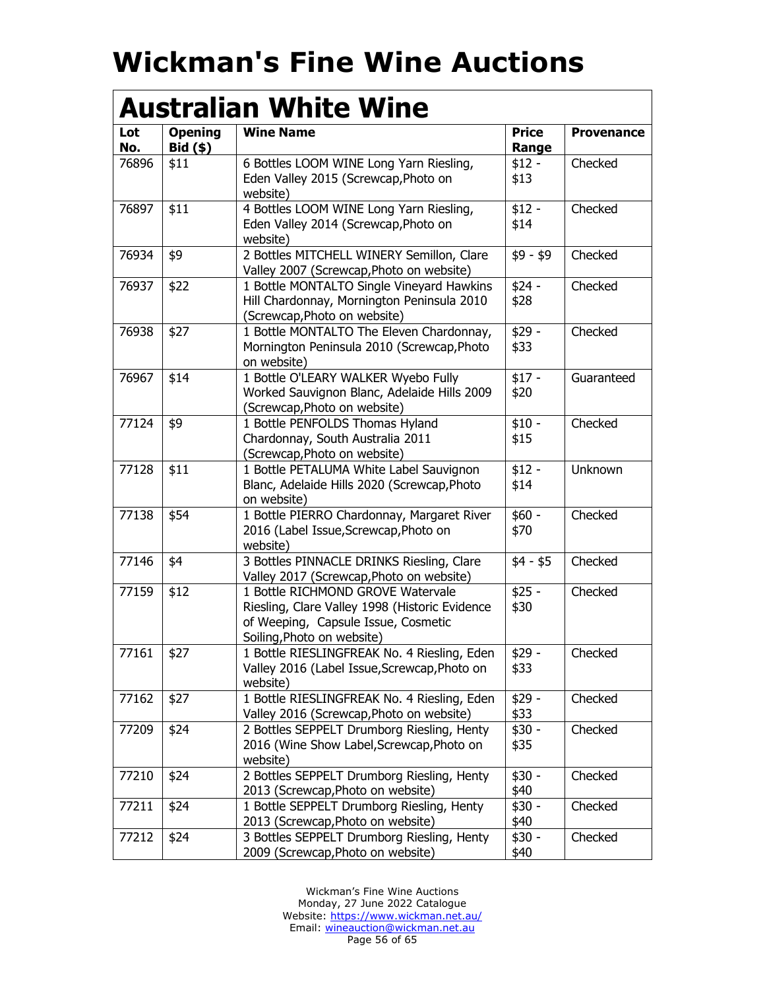| Lot<br>No. | <b>Opening</b><br>$Bid($ \$) | <b>Wine Name</b>                                                                                                                                         | <b>Price</b><br>Range | <b>Provenance</b> |
|------------|------------------------------|----------------------------------------------------------------------------------------------------------------------------------------------------------|-----------------------|-------------------|
| 76896      | \$11                         | 6 Bottles LOOM WINE Long Yarn Riesling,<br>Eden Valley 2015 (Screwcap, Photo on<br>website)                                                              | $$12 -$<br>\$13       | Checked           |
| 76897      | \$11                         | 4 Bottles LOOM WINE Long Yarn Riesling,<br>Eden Valley 2014 (Screwcap, Photo on<br>website)                                                              | $$12 -$<br>\$14       | Checked           |
| 76934      | \$9                          | 2 Bottles MITCHELL WINERY Semillon, Clare<br>Valley 2007 (Screwcap, Photo on website)                                                                    | $$9 - $9$             | Checked           |
| 76937      | \$22                         | 1 Bottle MONTALTO Single Vineyard Hawkins<br>Hill Chardonnay, Mornington Peninsula 2010<br>(Screwcap, Photo on website)                                  | $$24 -$<br>\$28       | Checked           |
| 76938      | \$27                         | 1 Bottle MONTALTO The Eleven Chardonnay,<br>Mornington Peninsula 2010 (Screwcap, Photo<br>on website)                                                    | $$29 -$<br>\$33       | Checked           |
| 76967      | \$14                         | 1 Bottle O'LEARY WALKER Wyebo Fully<br>Worked Sauvignon Blanc, Adelaide Hills 2009<br>(Screwcap, Photo on website)                                       | $$17 -$<br>\$20       | Guaranteed        |
| 77124      | \$9                          | 1 Bottle PENFOLDS Thomas Hyland<br>Chardonnay, South Australia 2011<br>(Screwcap, Photo on website)                                                      | $$10 -$<br>\$15       | Checked           |
| 77128      | \$11                         | 1 Bottle PETALUMA White Label Sauvignon<br>Blanc, Adelaide Hills 2020 (Screwcap, Photo<br>on website)                                                    | $$12 -$<br>\$14       | Unknown           |
| 77138      | \$54                         | 1 Bottle PIERRO Chardonnay, Margaret River<br>2016 (Label Issue, Screwcap, Photo on<br>website)                                                          | $$60 -$<br>\$70       | Checked           |
| 77146      | \$4                          | 3 Bottles PINNACLE DRINKS Riesling, Clare<br>Valley 2017 (Screwcap, Photo on website)                                                                    | $$4 - $5$             | Checked           |
| 77159      | \$12                         | 1 Bottle RICHMOND GROVE Watervale<br>Riesling, Clare Valley 1998 (Historic Evidence<br>of Weeping, Capsule Issue, Cosmetic<br>Soiling, Photo on website) | $$25 -$<br>\$30       | Checked           |
| 77161      | \$27                         | 1 Bottle RIESLINGFREAK No. 4 Riesling, Eden<br>Valley 2016 (Label Issue, Screwcap, Photo on<br>website)                                                  | \$29 -<br>\$33        | Checked           |
| 77162      | \$27                         | 1 Bottle RIESLINGFREAK No. 4 Riesling, Eden<br>Valley 2016 (Screwcap, Photo on website)                                                                  | $$29 -$<br>\$33       | Checked           |
| 77209      | \$24                         | 2 Bottles SEPPELT Drumborg Riesling, Henty<br>2016 (Wine Show Label, Screwcap, Photo on<br>website)                                                      | $$30 -$<br>\$35       | Checked           |
| 77210      | \$24                         | 2 Bottles SEPPELT Drumborg Riesling, Henty<br>2013 (Screwcap, Photo on website)                                                                          | \$30 -<br>\$40        | Checked           |
| 77211      | \$24                         | 1 Bottle SEPPELT Drumborg Riesling, Henty<br>2013 (Screwcap, Photo on website)                                                                           | $$30 -$<br>\$40       | Checked           |
| 77212      | \$24                         | 3 Bottles SEPPELT Drumborg Riesling, Henty<br>2009 (Screwcap, Photo on website)                                                                          | $$30 -$<br>\$40       | Checked           |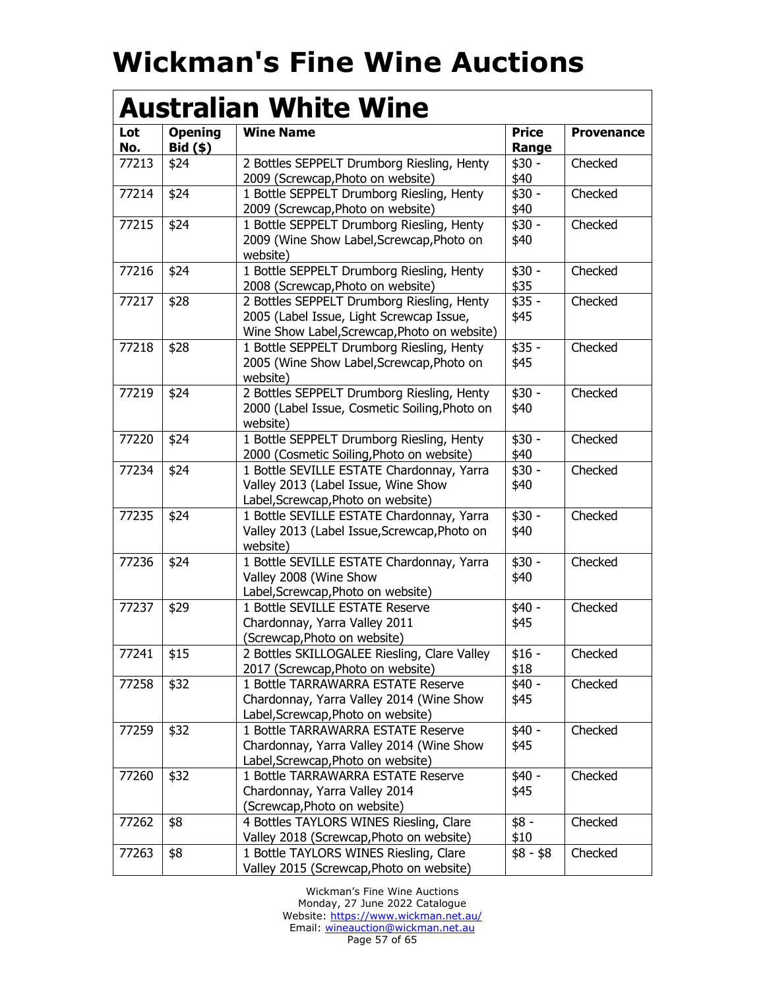#### **Australian White Wine Lot No. Opening Bid (\$) Wine Name** Price **Price Range Provenance** 77213 | \$24 | 2 Bottles SEPPELT Drumborg Riesling, Henty 2009 (Screwcap,Photo on website) \$30 - \$40 Checked 77214 \$24 1 Bottle SEPPELT Drumborg Riesling, Henty 2009 (Screwcap,Photo on website) \$30 - \$40 **Checked** 77215 | \$24 | 1 Bottle SEPPELT Drumborg Riesling, Henty 2009 (Wine Show Label,Screwcap,Photo on website) \$30 - \$40 Checked 77216 | \$24 | 1 Bottle SEPPELT Drumborg Riesling, Henty 2008 (Screwcap,Photo on website)  $$30 -$ \$35 Checked 77217 | \$28 | 2 Bottles SEPPELT Drumborg Riesling, Henty 2005 (Label Issue, Light Screwcap Issue, Wine Show Label,Screwcap,Photo on website) \$35 - \$45 Checked 77218 | \$28 | 1 Bottle SEPPELT Drumborg Riesling, Henty 2005 (Wine Show Label,Screwcap,Photo on website)  $$35 -$ \$45 Checked 77219 \$24 2 Bottles SEPPELT Drumborg Riesling, Henty 2000 (Label Issue, Cosmetic Soiling,Photo on website)  $$30 -$ \$40 **Checked** 77220 | \$24 | 1 Bottle SEPPELT Drumborg Riesling, Henty 2000 (Cosmetic Soiling,Photo on website) \$30 - \$40 Checked 77234 | \$24 | 1 Bottle SEVILLE ESTATE Chardonnay, Yarra Valley 2013 (Label Issue, Wine Show Label,Screwcap,Photo on website) \$30 - \$40 Checked 77235 | \$24 | 1 Bottle SEVILLE ESTATE Chardonnay, Yarra Valley 2013 (Label Issue,Screwcap,Photo on website) \$30 - \$40 Checked 77236 | \$24 | 1 Bottle SEVILLE ESTATE Chardonnay, Yarra Valley 2008 (Wine Show Label,Screwcap,Photo on website)  $\sqrt{$30-}$ \$40 Checked 77237 \$29 1 Bottle SEVILLE ESTATE Reserve Chardonnay, Yarra Valley 2011 (Screwcap,Photo on website)  $\sqrt{$40}$  -\$45 Checked 77241 | \$15 | 2 Bottles SKILLOGALEE Riesling, Clare Valley 2017 (Screwcap,Photo on website) \$16 - \$18 Checked 77258 | \$32 | 1 Bottle TARRAWARRA ESTATE Reserve Chardonnay, Yarra Valley 2014 (Wine Show Label,Screwcap,Photo on website) \$40 - \$45 Checked 77259 | \$32 | 1 Bottle TARRAWARRA ESTATE Reserve Chardonnay, Yarra Valley 2014 (Wine Show Label,Screwcap,Photo on website) \$40 - \$45 Checked 77260 | \$32 | 1 Bottle TARRAWARRA ESTATE Reserve \$40 - Checked

Chardonnay, Yarra Valley 2014 (Screwcap,Photo on website) \$45 77262 | \$8 | 4 Bottles TAYLORS WINES Riesling, Clare Valley 2018 (Screwcap,Photo on website) \$8 - \$10 Checked 77263 | \$8 | 1 Bottle TAYLORS WINES Riesling, Clare Valley 2015 (Screwcap,Photo on website) \$8 - \$8 Checked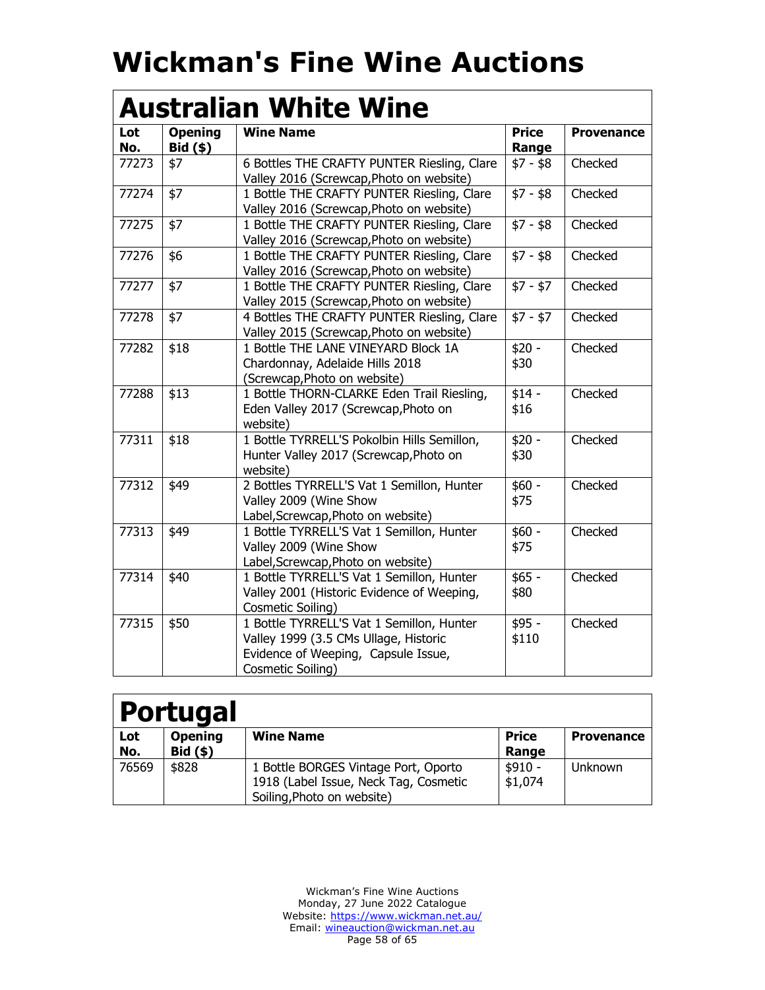| Lot<br>No. | <b>Opening</b><br>$Bid($ \$) | <b>Wine Name</b>                                                                                                                               | <b>Price</b><br>Range      | <b>Provenance</b> |
|------------|------------------------------|------------------------------------------------------------------------------------------------------------------------------------------------|----------------------------|-------------------|
| 77273      | \$7                          | 6 Bottles THE CRAFTY PUNTER Riesling, Clare<br>Valley 2016 (Screwcap, Photo on website)                                                        | $$7 - $8$                  | Checked           |
| 77274      | \$7                          | 1 Bottle THE CRAFTY PUNTER Riesling, Clare<br>Valley 2016 (Screwcap, Photo on website)                                                         | $$7 - $8$                  | Checked           |
| 77275      | \$7                          | 1 Bottle THE CRAFTY PUNTER Riesling, Clare<br>Valley 2016 (Screwcap, Photo on website)                                                         | $$7 - $8$                  | Checked           |
| 77276      | \$6                          | 1 Bottle THE CRAFTY PUNTER Riesling, Clare<br>Valley 2016 (Screwcap, Photo on website)                                                         | $$7 - $8$                  | Checked           |
| 77277      | \$7                          | 1 Bottle THE CRAFTY PUNTER Riesling, Clare<br>Valley 2015 (Screwcap, Photo on website)                                                         | $$7 - $7$                  | Checked           |
| 77278      | \$7                          | 4 Bottles THE CRAFTY PUNTER Riesling, Clare<br>Valley 2015 (Screwcap, Photo on website)                                                        | $$7 - $7$                  | Checked           |
| 77282      | \$18                         | 1 Bottle THE LANE VINEYARD Block 1A<br>Chardonnay, Adelaide Hills 2018<br>(Screwcap, Photo on website)                                         | $$20 -$<br>\$30            | Checked           |
| 77288      | \$13                         | 1 Bottle THORN-CLARKE Eden Trail Riesling,<br>Eden Valley 2017 (Screwcap, Photo on<br>website)                                                 | $$14 -$<br>\$16            | Checked           |
| 77311      | \$18                         | 1 Bottle TYRRELL'S Pokolbin Hills Semillon,<br>Hunter Valley 2017 (Screwcap, Photo on<br>website)                                              | $$20 -$<br>\$30            | Checked           |
| 77312      | \$49                         | 2 Bottles TYRRELL'S Vat 1 Semillon, Hunter<br>Valley 2009 (Wine Show<br>Label, Screwcap, Photo on website)                                     | $\overline{$}60 -$<br>\$75 | Checked           |
| 77313      | \$49                         | 1 Bottle TYRRELL'S Vat 1 Semillon, Hunter<br>Valley 2009 (Wine Show<br>Label, Screwcap, Photo on website)                                      | $$60 -$<br>\$75            | Checked           |
| 77314      | \$40                         | 1 Bottle TYRRELL'S Vat 1 Semillon, Hunter<br>Valley 2001 (Historic Evidence of Weeping,<br>Cosmetic Soiling)                                   | $$65 -$<br>\$80            | Checked           |
| 77315      | \$50                         | 1 Bottle TYRRELL'S Vat 1 Semillon, Hunter<br>Valley 1999 (3.5 CMs Ullage, Historic<br>Evidence of Weeping, Capsule Issue,<br>Cosmetic Soiling) | \$95 -<br>\$110            | Checked           |

| <b>Portugal</b> |                              |                                                                                                             |                       |                   |  |
|-----------------|------------------------------|-------------------------------------------------------------------------------------------------------------|-----------------------|-------------------|--|
| Lot<br>No.      | <b>Opening</b><br>$Bid($ \$) | <b>Wine Name</b>                                                                                            | <b>Price</b><br>Range | <b>Provenance</b> |  |
| 76569           | \$828                        | 1 Bottle BORGES Vintage Port, Oporto<br>1918 (Label Issue, Neck Tag, Cosmetic<br>Soiling, Photo on website) | $$910 -$<br>\$1,074   | <b>Unknown</b>    |  |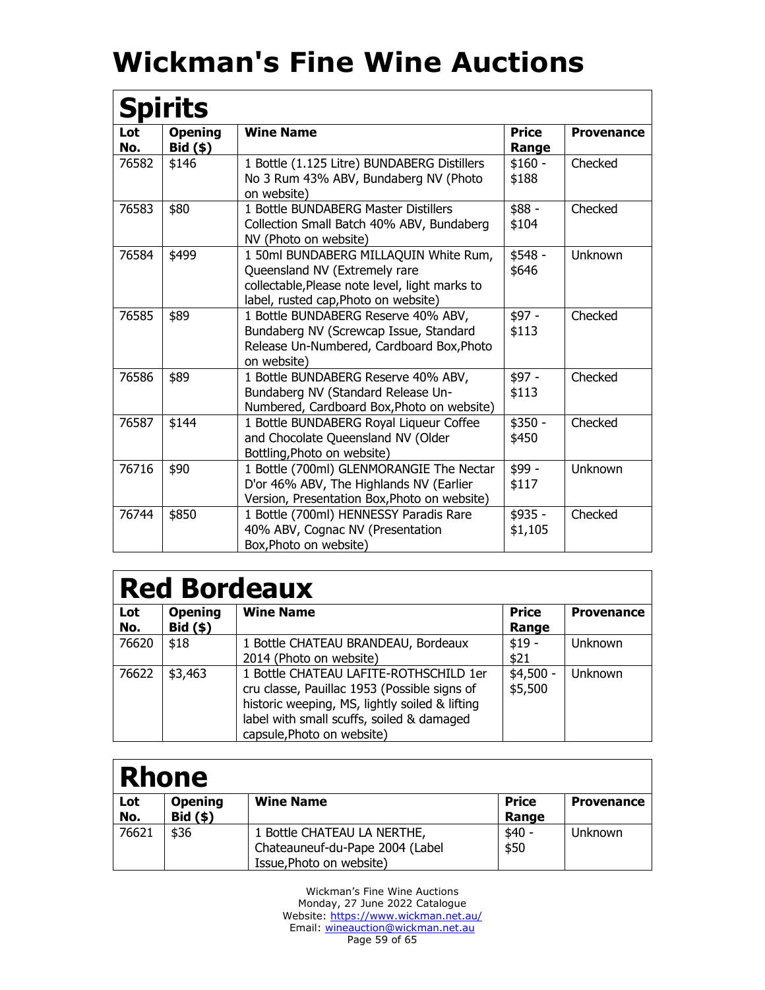| <b>Spirits</b> |                              |                                                                                                                                                                  |                       |                   |
|----------------|------------------------------|------------------------------------------------------------------------------------------------------------------------------------------------------------------|-----------------------|-------------------|
| Lot<br>No.     | <b>Opening</b><br>$Bid($ \$) | <b>Wine Name</b>                                                                                                                                                 | <b>Price</b><br>Range | <b>Provenance</b> |
| 76582          | \$146                        | 1 Bottle (1.125 Litre) BUNDABERG Distillers<br>No 3 Rum 43% ABV, Bundaberg NV (Photo<br>on website)                                                              | $$160 -$<br>\$188     | Checked           |
| 76583          | \$80                         | 1 Bottle BUNDABERG Master Distillers<br>Collection Small Batch 40% ABV, Bundaberg<br>NV (Photo on website)                                                       | \$88 -<br>\$104       | Checked           |
| 76584          | \$499                        | 1 50ml BUNDABERG MILLAQUIN White Rum,<br>Queensland NV (Extremely rare<br>collectable, Please note level, light marks to<br>label, rusted cap, Photo on website) | $$548 -$<br>\$646     | Unknown           |
| 76585          | \$89                         | 1 Bottle BUNDABERG Reserve 40% ABV,<br>Bundaberg NV (Screwcap Issue, Standard<br>Release Un-Numbered, Cardboard Box, Photo<br>on website)                        | $$97 -$<br>\$113      | Checked           |
| 76586          | \$89                         | 1 Bottle BUNDABERG Reserve 40% ABV,<br>Bundaberg NV (Standard Release Un-<br>Numbered, Cardboard Box, Photo on website)                                          | \$97 -<br>\$113       | Checked           |
| 76587          | \$144                        | 1 Bottle BUNDABERG Royal Liqueur Coffee<br>and Chocolate Queensland NV (Older<br>Bottling, Photo on website)                                                     | $$350 -$<br>\$450     | Checked           |
| 76716          | \$90                         | 1 Bottle (700ml) GLENMORANGIE The Nectar<br>D'or 46% ABV, The Highlands NV (Earlier<br>Version, Presentation Box, Photo on website)                              | \$99 -<br>\$117       | Unknown           |
| 76744          | \$850                        | 1 Bottle (700ml) HENNESSY Paradis Rare<br>40% ABV, Cognac NV (Presentation<br>Box, Photo on website)                                                             | $$935 -$<br>\$1,105   | Checked           |

#### **Red Bordeaux**

| Lot   | <b>Opening</b> | <b>Wine Name</b>                               | <b>Price</b> | <b>Provenance</b> |  |
|-------|----------------|------------------------------------------------|--------------|-------------------|--|
| No.   | $Bid($ \$)     |                                                | Range        |                   |  |
| 76620 | \$18           | 1 Bottle CHATEAU BRANDEAU, Bordeaux            | $$19 -$      | Unknown           |  |
|       |                | 2014 (Photo on website)                        | \$21         |                   |  |
| 76622 | \$3,463        | 1 Bottle CHATEAU LAFITE-ROTHSCHILD 1er         | $$4,500 -$   | <b>Unknown</b>    |  |
|       |                | cru classe, Pauillac 1953 (Possible signs of   | \$5,500      |                   |  |
|       |                | historic weeping, MS, lightly soiled & lifting |              |                   |  |
|       |                | label with small scuffs, soiled & damaged      |              |                   |  |
|       |                | capsule, Photo on website)                     |              |                   |  |

| <b>Rhone</b> |                              |                                                                                            |                       |                   |  |
|--------------|------------------------------|--------------------------------------------------------------------------------------------|-----------------------|-------------------|--|
| Lot<br>No.   | <b>Opening</b><br>$Bid($ \$) | <b>Wine Name</b>                                                                           | <b>Price</b><br>Range | <b>Provenance</b> |  |
| 76621        | \$36                         | 1 Bottle CHATEAU LA NERTHE,<br>Chateauneuf-du-Pape 2004 (Label<br>Issue, Photo on website) | $$40 -$<br>\$50       | <b>Unknown</b>    |  |

Wickman's Fine Wine Auctions Monday, 27 June 2022 Catalogue Website:<https://www.wickman.net.au/> Email: [wineauction@wickman.net.au](mailto:wineauction@wickman.net.au) Page 59 of 65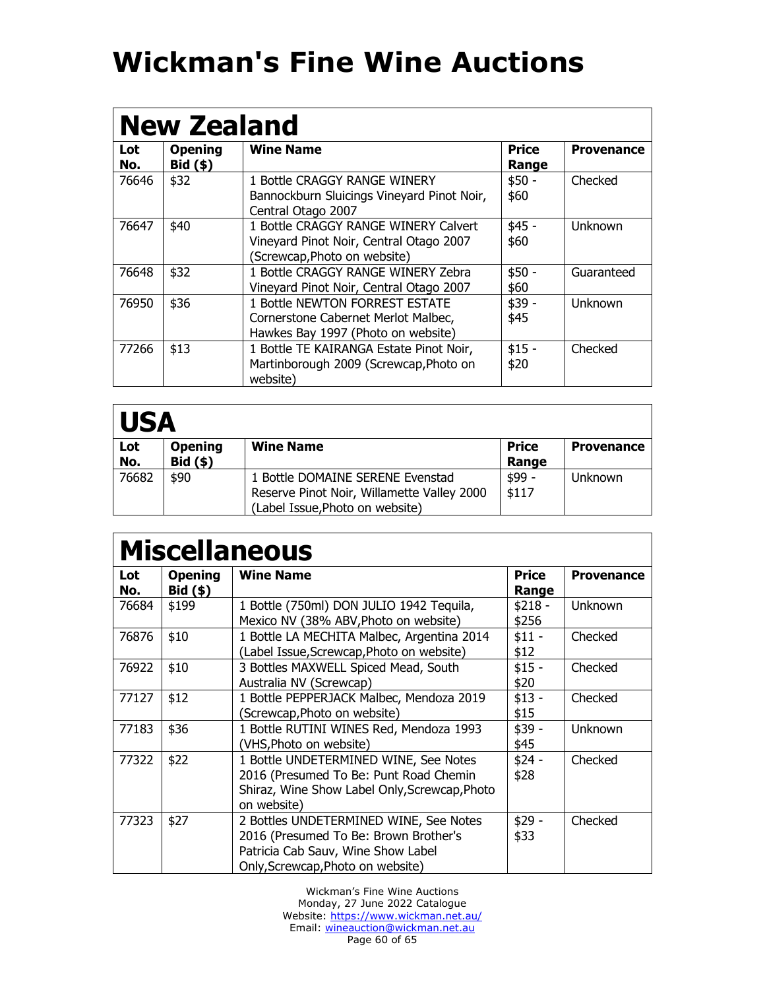|            | <b>New Zealand</b>           |                                                                                                                 |                       |                   |  |  |
|------------|------------------------------|-----------------------------------------------------------------------------------------------------------------|-----------------------|-------------------|--|--|
| Lot<br>No. | <b>Opening</b><br>$Bid($ \$) | <b>Wine Name</b>                                                                                                | <b>Price</b><br>Range | <b>Provenance</b> |  |  |
| 76646      | \$32                         | 1 Bottle CRAGGY RANGE WINERY<br>Bannockburn Sluicings Vineyard Pinot Noir,<br>Central Otago 2007                | $$50 -$<br>\$60       | Checked           |  |  |
| 76647      | \$40                         | 1 Bottle CRAGGY RANGE WINERY Calvert<br>Vineyard Pinot Noir, Central Otago 2007<br>(Screwcap, Photo on website) | $$45 -$<br>\$60       | Unknown           |  |  |
| 76648      | \$32                         | 1 Bottle CRAGGY RANGE WINERY Zebra<br>Vineyard Pinot Noir, Central Otago 2007                                   | $$50 -$<br>\$60       | Guaranteed        |  |  |
| 76950      | \$36                         | 1 Bottle NEWTON FORREST ESTATE<br>Cornerstone Cabernet Merlot Malbec,<br>Hawkes Bay 1997 (Photo on website)     | $$39 -$<br>\$45       | Unknown           |  |  |
| 77266      | \$13                         | 1 Bottle TE KAIRANGA Estate Pinot Noir,<br>Martinborough 2009 (Screwcap, Photo on<br>website)                   | $$15 -$<br>\$20       | Checked           |  |  |

| <b>USA</b> |                              |                                                                                                                   |                       |                   |  |
|------------|------------------------------|-------------------------------------------------------------------------------------------------------------------|-----------------------|-------------------|--|
| Lot<br>No. | <b>Opening</b><br>$Bid($ \$) | <b>Wine Name</b>                                                                                                  | <b>Price</b><br>Range | <b>Provenance</b> |  |
| 76682      | \$90                         | 1 Bottle DOMAINE SERENE Evenstad<br>Reserve Pinot Noir, Willamette Valley 2000<br>(Label Issue, Photo on website) | \$99 -<br>\$117       | Unknown           |  |

| <b>Miscellaneous</b> |                              |                                                                                                                                                            |                   |                   |
|----------------------|------------------------------|------------------------------------------------------------------------------------------------------------------------------------------------------------|-------------------|-------------------|
| Lot<br>No.           | <b>Opening</b><br>$Bid($ \$) | <b>Wine Name</b>                                                                                                                                           | Price<br>Range    | <b>Provenance</b> |
| 76684                | \$199                        | 1 Bottle (750ml) DON JULIO 1942 Tequila,<br>Mexico NV (38% ABV, Photo on website)                                                                          | $$218 -$<br>\$256 | <b>Unknown</b>    |
| 76876                | \$10                         | 1 Bottle LA MECHITA Malbec, Argentina 2014<br>(Label Issue, Screwcap, Photo on website)                                                                    | $$11 -$<br>\$12   | Checked           |
| 76922                | \$10                         | 3 Bottles MAXWELL Spiced Mead, South<br>Australia NV (Screwcap)                                                                                            | $$15 -$<br>\$20   | Checked           |
| 77127                | \$12                         | 1 Bottle PEPPERJACK Malbec, Mendoza 2019<br>(Screwcap, Photo on website)                                                                                   | $$13 -$<br>\$15   | Checked           |
| 77183                | \$36                         | 1 Bottle RUTINI WINES Red, Mendoza 1993<br>(VHS, Photo on website)                                                                                         | $$39 -$<br>\$45   | Unknown           |
| 77322                | \$22                         | 1 Bottle UNDETERMINED WINE, See Notes<br>2016 (Presumed To Be: Punt Road Chemin<br>Shiraz, Wine Show Label Only, Screwcap, Photo<br>on website)            | $$24 -$<br>\$28   | Checked           |
| 77323                | \$27                         | 2 Bottles UNDETERMINED WINE, See Notes<br>2016 (Presumed To Be: Brown Brother's<br>Patricia Cab Sauv, Wine Show Label<br>Only, Screwcap, Photo on website) | $$29 -$<br>\$33   | Checked           |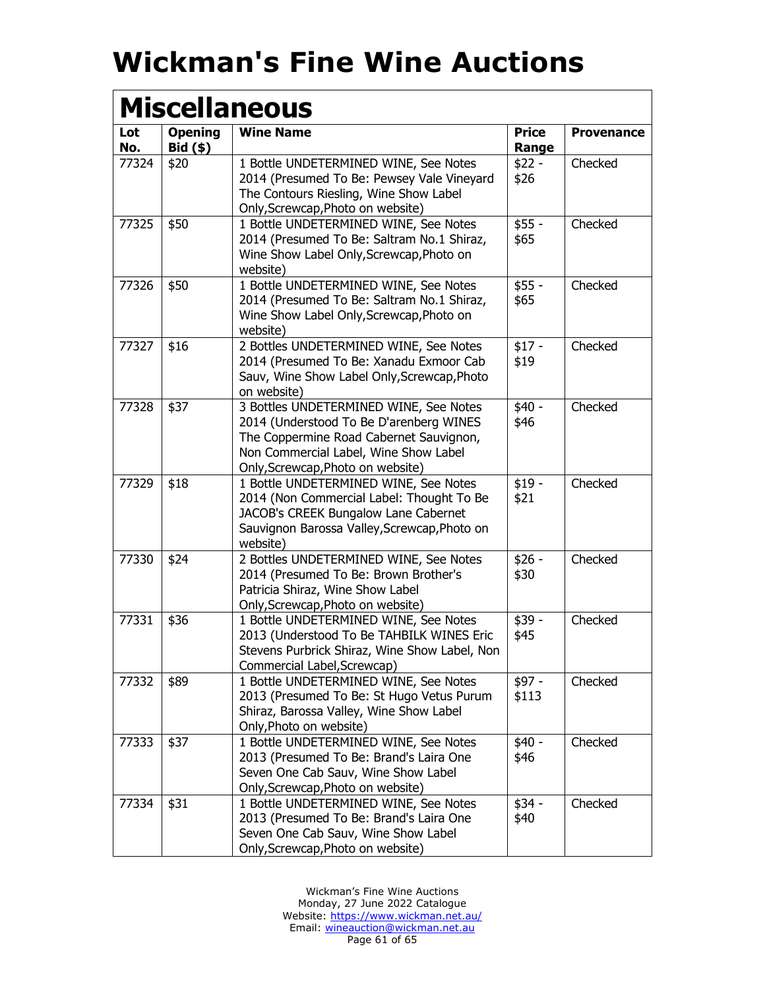| <b>Miscellaneous</b> |                              |                                                                                                                                                                                                            |                       |                   |
|----------------------|------------------------------|------------------------------------------------------------------------------------------------------------------------------------------------------------------------------------------------------------|-----------------------|-------------------|
| Lot<br>No.           | <b>Opening</b><br>$Bid($ \$) | <b>Wine Name</b>                                                                                                                                                                                           | <b>Price</b><br>Range | <b>Provenance</b> |
| 77324                | \$20                         | 1 Bottle UNDETERMINED WINE, See Notes<br>2014 (Presumed To Be: Pewsey Vale Vineyard<br>The Contours Riesling, Wine Show Label<br>Only, Screwcap, Photo on website)                                         | $$22 -$<br>\$26       | Checked           |
| 77325                | \$50                         | 1 Bottle UNDETERMINED WINE, See Notes<br>2014 (Presumed To Be: Saltram No.1 Shiraz,<br>Wine Show Label Only, Screwcap, Photo on<br>website)                                                                | $$55 -$<br>\$65       | Checked           |
| 77326                | \$50                         | 1 Bottle UNDETERMINED WINE, See Notes<br>2014 (Presumed To Be: Saltram No.1 Shiraz,<br>Wine Show Label Only, Screwcap, Photo on<br>website)                                                                | $$55 -$<br>\$65       | Checked           |
| 77327                | \$16                         | 2 Bottles UNDETERMINED WINE, See Notes<br>2014 (Presumed To Be: Xanadu Exmoor Cab<br>Sauv, Wine Show Label Only, Screwcap, Photo<br>on website)                                                            | $$17 -$<br>\$19       | Checked           |
| 77328                | \$37                         | 3 Bottles UNDETERMINED WINE, See Notes<br>2014 (Understood To Be D'arenberg WINES<br>The Coppermine Road Cabernet Sauvignon,<br>Non Commercial Label, Wine Show Label<br>Only, Screwcap, Photo on website) | $$40 -$<br>\$46       | Checked           |
| 77329                | \$18                         | 1 Bottle UNDETERMINED WINE, See Notes<br>2014 (Non Commercial Label: Thought To Be<br>JACOB's CREEK Bungalow Lane Cabernet<br>Sauvignon Barossa Valley, Screwcap, Photo on<br>website)                     | $$19 -$<br>\$21       | Checked           |
| 77330                | \$24                         | 2 Bottles UNDETERMINED WINE, See Notes<br>2014 (Presumed To Be: Brown Brother's<br>Patricia Shiraz, Wine Show Label<br>Only, Screwcap, Photo on website)                                                   | $$26 -$<br>\$30       | Checked           |
| 77331                | \$36                         | 1 Bottle UNDETERMINED WINE, See Notes<br>2013 (Understood To Be TAHBILK WINES Eric<br>Stevens Purbrick Shiraz, Wine Show Label, Non<br>Commercial Label, Screwcap)                                         | $$39 -$<br>\$45       | Checked           |
| 77332                | \$89                         | 1 Bottle UNDETERMINED WINE, See Notes<br>2013 (Presumed To Be: St Hugo Vetus Purum<br>Shiraz, Barossa Valley, Wine Show Label<br>Only, Photo on website)                                                   | \$97 -<br>\$113       | Checked           |
| 77333                | \$37                         | 1 Bottle UNDETERMINED WINE, See Notes<br>2013 (Presumed To Be: Brand's Laira One<br>Seven One Cab Sauv, Wine Show Label<br>Only, Screwcap, Photo on website)                                               | $$40 -$<br>\$46       | Checked           |
| 77334                | \$31                         | 1 Bottle UNDETERMINED WINE, See Notes<br>2013 (Presumed To Be: Brand's Laira One<br>Seven One Cab Sauv, Wine Show Label<br>Only, Screwcap, Photo on website)                                               | $$34 -$<br>\$40       | Checked           |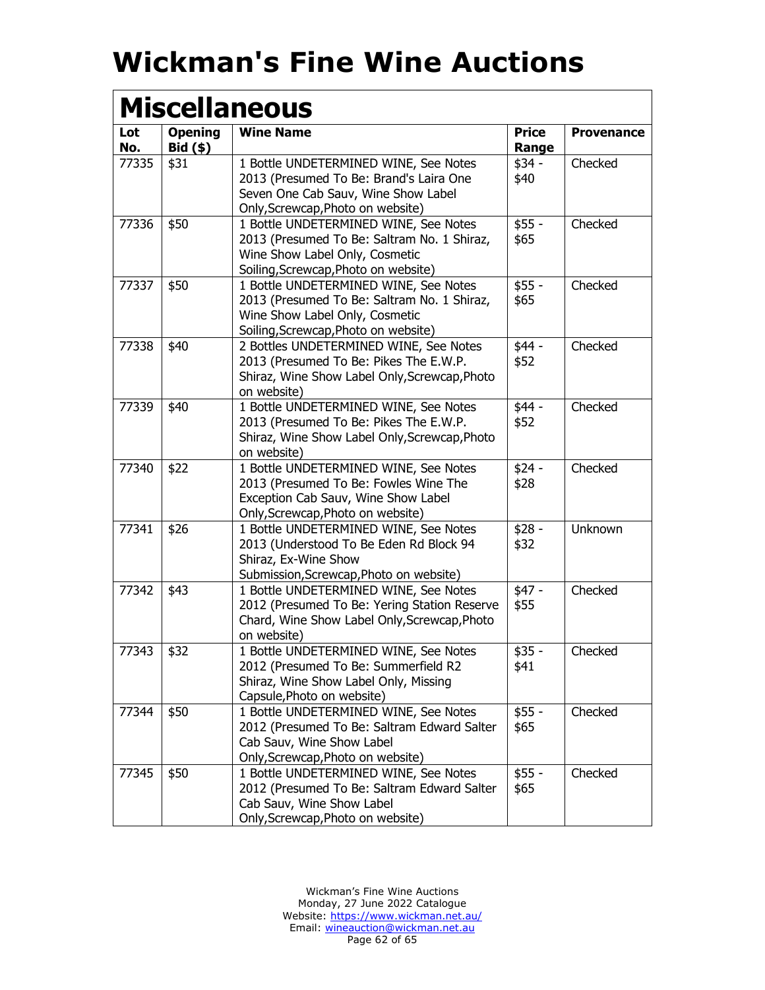|            | <b>Miscellaneous</b>         |                                                                                      |                       |                   |  |
|------------|------------------------------|--------------------------------------------------------------------------------------|-----------------------|-------------------|--|
| Lot<br>No. | <b>Opening</b><br>$Bid($ \$) | <b>Wine Name</b>                                                                     | <b>Price</b><br>Range | <b>Provenance</b> |  |
| 77335      | \$31                         | 1 Bottle UNDETERMINED WINE, See Notes                                                | $$34 -$               | Checked           |  |
|            |                              | 2013 (Presumed To Be: Brand's Laira One                                              | \$40                  |                   |  |
|            |                              | Seven One Cab Sauv, Wine Show Label                                                  |                       |                   |  |
|            |                              | Only, Screwcap, Photo on website)                                                    |                       |                   |  |
| 77336      | \$50                         | 1 Bottle UNDETERMINED WINE, See Notes                                                | $$55 -$               | Checked           |  |
|            |                              | 2013 (Presumed To Be: Saltram No. 1 Shiraz,                                          | \$65                  |                   |  |
|            |                              | Wine Show Label Only, Cosmetic                                                       |                       |                   |  |
|            |                              | Soiling, Screwcap, Photo on website)                                                 |                       |                   |  |
| 77337      | \$50                         | 1 Bottle UNDETERMINED WINE, See Notes                                                | $$55 -$               | Checked           |  |
|            |                              | 2013 (Presumed To Be: Saltram No. 1 Shiraz,                                          | \$65                  |                   |  |
|            |                              | Wine Show Label Only, Cosmetic                                                       |                       |                   |  |
|            |                              | Soiling, Screwcap, Photo on website)                                                 |                       |                   |  |
| 77338      | \$40                         | 2 Bottles UNDETERMINED WINE, See Notes                                               | $$44 -$               | Checked           |  |
|            |                              | 2013 (Presumed To Be: Pikes The E.W.P.                                               | \$52                  |                   |  |
|            |                              | Shiraz, Wine Show Label Only, Screwcap, Photo<br>on website)                         |                       |                   |  |
| 77339      | \$40                         | 1 Bottle UNDETERMINED WINE, See Notes                                                | $$44 -$               | Checked           |  |
|            |                              | 2013 (Presumed To Be: Pikes The E.W.P.                                               | \$52                  |                   |  |
|            |                              | Shiraz, Wine Show Label Only, Screwcap, Photo                                        |                       |                   |  |
|            |                              | on website)                                                                          |                       |                   |  |
| 77340      | \$22                         | 1 Bottle UNDETERMINED WINE, See Notes                                                | $$24 -$               | Checked           |  |
|            |                              | 2013 (Presumed To Be: Fowles Wine The                                                | \$28                  |                   |  |
|            |                              | Exception Cab Sauv, Wine Show Label                                                  |                       |                   |  |
|            |                              | Only, Screwcap, Photo on website)                                                    |                       |                   |  |
| 77341      | \$26                         | 1 Bottle UNDETERMINED WINE, See Notes                                                | $$28 -$               | Unknown           |  |
|            |                              | 2013 (Understood To Be Eden Rd Block 94                                              | \$32                  |                   |  |
|            |                              | Shiraz, Ex-Wine Show                                                                 |                       |                   |  |
|            |                              | Submission, Screwcap, Photo on website)                                              |                       |                   |  |
| 77342      | \$43                         | 1 Bottle UNDETERMINED WINE, See Notes                                                | $$47 -$               | Checked           |  |
|            |                              | 2012 (Presumed To Be: Yering Station Reserve                                         | \$55                  |                   |  |
|            |                              | Chard, Wine Show Label Only, Screwcap, Photo                                         |                       |                   |  |
|            |                              | on website)                                                                          |                       |                   |  |
| 77343      | \$32                         | 1 Bottle UNDETERMINED WINE, See Notes                                                | \$35.                 | Checked           |  |
|            |                              | 2012 (Presumed To Be: Summerfield R2                                                 | \$41                  |                   |  |
|            |                              | Shiraz, Wine Show Label Only, Missing                                                |                       |                   |  |
|            |                              | Capsule, Photo on website)                                                           |                       | Checked           |  |
| 77344      | \$50                         | 1 Bottle UNDETERMINED WINE, See Notes<br>2012 (Presumed To Be: Saltram Edward Salter | $$55 -$<br>\$65       |                   |  |
|            |                              | Cab Sauv, Wine Show Label                                                            |                       |                   |  |
|            |                              | Only, Screwcap, Photo on website)                                                    |                       |                   |  |
| 77345      | \$50                         | 1 Bottle UNDETERMINED WINE, See Notes                                                | $$55 -$               | Checked           |  |
|            |                              | 2012 (Presumed To Be: Saltram Edward Salter                                          | \$65                  |                   |  |
|            |                              | Cab Sauv, Wine Show Label                                                            |                       |                   |  |
|            |                              | Only, Screwcap, Photo on website)                                                    |                       |                   |  |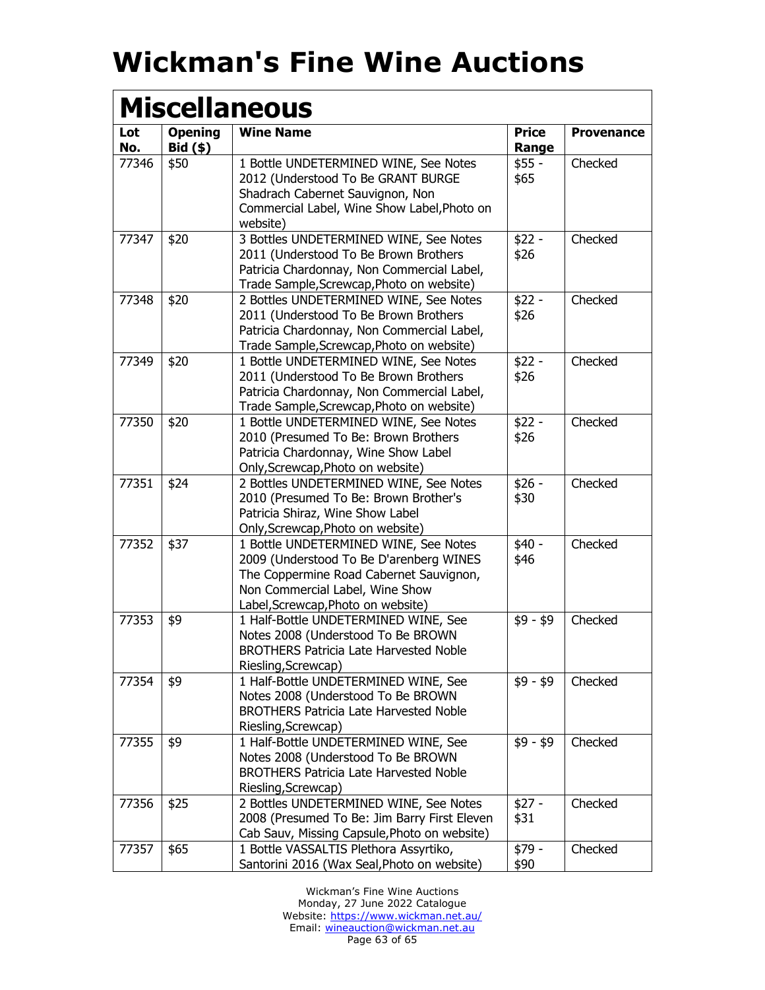| <b>Miscellaneous</b> |                              |                                                                                                                                                                                                      |                       |                   |
|----------------------|------------------------------|------------------------------------------------------------------------------------------------------------------------------------------------------------------------------------------------------|-----------------------|-------------------|
| Lot<br>No.           | <b>Opening</b><br>$Bid($ \$) | <b>Wine Name</b>                                                                                                                                                                                     | <b>Price</b><br>Range | <b>Provenance</b> |
| 77346                | \$50                         | 1 Bottle UNDETERMINED WINE, See Notes<br>2012 (Understood To Be GRANT BURGE<br>Shadrach Cabernet Sauvignon, Non<br>Commercial Label, Wine Show Label, Photo on<br>website)                           | $$55 -$<br>\$65       | Checked           |
| 77347                | \$20                         | 3 Bottles UNDETERMINED WINE, See Notes<br>2011 (Understood To Be Brown Brothers<br>Patricia Chardonnay, Non Commercial Label,<br>Trade Sample, Screwcap, Photo on website)                           | $$22 -$<br>\$26       | Checked           |
| 77348                | \$20                         | 2 Bottles UNDETERMINED WINE, See Notes<br>2011 (Understood To Be Brown Brothers<br>Patricia Chardonnay, Non Commercial Label,<br>Trade Sample, Screwcap, Photo on website)                           | $$22 -$<br>\$26       | Checked           |
| 77349                | \$20                         | 1 Bottle UNDETERMINED WINE, See Notes<br>2011 (Understood To Be Brown Brothers<br>Patricia Chardonnay, Non Commercial Label,<br>Trade Sample, Screwcap, Photo on website)                            | $$22 -$<br>\$26       | Checked           |
| 77350                | \$20                         | 1 Bottle UNDETERMINED WINE, See Notes<br>2010 (Presumed To Be: Brown Brothers<br>Patricia Chardonnay, Wine Show Label<br>Only, Screwcap, Photo on website)                                           | $$22 -$<br>\$26       | Checked           |
| 77351                | \$24                         | 2 Bottles UNDETERMINED WINE, See Notes<br>2010 (Presumed To Be: Brown Brother's<br>Patricia Shiraz, Wine Show Label<br>Only, Screwcap, Photo on website)                                             | $$26 -$<br>\$30       | Checked           |
| 77352                | \$37                         | 1 Bottle UNDETERMINED WINE, See Notes<br>2009 (Understood To Be D'arenberg WINES<br>The Coppermine Road Cabernet Sauvignon,<br>Non Commercial Label, Wine Show<br>Label, Screwcap, Photo on website) | $$40 -$<br>\$46       | Checked           |
| 77353                | \$9                          | 1 Half-Bottle UNDETERMINED WINE, See<br>Notes 2008 (Understood To Be BROWN<br><b>BROTHERS Patricia Late Harvested Noble</b><br>Riesling, Screwcap)                                                   | $$9 - $9$             | Checked           |
| 77354                | \$9                          | 1 Half-Bottle UNDETERMINED WINE, See<br>Notes 2008 (Understood To Be BROWN<br><b>BROTHERS Patricia Late Harvested Noble</b><br>Riesling, Screwcap)                                                   | $$9 - $9$             | Checked           |
| 77355                | \$9                          | 1 Half-Bottle UNDETERMINED WINE, See<br>Notes 2008 (Understood To Be BROWN<br><b>BROTHERS Patricia Late Harvested Noble</b><br>Riesling, Screwcap)                                                   | $$9 - $9$             | Checked           |
| 77356                | \$25                         | 2 Bottles UNDETERMINED WINE, See Notes<br>2008 (Presumed To Be: Jim Barry First Eleven<br>Cab Sauv, Missing Capsule, Photo on website)                                                               | $$27 -$<br>\$31       | Checked           |
| 77357                | \$65                         | 1 Bottle VASSALTIS Plethora Assyrtiko,<br>Santorini 2016 (Wax Seal, Photo on website)                                                                                                                | $$79 -$<br>\$90       | Checked           |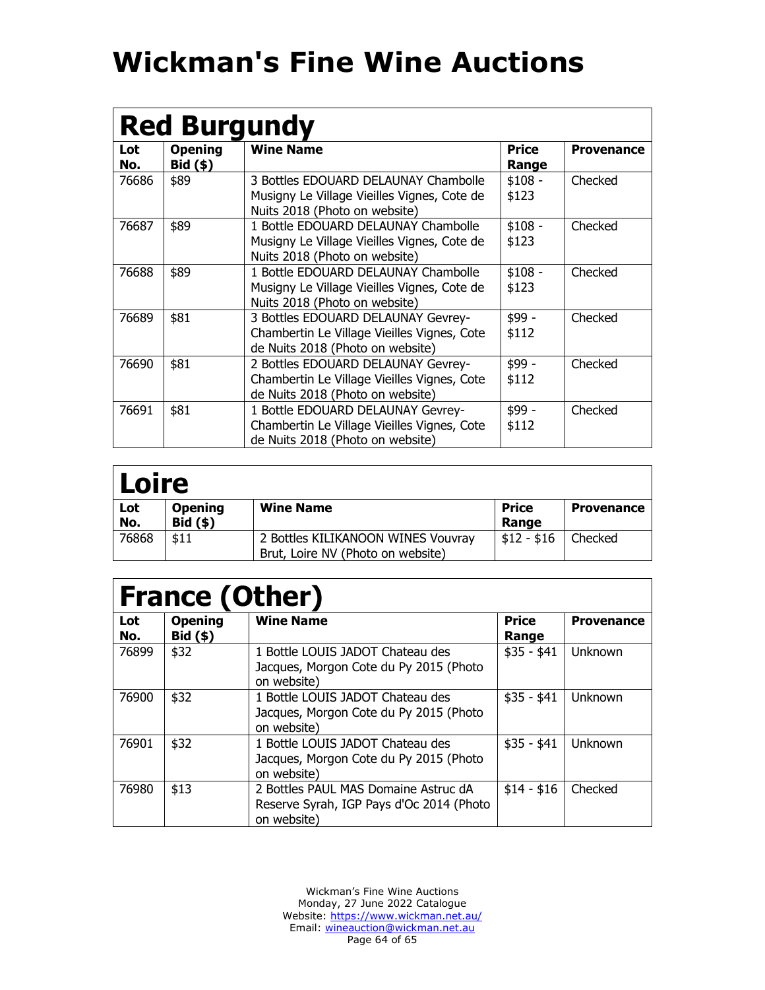| <b>Red Burgundy</b> |                              |                                                                                                                       |                   |                   |
|---------------------|------------------------------|-----------------------------------------------------------------------------------------------------------------------|-------------------|-------------------|
| Lot<br>No.          | <b>Opening</b><br>$Bid($ \$) | <b>Wine Name</b>                                                                                                      | Price<br>Range    | <b>Provenance</b> |
| 76686               | \$89                         | 3 Bottles EDOUARD DELAUNAY Chambolle<br>Musigny Le Village Vieilles Vignes, Cote de<br>Nuits 2018 (Photo on website)  | $$108 -$<br>\$123 | Checked           |
| 76687               | \$89                         | 1 Bottle EDOUARD DELAUNAY Chambolle<br>Musigny Le Village Vieilles Vignes, Cote de<br>Nuits 2018 (Photo on website)   | $$108 -$<br>\$123 | Checked           |
| 76688               | \$89                         | 1 Bottle EDOUARD DELAUNAY Chambolle<br>Musigny Le Village Vieilles Vignes, Cote de<br>Nuits 2018 (Photo on website)   | $$108 -$<br>\$123 | Checked           |
| 76689               | \$81                         | 3 Bottles EDOUARD DELAUNAY Gevrey-<br>Chambertin Le Village Vieilles Vignes, Cote<br>de Nuits 2018 (Photo on website) | \$99 -<br>\$112   | Checked           |
| 76690               | \$81                         | 2 Bottles EDOUARD DELAUNAY Gevrey-<br>Chambertin Le Village Vieilles Vignes, Cote<br>de Nuits 2018 (Photo on website) | \$99 -<br>\$112   | Checked           |
| 76691               | \$81                         | 1 Bottle EDOUARD DELAUNAY Gevrey-<br>Chambertin Le Village Vieilles Vignes, Cote<br>de Nuits 2018 (Photo on website)  | \$99 -<br>\$112   | Checked           |

| <b>Loire</b> |                              |                                                                         |                       |                   |  |
|--------------|------------------------------|-------------------------------------------------------------------------|-----------------------|-------------------|--|
| Lot<br>No.   | <b>Opening</b><br>$Bid($ \$) | <b>Wine Name</b>                                                        | <b>Price</b><br>Range | <b>Provenance</b> |  |
| 76868        | \$11                         | 2 Bottles KILIKANOON WINES Vouvray<br>Brut, Loire NV (Photo on website) | $$12 - $16$           | Checked           |  |

| <b>France (Other)</b> |                              |                                                                                                 |                       |                   |  |  |
|-----------------------|------------------------------|-------------------------------------------------------------------------------------------------|-----------------------|-------------------|--|--|
| Lot<br>No.            | <b>Opening</b><br>$Bid($ \$) | <b>Wine Name</b>                                                                                | <b>Price</b><br>Range | <b>Provenance</b> |  |  |
| 76899                 | \$32                         | 1 Bottle LOUIS JADOT Chateau des<br>Jacques, Morgon Cote du Py 2015 (Photo<br>on website)       | $$35 - $41$           | Unknown           |  |  |
| 76900                 | \$32                         | 1 Bottle LOUIS JADOT Chateau des<br>Jacques, Morgon Cote du Py 2015 (Photo<br>on website)       | $$35 - $41$           | Unknown           |  |  |
| 76901                 | \$32                         | 1 Bottle LOUIS JADOT Chateau des<br>Jacques, Morgon Cote du Py 2015 (Photo<br>on website)       | $$35 - $41$           | Unknown           |  |  |
| 76980                 | \$13                         | 2 Bottles PAUL MAS Domaine Astruc dA<br>Reserve Syrah, IGP Pays d'Oc 2014 (Photo<br>on website) | $$14 - $16$           | Checked           |  |  |